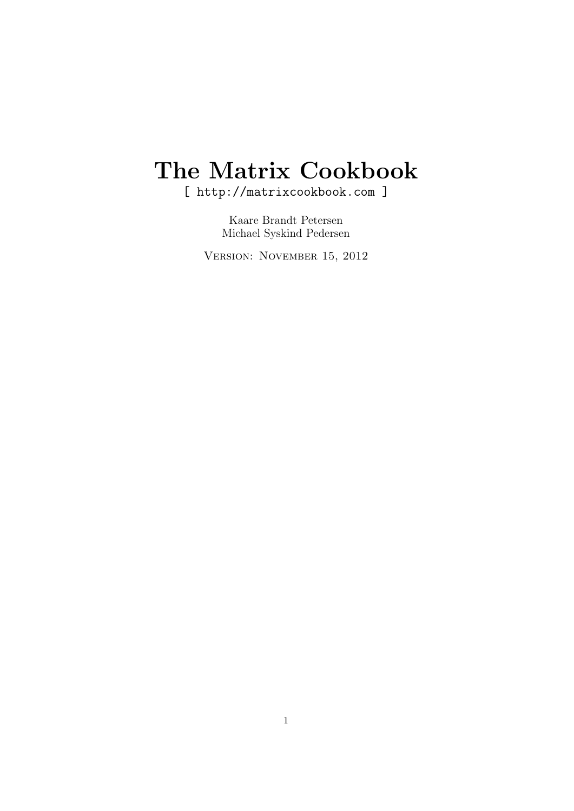# The Matrix Cookbook

[ http://matrixcookbook.com ]

Kaare Brandt Petersen Michael Syskind Pedersen

Version: November 15, 2012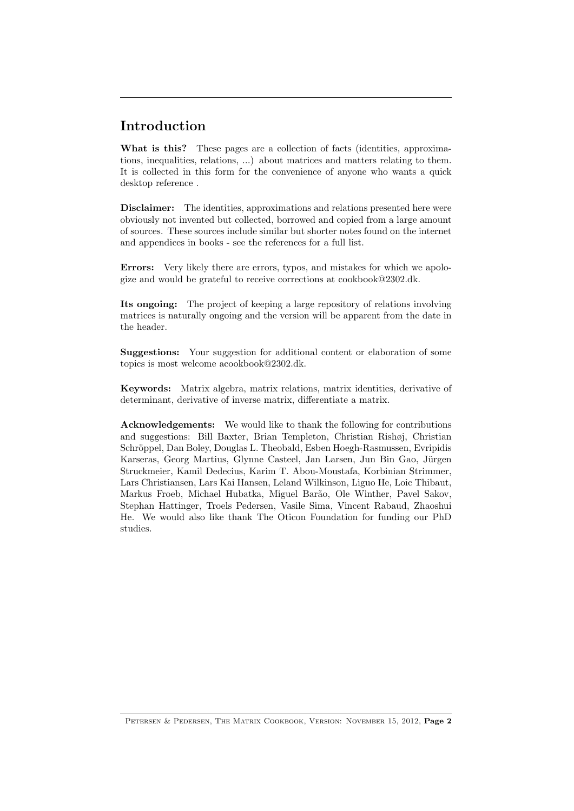# Introduction

What is this? These pages are a collection of facts (identities, approximations, inequalities, relations, ...) about matrices and matters relating to them. It is collected in this form for the convenience of anyone who wants a quick desktop reference .

Disclaimer: The identities, approximations and relations presented here were obviously not invented but collected, borrowed and copied from a large amount of sources. These sources include similar but shorter notes found on the internet and appendices in books - see the references for a full list.

Errors: Very likely there are errors, typos, and mistakes for which we apologize and would be grateful to receive corrections at cookbook@2302.dk.

Its ongoing: The project of keeping a large repository of relations involving matrices is naturally ongoing and the version will be apparent from the date in the header.

Suggestions: Your suggestion for additional content or elaboration of some topics is most welcome acookbook@2302.dk.

Keywords: Matrix algebra, matrix relations, matrix identities, derivative of determinant, derivative of inverse matrix, differentiate a matrix.

Acknowledgements: We would like to thank the following for contributions and suggestions: Bill Baxter, Brian Templeton, Christian Rishøj, Christian Schröppel, Dan Boley, Douglas L. Theobald, Esben Hoegh-Rasmussen, Evripidis Karseras, Georg Martius, Glynne Casteel, Jan Larsen, Jun Bin Gao, Jürgen Struckmeier, Kamil Dedecius, Karim T. Abou-Moustafa, Korbinian Strimmer, Lars Christiansen, Lars Kai Hansen, Leland Wilkinson, Liguo He, Loic Thibaut, Markus Froeb, Michael Hubatka, Miguel Barão, Ole Winther, Pavel Sakov, Stephan Hattinger, Troels Pedersen, Vasile Sima, Vincent Rabaud, Zhaoshui He. We would also like thank The Oticon Foundation for funding our PhD studies.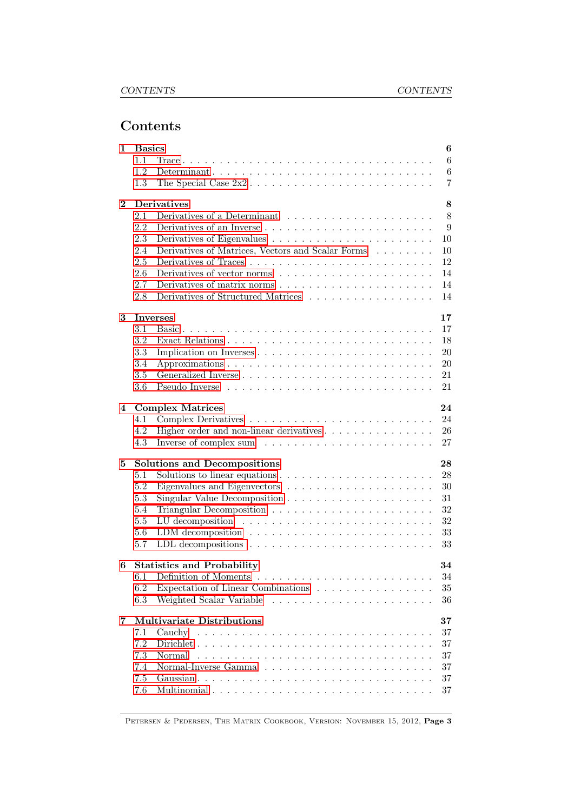# Contents

| 1        | <b>Basics</b> |                                                                                   |  |  |  |
|----------|---------------|-----------------------------------------------------------------------------------|--|--|--|
|          | 1.1           | 6                                                                                 |  |  |  |
|          | 1.2           | $\,6$                                                                             |  |  |  |
|          | 1.3           | $\overline{7}$                                                                    |  |  |  |
| $\bf{2}$ |               | <b>Derivatives</b><br>8                                                           |  |  |  |
|          | 2.1           | 8                                                                                 |  |  |  |
|          | 2.2           | 9                                                                                 |  |  |  |
|          | 2.3           | 10                                                                                |  |  |  |
|          | 2.4           | Derivatives of Matrices, Vectors and Scalar Forms<br>10                           |  |  |  |
|          | 2.5           | 12                                                                                |  |  |  |
|          | 2.6           | 14                                                                                |  |  |  |
|          | 2.7           | 14                                                                                |  |  |  |
|          | 2.8           | Derivatives of Structured Matrices<br>14                                          |  |  |  |
| 3        |               | 17<br>Inverses                                                                    |  |  |  |
|          | 3.1           | 17                                                                                |  |  |  |
|          | 3.2           | 18                                                                                |  |  |  |
|          | 3.3           | 20<br>Implication on Inverses                                                     |  |  |  |
|          | 3.4           | 20                                                                                |  |  |  |
|          | 3.5           | 21                                                                                |  |  |  |
|          | 3.6           | 21                                                                                |  |  |  |
| 4        |               | <b>Complex Matrices</b><br>24                                                     |  |  |  |
|          | 4.1           | 24                                                                                |  |  |  |
|          | 4.2           | 26                                                                                |  |  |  |
|          | 4.3           | 27                                                                                |  |  |  |
| 5        |               | <b>Solutions and Decompositions</b><br>28                                         |  |  |  |
|          | 5.1           | Solutions to linear equations $\dots \dots \dots \dots \dots \dots \dots$<br>28   |  |  |  |
|          | 5.2           | 30                                                                                |  |  |  |
|          | 5.3           | 31                                                                                |  |  |  |
|          | 5.4           | 32                                                                                |  |  |  |
|          | 5.5           | 32                                                                                |  |  |  |
|          | 5.6           | LDM decomposition $\ldots \ldots \ldots \ldots \ldots \ldots \ldots \ldots$<br>33 |  |  |  |
|          | 5.7           | 33                                                                                |  |  |  |
| 6        |               | <b>Statistics and Probability</b><br>34                                           |  |  |  |
|          | 6.1           | 34                                                                                |  |  |  |
|          | 6.2           | Expectation of Linear Combinations<br>35                                          |  |  |  |
|          | 6.3           | 36                                                                                |  |  |  |
| 7        |               | <b>Multivariate Distributions</b><br>37                                           |  |  |  |
|          | 7.1           | 37<br>Cauchy                                                                      |  |  |  |
|          | 7.2           | 37                                                                                |  |  |  |
|          | 7.3           | 37<br>Normal                                                                      |  |  |  |
|          | 7.4           | 37                                                                                |  |  |  |
|          | 7.5           | 37                                                                                |  |  |  |
|          | 7.6           | 37                                                                                |  |  |  |
|          |               |                                                                                   |  |  |  |

PETERSEN & PEDERSEN, THE MATRIX COOKBOOK, VERSION: NOVEMBER 15, 2012, Page 3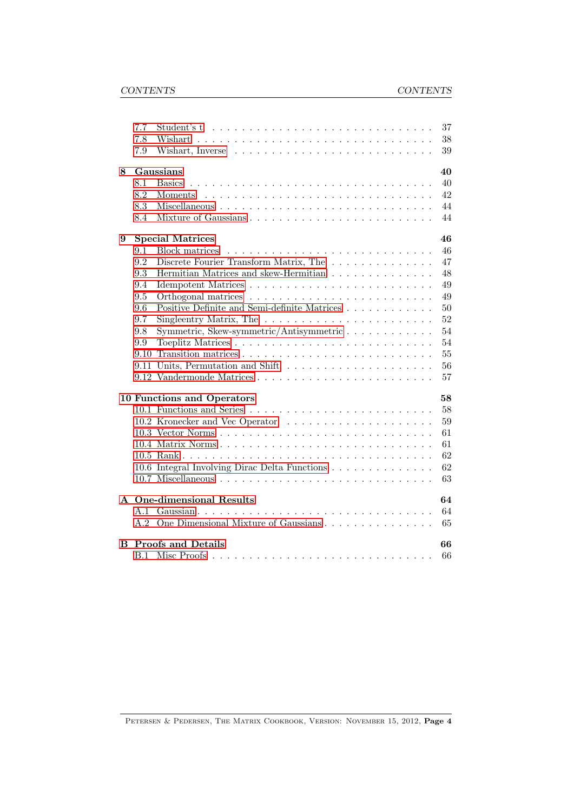|   | 7.7                             | 37<br>Student's t                                                                |  |  |  |
|---|---------------------------------|----------------------------------------------------------------------------------|--|--|--|
|   | 7.8                             | 38                                                                               |  |  |  |
|   | 7.9                             | 39                                                                               |  |  |  |
| 8 |                                 | 40<br>Gaussians                                                                  |  |  |  |
|   | 8.1                             | 40<br><b>Basics</b>                                                              |  |  |  |
|   | 8.2                             | 42                                                                               |  |  |  |
|   | 8.3                             | 44                                                                               |  |  |  |
|   | 8.4                             | 44                                                                               |  |  |  |
| 9 | 46<br><b>Special Matrices</b>   |                                                                                  |  |  |  |
|   | 9.1                             | 46<br>Block matrices                                                             |  |  |  |
|   | 9.2                             | Discrete Fourier Transform Matrix, The $\dots \dots \dots \dots$<br>47           |  |  |  |
|   | 9.3                             | Hermitian Matrices and skew-Hermitian<br>48                                      |  |  |  |
|   | 9.4                             | 49                                                                               |  |  |  |
|   | 9.5                             | 49                                                                               |  |  |  |
|   | 9.6                             | Positive Definite and Semi-definite Matrices<br>50                               |  |  |  |
|   | 9.7                             | Singleentry Matrix, The $\ldots \ldots \ldots \ldots \ldots \ldots \ldots$<br>52 |  |  |  |
|   | 9.8                             | Symmetric, Skew-symmetric/Antisymmetric<br>54                                    |  |  |  |
|   | 9.9                             | 54                                                                               |  |  |  |
|   | 9.10                            | 55                                                                               |  |  |  |
|   | 9.11                            | 56                                                                               |  |  |  |
|   |                                 | 57                                                                               |  |  |  |
|   |                                 | 58<br>10 Functions and Operators                                                 |  |  |  |
|   |                                 | 58                                                                               |  |  |  |
|   |                                 | 59                                                                               |  |  |  |
|   |                                 | 61                                                                               |  |  |  |
|   |                                 | 61                                                                               |  |  |  |
|   |                                 | 62                                                                               |  |  |  |
|   |                                 | 62<br>10.6 Integral Involving Dirac Delta Functions                              |  |  |  |
|   |                                 | 63                                                                               |  |  |  |
|   | A One-dimensional Results<br>64 |                                                                                  |  |  |  |
|   | A.1                             | 64                                                                               |  |  |  |
|   |                                 | A.2 One Dimensional Mixture of Gaussians<br>65                                   |  |  |  |
| B |                                 | <b>Proofs and Details</b><br>66                                                  |  |  |  |
|   | B.1                             | 66                                                                               |  |  |  |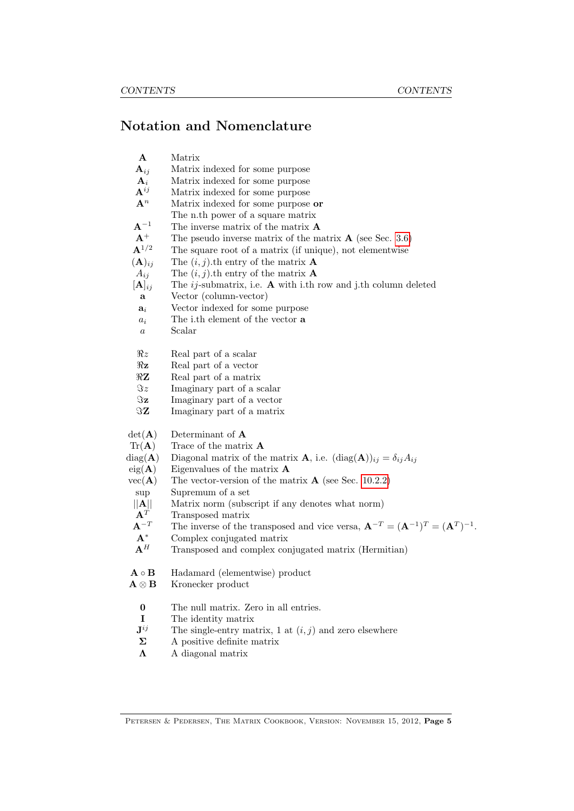# Notation and Nomenclature

| $\mathbf A$<br>$\mathbf{A}_{ij}$<br>${\bf A}_i$<br>$\mathbf{A}^{ij}$<br>${\bf A}^n$ | Matrix<br>Matrix indexed for some purpose<br>Matrix indexed for some purpose<br>Matrix indexed for some purpose<br>Matrix indexed for some purpose or<br>The n.th power of a square matrix |
|-------------------------------------------------------------------------------------|--------------------------------------------------------------------------------------------------------------------------------------------------------------------------------------------|
| $A^{-1}$                                                                            | The inverse matrix of the matrix $\bf{A}$                                                                                                                                                  |
| $\mathbf{A}^+$                                                                      | The pseudo inverse matrix of the matrix $\bf{A}$ (see Sec. 3.6)                                                                                                                            |
| ${\bf A}^{1/2}$                                                                     | The square root of a matrix (if unique), not elementwise                                                                                                                                   |
| $(A)_{ij}$                                                                          | The $(i, j)$ th entry of the matrix <b>A</b>                                                                                                                                               |
| $A_{ij}$                                                                            | The $(i, j)$ th entry of the matrix <b>A</b>                                                                                                                                               |
| $[\mathbf{A}]_{ij}$                                                                 | The $ij$ -submatrix, i.e. $A$ with i.th row and j.th column deleted                                                                                                                        |
| a                                                                                   | Vector (column-vector)                                                                                                                                                                     |
| $a_i$                                                                               | Vector indexed for some purpose                                                                                                                                                            |
| $a_i$                                                                               | The i.th element of the vector <b>a</b>                                                                                                                                                    |
| $\it a$                                                                             | Scalar                                                                                                                                                                                     |
| $\Re z$                                                                             | Real part of a scalar                                                                                                                                                                      |
| $\Re z$                                                                             | Real part of a vector                                                                                                                                                                      |
| $\Re Z$                                                                             | Real part of a matrix                                                                                                                                                                      |
| $\Im z$                                                                             | Imaginary part of a scalar                                                                                                                                                                 |
| $\Im \mathbf{z}$                                                                    | Imaginary part of a vector                                                                                                                                                                 |
| $\Im \mathbf{Z}$                                                                    | Imaginary part of a matrix                                                                                                                                                                 |
| $\det(\mathbf{A})$                                                                  | Determinant of A                                                                                                                                                                           |
| $\text{Tr}(\mathbf{A})$                                                             | Trace of the matrix <b>A</b>                                                                                                                                                               |
| $diag(\mathbf{A})$                                                                  | Diagonal matrix of the matrix <b>A</b> , i.e. $(\text{diag}(\mathbf{A}))_{ij} = \delta_{ij} A_{ij}$                                                                                        |
| $eig(\mathbf{A})$                                                                   | Eigenvalues of the matrix $\bf{A}$                                                                                                                                                         |
| $vec(\mathbf{A})$                                                                   | The vector-version of the matrix $\bf{A}$ (see Sec. 10.2.2)                                                                                                                                |
| sup                                                                                 | Supremum of a set                                                                                                                                                                          |
| $\ A\ $                                                                             | Matrix norm (subscript if any denotes what norm)                                                                                                                                           |
| ${\bf A}^T$                                                                         | Transposed matrix                                                                                                                                                                          |
| ${\bf A}^{-T}$                                                                      | The inverse of the transposed and vice versa, $\mathbf{A}^{-T} = (\mathbf{A}^{-1})^T = (\mathbf{A}^T)^{-1}$ .                                                                              |
| $A^*$                                                                               | Complex conjugated matrix                                                                                                                                                                  |
| ${\bf A}^H$                                                                         | Transposed and complex conjugated matrix (Hermitian)                                                                                                                                       |
| $\mathbf{A} \circ \mathbf{B}$                                                       | Hadamard (elementwise) product                                                                                                                                                             |
| ${\bf A} \otimes {\bf B}$                                                           | Kronecker product                                                                                                                                                                          |
| $\pmb{0}$                                                                           | The null matrix. Zero in all entries.                                                                                                                                                      |
| I                                                                                   | The identity matrix                                                                                                                                                                        |
| $\mathbf{J}^{ij}$                                                                   | The single-entry matrix, 1 at $(i, j)$ and zero elsewhere                                                                                                                                  |
| Σ                                                                                   | A positive definite matrix                                                                                                                                                                 |
| $\Lambda$                                                                           | A diagonal matrix                                                                                                                                                                          |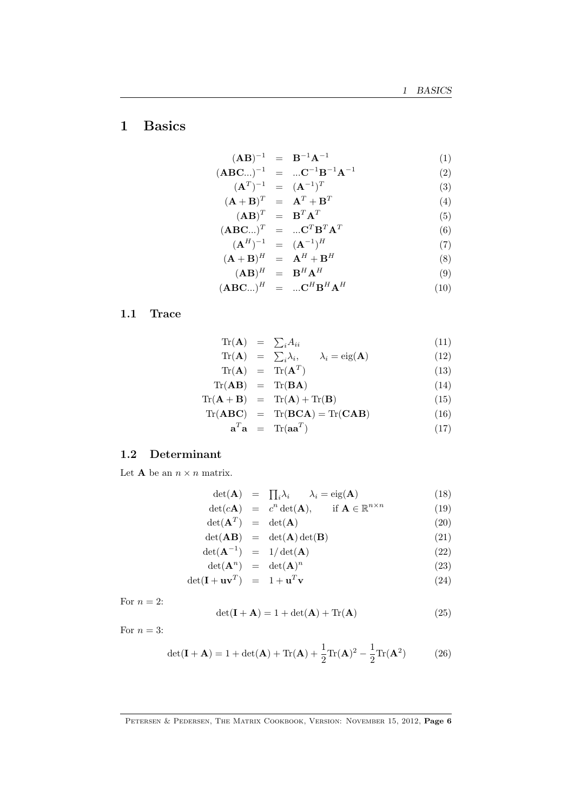# <span id="page-5-0"></span>1 Basics

$$
(\mathbf{A}\mathbf{B})^{-1} = \mathbf{B}^{-1}\mathbf{A}^{-1} \tag{1}
$$

$$
(\mathbf{ABC}...)^{-1} = ... \mathbf{C}^{-1} \mathbf{B}^{-1} \mathbf{A}^{-1}
$$
 (2)

$$
(\mathbf{A}^T)^{-1} = (\mathbf{A}^{-1})^T
$$
\n
$$
(\mathbf{A} + \mathbf{B})^T = \mathbf{A}^T + \mathbf{B}^T
$$
\n(3)

$$
(\mathbf{A} + \mathbf{B})^T = \mathbf{A}^T + \mathbf{B}^T
$$
  
\n
$$
(\mathbf{A}\mathbf{B})^T = \mathbf{B}^T \mathbf{A}^T
$$
\n(4)

$$
(\mathbf{ABC}^{\mathbf{A}})^{T} = \dots \mathbf{C}^{T} \mathbf{B}^{T} \mathbf{A}^{T}
$$
 (6)

$$
\left(\mathbf{A}^H\right)^{-1} = \left(\mathbf{A}^{-1}\right)^H \tag{7}
$$

$$
(\mathbf{A} + \mathbf{B})^H = \mathbf{A}^H + \mathbf{B}^H
$$
 (8)

$$
(\mathbf{A}\mathbf{B})^H = \mathbf{B}^H \mathbf{A}^H \tag{9}
$$

$$
(\mathbf{ABC}...)^H = ... \mathbf{C}^H \mathbf{B}^H \mathbf{A}^H
$$
 (10)

# <span id="page-5-1"></span>1.1 Trace

$$
\text{Tr}(\mathbf{A}) = \sum_{i} A_{ii} \tag{11}
$$
\n
$$
\text{Tr}(\mathbf{A}) = \sum_{i} A_{ii} \tag{12}
$$

$$
\mathrm{Tr}(\mathbf{A}) = \sum_{i} \lambda_{i}, \qquad \lambda_{i} = \mathrm{eig}(\mathbf{A}) \tag{12}
$$
\n
$$
\mathrm{Tr}(\mathbf{A}) = \mathrm{Tr}(\mathbf{A}^{T}) \tag{13}
$$

$$
\operatorname{Tr}(\mathbf{A}) = \operatorname{Tr}(\mathbf{A}^T) \tag{13}
$$
\n
$$
\operatorname{Tr}(\mathbf{A}\mathbf{B}) = \operatorname{Tr}(\mathbf{B}\mathbf{A}) \tag{14}
$$

$$
\text{Tr}(\mathbf{A} + \mathbf{B}) = \text{Tr}(\mathbf{A}) + \text{Tr}(\mathbf{B}) \tag{15}
$$

$$
\text{Tr}(\mathbf{ABC}) = \text{Tr}(\mathbf{BCA}) = \text{Tr}(\mathbf{CAB}) \tag{16}
$$

$$
\mathbf{a}^T \mathbf{a} = \text{Tr}(\mathbf{a} \mathbf{a}^T) \tag{17}
$$

# <span id="page-5-2"></span>1.2 Determinant

Let **A** be an  $n \times n$  matrix.

$$
\det(\mathbf{A}) = \prod_{i} \lambda_i \qquad \lambda_i = \text{eig}(\mathbf{A}) \tag{18}
$$

$$
\det(c\mathbf{A}) = c^n \det(\mathbf{A}), \quad \text{if } \mathbf{A} \in \mathbb{R}^{n \times n}
$$
 (19)

$$
\det(\mathbf{A}^T) = \det(\mathbf{A}) \tag{20}
$$

$$
\det(\mathbf{AB}) = \det(\mathbf{A}) \det(\mathbf{B}) \tag{21}
$$
\n
$$
\det(\mathbf{A}^{-1}) = 1/\det(\mathbf{A}) \tag{22}
$$

$$
\det(\mathbf{A}^n) = 1/\det(\mathbf{A}) \tag{22}
$$
\n
$$
\det(\mathbf{A}^n) = \det(\mathbf{A})^n \tag{23}
$$

$$
\det(\mathbf{A}^n) = \det(\mathbf{A})^n \tag{23}
$$

$$
\det(\mathbf{I} + \mathbf{u}\mathbf{v}^T) = 1 + \mathbf{u}^T \mathbf{v}
$$
 (24)

For  $n = 2$ :

$$
\det(\mathbf{I} + \mathbf{A}) = 1 + \det(\mathbf{A}) + \text{Tr}(\mathbf{A})
$$
\n(25)

For  $n = 3$ :

$$
\det(\mathbf{I} + \mathbf{A}) = 1 + \det(\mathbf{A}) + \text{Tr}(\mathbf{A}) + \frac{1}{2}\text{Tr}(\mathbf{A})^2 - \frac{1}{2}\text{Tr}(\mathbf{A}^2)
$$
(26)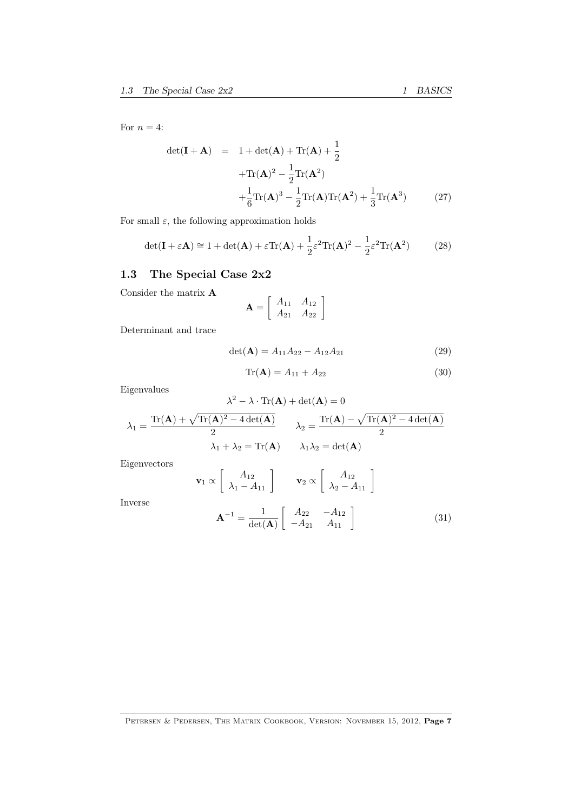For  $n = 4$ :

$$
\det(\mathbf{I} + \mathbf{A}) = 1 + \det(\mathbf{A}) + \text{Tr}(\mathbf{A}) + \frac{1}{2}
$$

$$
+ \text{Tr}(\mathbf{A})^2 - \frac{1}{2} \text{Tr}(\mathbf{A}^2)
$$

$$
+ \frac{1}{6} \text{Tr}(\mathbf{A})^3 - \frac{1}{2} \text{Tr}(\mathbf{A}) \text{Tr}(\mathbf{A}^2) + \frac{1}{3} \text{Tr}(\mathbf{A}^3) \tag{27}
$$

For small  $\varepsilon$ , the following approximation holds

$$
\det(\mathbf{I} + \varepsilon \mathbf{A}) \cong 1 + \det(\mathbf{A}) + \varepsilon \text{Tr}(\mathbf{A}) + \frac{1}{2} \varepsilon^2 \text{Tr}(\mathbf{A})^2 - \frac{1}{2} \varepsilon^2 \text{Tr}(\mathbf{A}^2)
$$
 (28)

# <span id="page-6-0"></span>1.3 The Special Case 2x2

Consider the matrix A

$$
\mathbf{A} = \left[ \begin{array}{cc} A_{11} & A_{12} \\ A_{21} & A_{22} \end{array} \right]
$$

Determinant and trace

$$
\det(\mathbf{A}) = A_{11}A_{22} - A_{12}A_{21} \tag{29}
$$

$$
Tr(A) = A_{11} + A_{22}
$$
 (30)

Eigenvalues

$$
\lambda^{2} - \lambda \cdot \text{Tr}(\mathbf{A}) + \det(\mathbf{A}) = 0
$$

$$
\lambda_{1} = \frac{\text{Tr}(\mathbf{A}) + \sqrt{\text{Tr}(\mathbf{A})^{2} - 4 \det(\mathbf{A})}}{2} \qquad \lambda_{2} = \frac{\text{Tr}(\mathbf{A}) - \sqrt{\text{Tr}(\mathbf{A})^{2} - 4 \det(\mathbf{A})}}{2}
$$

$$
\lambda_{1} + \lambda_{2} = \text{Tr}(\mathbf{A}) \qquad \lambda_{1} \lambda_{2} = \det(\mathbf{A})
$$

Eigenvectors

Inverse

$$
\mathbf{v}_1 \propto \begin{bmatrix} A_{12} \\ \lambda_1 - A_{11} \end{bmatrix} \qquad \mathbf{v}_2 \propto \begin{bmatrix} A_{12} \\ \lambda_2 - A_{11} \end{bmatrix}
$$

$$
\mathbf{A}^{-1} = \frac{1}{\det(\mathbf{A})} \begin{bmatrix} A_{22} & -A_{12} \\ -A_{21} & A_{11} \end{bmatrix}
$$
(31)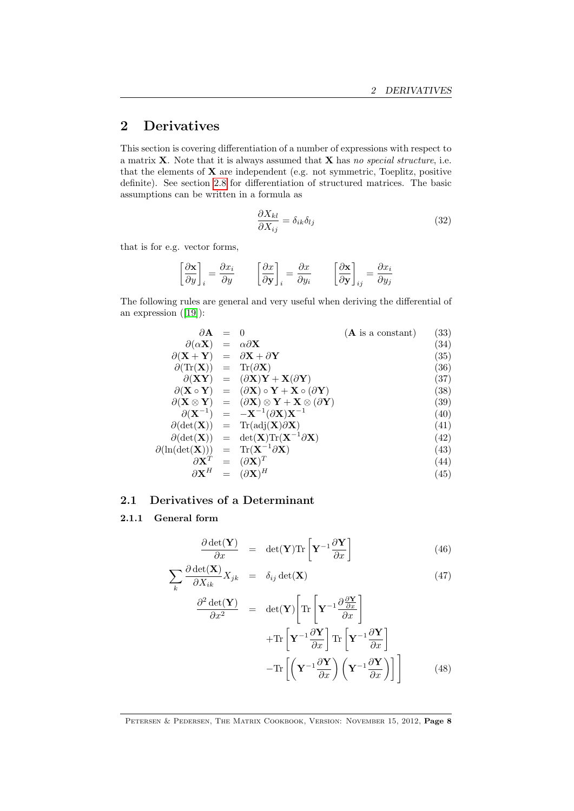# <span id="page-7-0"></span>2 Derivatives

This section is covering differentiation of a number of expressions with respect to a matrix  $X$ . Note that it is always assumed that  $X$  has no special structure, i.e. that the elements of  $X$  are independent (e.g. not symmetric, Toeplitz, positive definite). See section [2.8](#page-13-2) for differentiation of structured matrices. The basic assumptions can be written in a formula as

<span id="page-7-2"></span>
$$
\frac{\partial X_{kl}}{\partial X_{ij}} = \delta_{ik}\delta_{lj} \tag{32}
$$

that is for e.g. vector forms,

$$
\left[\frac{\partial {\bf x}}{\partial y}\right]_i = \frac{\partial x_i}{\partial y} \qquad \left[\frac{\partial x}{\partial {\bf y}}\right]_i = \frac{\partial x}{\partial y_i} \qquad \left[\frac{\partial {\bf x}}{\partial {\bf y}}\right]_{ij} = \frac{\partial x_i}{\partial y_j}
$$

The following rules are general and very useful when deriving the differential of an expression([\[19\]](#page-70-0)):

$$
\partial \mathbf{A} = 0 \qquad (\mathbf{A} \text{ is a constant}) \qquad (33)
$$
\n
$$
\partial(\alpha \mathbf{X}) = \alpha \partial \mathbf{X} \qquad (34)
$$
\n
$$
\partial(\mathbf{X} + \mathbf{Y}) = \partial \mathbf{X} + \partial \mathbf{Y} \qquad (35)
$$
\n
$$
\partial(\text{Tr}(\mathbf{X})) = \text{Tr}(\partial \mathbf{X}) \qquad (36)
$$
\n
$$
\partial(\mathbf{X} \mathbf{Y}) = (\partial \mathbf{X})\mathbf{Y} + \mathbf{X}(\partial \mathbf{Y}) \qquad (37)
$$
\n
$$
\partial(\mathbf{X} \circ \mathbf{Y}) = (\partial \mathbf{X}) \circ \mathbf{Y} + \mathbf{X} \circ (\partial \mathbf{Y}) \qquad (38)
$$
\n
$$
\partial(\mathbf{X} \otimes \mathbf{Y}) = (\partial \mathbf{X}) \otimes \mathbf{Y} + \mathbf{X} \otimes (\partial \mathbf{Y}) \qquad (39)
$$
\n
$$
\partial(\mathbf{X}^{-1}) = -\mathbf{X}^{-1}(\partial \mathbf{X})\mathbf{X}^{-1} \qquad (40)
$$
\n
$$
\partial(\det(\mathbf{X})) = \text{Tr}(\text{adj}(\mathbf{X})\partial \mathbf{X}) \qquad (41)
$$
\n
$$
\partial(\det(\mathbf{X})) = \det(\mathbf{X})\text{Tr}(\mathbf{X}^{-1}\partial \mathbf{X}) \qquad (42)
$$
\n
$$
\partial \mathbf{X}^{T} = (\partial \mathbf{X})^{T} \qquad (43)
$$
\n
$$
\partial \mathbf{X}^{H} = (\partial \mathbf{X})^{H} \qquad (45)
$$

# <span id="page-7-1"></span>2.1 Derivatives of a Determinant

# 2.1.1 General form

$$
\frac{\partial \det(\mathbf{Y})}{\partial x} = \det(\mathbf{Y}) \text{Tr} \left[ \mathbf{Y}^{-1} \frac{\partial \mathbf{Y}}{\partial x} \right]
$$
(46)

$$
\sum_{k} \frac{\partial \det(\mathbf{X})}{\partial X_{ik}} X_{jk} = \delta_{ij} \det(\mathbf{X}) \tag{47}
$$

$$
\frac{\partial^2 \det(\mathbf{Y})}{\partial x^2} = \det(\mathbf{Y}) \left[ \text{Tr} \left[ \mathbf{Y}^{-1} \frac{\partial \frac{\partial \mathbf{Y}}{\partial x}}{\partial x} \right] + \text{Tr} \left[ \mathbf{Y}^{-1} \frac{\partial \mathbf{Y}}{\partial x} \right] \text{Tr} \left[ \mathbf{Y}^{-1} \frac{\partial \mathbf{Y}}{\partial x} \right] - \text{Tr} \left[ \left( \mathbf{Y}^{-1} \frac{\partial \mathbf{Y}}{\partial x} \right) \left( \mathbf{Y}^{-1} \frac{\partial \mathbf{Y}}{\partial x} \right) \right] \right]
$$
(48)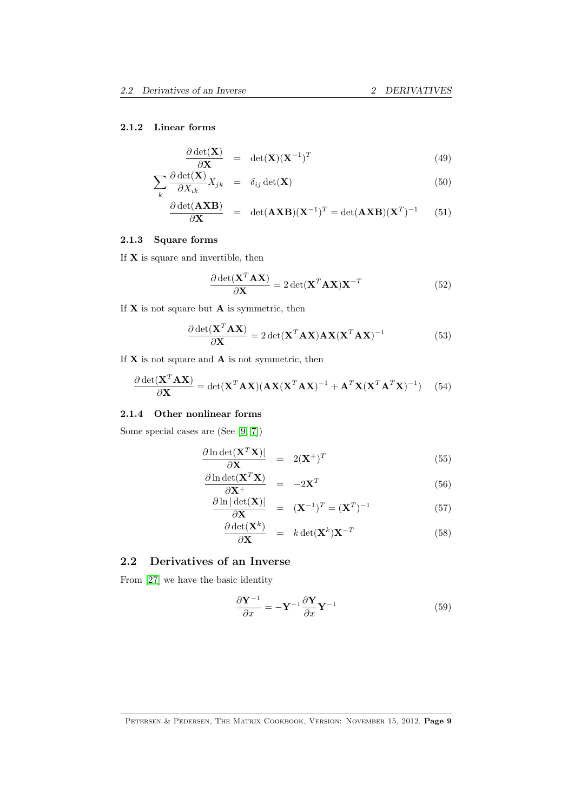#### 2.1.2 Linear forms

$$
\frac{\partial \det(\mathbf{X})}{\partial \mathbf{X}} = \det(\mathbf{X})(\mathbf{X}^{-1})^T
$$
\n(49)

$$
\sum_{k} \frac{\partial \det(\mathbf{X})}{\partial X_{ik}} X_{jk} = \delta_{ij} \det(\mathbf{X})
$$
\n(50)

$$
\frac{\partial \det(\mathbf{AXB})}{\partial \mathbf{X}} = \det(\mathbf{AXB})(\mathbf{X}^{-1})^T = \det(\mathbf{AXB})(\mathbf{X}^T)^{-1} \qquad (51)
$$

# 2.1.3 Square forms

If  $X$  is square and invertible, then

$$
\frac{\partial \det(\mathbf{X}^T \mathbf{A} \mathbf{X})}{\partial \mathbf{X}} = 2 \det(\mathbf{X}^T \mathbf{A} \mathbf{X}) \mathbf{X}^{-T}
$$
(52)

If  $X$  is not square but  $A$  is symmetric, then

$$
\frac{\partial \det(\mathbf{X}^T \mathbf{A} \mathbf{X})}{\partial \mathbf{X}} = 2 \det(\mathbf{X}^T \mathbf{A} \mathbf{X}) \mathbf{A} \mathbf{X} (\mathbf{X}^T \mathbf{A} \mathbf{X})^{-1}
$$
(53)

If  $X$  is not square and  $A$  is not symmetric, then

$$
\frac{\partial \det(\mathbf{X}^T \mathbf{A} \mathbf{X})}{\partial \mathbf{X}} = \det(\mathbf{X}^T \mathbf{A} \mathbf{X}) (\mathbf{A} \mathbf{X} (\mathbf{X}^T \mathbf{A} \mathbf{X})^{-1} + \mathbf{A}^T \mathbf{X} (\mathbf{X}^T \mathbf{A}^T \mathbf{X})^{-1})
$$
(54)

#### 2.1.4 Other nonlinear forms

Some special cases are (See [\[9,](#page-69-0) [7\]](#page-69-1))

$$
\frac{\partial \ln \det(\mathbf{X}^T \mathbf{X})|}{\partial \mathbf{X}} = 2(\mathbf{X}^+)^T \tag{55}
$$

$$
\frac{\partial \ln \det(\mathbf{X}^T \mathbf{X})}{\partial \mathbf{X}^+} = -2\mathbf{X}^T
$$
\n
$$
\frac{\partial \ln |\det(\mathbf{X})|}{\partial \mathbf{X}^+} = (\mathbf{X}^{-1})^T = (\mathbf{X}^T)^{-1}
$$
\n(56)

$$
\frac{\partial \ln |\det(\mathbf{X})|}{\partial \mathbf{X}} = (\mathbf{X}^{-1})^T = (\mathbf{X}^T)^{-1}
$$
(57)

$$
\frac{\partial \det(\mathbf{X}^k)}{\partial \mathbf{X}} = k \det(\mathbf{X}^k) \mathbf{X}^{-T}
$$
 (58)

# <span id="page-8-0"></span>2.2 Derivatives of an Inverse

From [\[27\]](#page-70-1) we have the basic identity

$$
\frac{\partial \mathbf{Y}^{-1}}{\partial x} = -\mathbf{Y}^{-1} \frac{\partial \mathbf{Y}}{\partial x} \mathbf{Y}^{-1}
$$
 (59)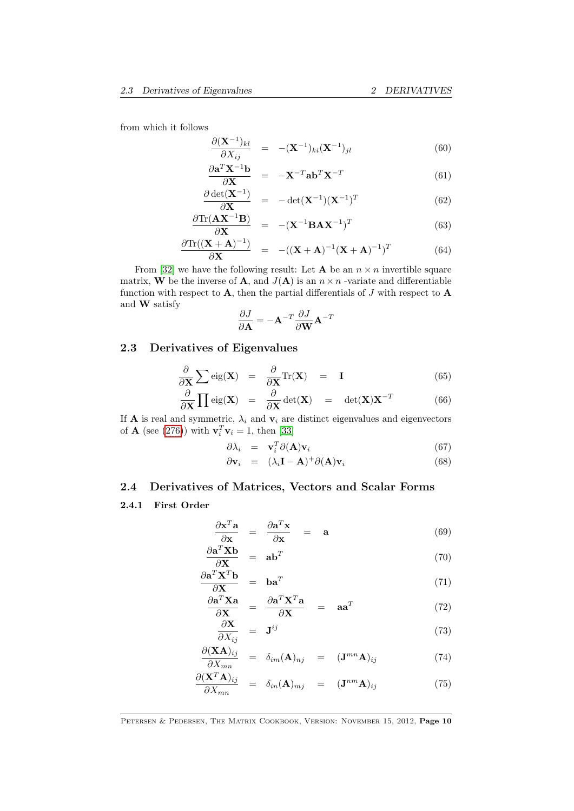from which it follows

$$
\frac{\partial (\mathbf{X}^{-1})_{kl}}{\partial X_{ij}} = -(\mathbf{X}^{-1})_{ki} (\mathbf{X}^{-1})_{jl} \tag{60}
$$

$$
\frac{\partial \mathbf{a}^T \mathbf{X}^{-1} \mathbf{b}}{\partial \mathbf{X}} = -\mathbf{X}^{-T} \mathbf{a} \mathbf{b}^T \mathbf{X}^{-T}
$$
(61)

$$
\frac{\partial \det(\mathbf{X}^{-1})}{\partial \mathbf{X}} = -\det(\mathbf{X}^{-1})(\mathbf{X}^{-1})^T \tag{62}
$$

$$
\frac{\partial \text{Tr}(\mathbf{A}\mathbf{X}^{-1}\mathbf{B})}{\partial \mathbf{X}} = -(\mathbf{X}^{-1}\mathbf{B}\mathbf{A}\mathbf{X}^{-1})^T
$$
(63)

$$
\frac{\partial \text{Tr}((\mathbf{X} + \mathbf{A})^{-1})}{\partial \mathbf{X}} = -((\mathbf{X} + \mathbf{A})^{-1}(\mathbf{X} + \mathbf{A})^{-1})^T \tag{64}
$$

From [\[32\]](#page-70-2) we have the following result: Let **A** be an  $n \times n$  invertible square matrix, W be the inverse of A, and  $J(A)$  is an  $n \times n$  -variate and differentiable function with respect to  $A$ , then the partial differentials of  $J$  with respect to  $A$ and W satisfy

$$
\frac{\partial J}{\partial \mathbf{A}} = -\mathbf{A}^{-T} \frac{\partial J}{\partial \mathbf{W}} \mathbf{A}^{-T}
$$

# <span id="page-9-0"></span>2.3 Derivatives of Eigenvalues

$$
\frac{\partial}{\partial \mathbf{X}} \sum \text{eig}(\mathbf{X}) = \frac{\partial}{\partial \mathbf{X}} \text{Tr}(\mathbf{X}) = \mathbf{I}
$$
 (65)

$$
\frac{\partial}{\partial \mathbf{X}} \prod \text{eig}(\mathbf{X}) = \frac{\partial}{\partial \mathbf{X}} \text{det}(\mathbf{X}) = \text{det}(\mathbf{X}) \mathbf{X}^{-T}
$$
(66)

If **A** is real and symmetric,  $\lambda_i$  and  $\mathbf{v}_i$  are distinct eigenvalues and eigenvectors of **A** (see [\(276\)](#page-29-1)) with  $\mathbf{v}_i^T \mathbf{v}_i = 1$ , then [\[33\]](#page-70-3)

$$
\partial \lambda_i = \mathbf{v}_i^T \partial(\mathbf{A}) \mathbf{v}_i \tag{67}
$$

$$
\partial \mathbf{v}_i = (\lambda_i \mathbf{I} - \mathbf{A})^+ \partial(\mathbf{A}) \mathbf{v}_i \tag{68}
$$

# <span id="page-9-1"></span>2.4 Derivatives of Matrices, Vectors and Scalar Forms

# 2.4.1 First Order

$$
\frac{\partial \mathbf{x}^T \mathbf{a}}{\partial \mathbf{x}} = \frac{\partial \mathbf{a}^T \mathbf{x}}{\partial \mathbf{x}} = \mathbf{a} \tag{69}
$$

$$
\frac{\partial \mathbf{a}^T \mathbf{X} \mathbf{b}}{\partial \mathbf{X}} = \mathbf{a} \mathbf{b}^T
$$
 (70)

$$
\frac{\partial \mathbf{a}^T \mathbf{X}^T \mathbf{b}}{\partial \mathbf{X}} = \mathbf{b} \mathbf{a}^T \tag{71}
$$

$$
\frac{\partial \mathbf{a}^T \mathbf{X} \mathbf{a}}{\partial \mathbf{X}} = \frac{\partial \mathbf{a}^T \mathbf{X}^T \mathbf{a}}{\partial \mathbf{X}} = \mathbf{a} \mathbf{a}^T
$$
 (72)

$$
\frac{\partial \mathbf{X}}{\partial X_{ij}} = \mathbf{J}^{ij} \tag{73}
$$

$$
\frac{\partial (\mathbf{X}\mathbf{A})_{ij}}{\partial X_{mn}} = \delta_{im}(\mathbf{A})_{nj} = (\mathbf{J}^{mn}\mathbf{A})_{ij}
$$
(74)

$$
\frac{\partial (\mathbf{X}^T \mathbf{A})_{ij}}{\partial X_{mn}} = \delta_{in}(\mathbf{A})_{mj} = (\mathbf{J}^{nm} \mathbf{A})_{ij}
$$
(75)

PETERSEN & PEDERSEN, THE MATRIX COOKBOOK, VERSION: NOVEMBER 15, 2012, Page 10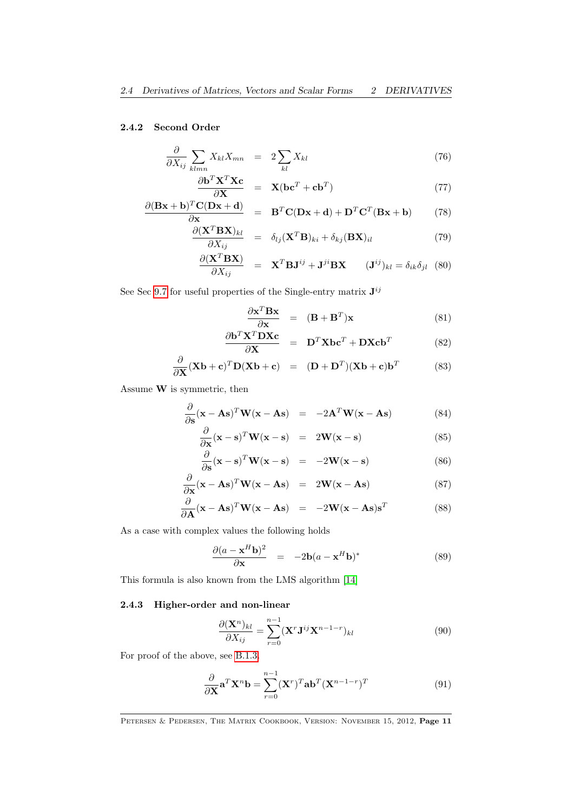# 2.4.2 Second Order

$$
\frac{\partial}{\partial X_{ij}} \sum_{klmn} X_{kl} X_{mn} = 2 \sum_{kl} X_{kl} \tag{76}
$$

$$
\frac{\partial \mathbf{b}^T \mathbf{X}^T \mathbf{X} \mathbf{c}}{\partial \mathbf{X}} = \mathbf{X} (\mathbf{b} \mathbf{c}^T + \mathbf{c} \mathbf{b}^T) \tag{77}
$$

$$
\frac{\partial (\mathbf{Bx} + \mathbf{b})^T \mathbf{C} (\mathbf{Dx} + \mathbf{d})}{\partial \mathbf{x}} = \mathbf{B}^T \mathbf{C} (\mathbf{Dx} + \mathbf{d}) + \mathbf{D}^T \mathbf{C}^T (\mathbf{Bx} + \mathbf{b})
$$
(78)

$$
\frac{\partial (\mathbf{X}^T \mathbf{B} \mathbf{X})_{kl}}{\partial X_{ij}} = \delta_{lj} (\mathbf{X}^T \mathbf{B})_{ki} + \delta_{kj} (\mathbf{B} \mathbf{X})_{il}
$$
(79)

$$
\frac{\partial (\mathbf{X}^T \mathbf{B} \mathbf{X})}{\partial X_{ij}} = \mathbf{X}^T \mathbf{B} \mathbf{J}^{ij} + \mathbf{J}^{ji} \mathbf{B} \mathbf{X} \qquad (\mathbf{J}^{ij})_{kl} = \delta_{ik} \delta_{jl} \quad (80)
$$

See Sec [9.7](#page-51-0) for useful properties of the Single-entry matrix  $J^{ij}$ 

$$
\frac{\partial \mathbf{x}^T \mathbf{B} \mathbf{x}}{\partial \mathbf{x}} = (\mathbf{B} + \mathbf{B}^T) \mathbf{x}
$$
 (81)

$$
\frac{\partial \mathbf{b}^T \mathbf{X}^T \mathbf{D} \mathbf{X} \mathbf{c}}{\partial \mathbf{X}} = \mathbf{D}^T \mathbf{X} \mathbf{b} \mathbf{c}^T + \mathbf{D} \mathbf{X} \mathbf{c} \mathbf{b}^T
$$
 (82)

$$
\frac{\partial}{\partial \mathbf{X}} (\mathbf{X}\mathbf{b} + \mathbf{c})^T \mathbf{D} (\mathbf{X}\mathbf{b} + \mathbf{c}) = (\mathbf{D} + \mathbf{D}^T) (\mathbf{X}\mathbf{b} + \mathbf{c}) \mathbf{b}^T
$$
(83)

Assume W is symmetric, then

$$
\frac{\partial}{\partial s}(\mathbf{x} - \mathbf{A}s)^T \mathbf{W}(\mathbf{x} - \mathbf{A}s) = -2\mathbf{A}^T \mathbf{W}(\mathbf{x} - \mathbf{A}s)
$$
(84)

$$
\frac{\partial}{\partial \mathbf{x}} (\mathbf{x} - \mathbf{s})^T \mathbf{W} (\mathbf{x} - \mathbf{s}) = 2\mathbf{W} (\mathbf{x} - \mathbf{s}) \tag{85}
$$

$$
\frac{\partial}{\partial \mathbf{s}}(\mathbf{x} - \mathbf{s})^T \mathbf{W}(\mathbf{x} - \mathbf{s}) = -2\mathbf{W}(\mathbf{x} - \mathbf{s}) \tag{86}
$$

$$
\frac{\partial}{\partial \mathbf{x}} (\mathbf{x} - \mathbf{A}\mathbf{s})^T \mathbf{W} (\mathbf{x} - \mathbf{A}\mathbf{s}) = 2\mathbf{W} (\mathbf{x} - \mathbf{A}\mathbf{s}) \tag{87}
$$

$$
\frac{\partial}{\partial \mathbf{A}} (\mathbf{x} - \mathbf{A}\mathbf{s})^T \mathbf{W} (\mathbf{x} - \mathbf{A}\mathbf{s}) = -2\mathbf{W} (\mathbf{x} - \mathbf{A}\mathbf{s}) \mathbf{s}^T
$$
 (88)

As a case with complex values the following holds

$$
\frac{\partial (a - \mathbf{x}^H \mathbf{b})^2}{\partial \mathbf{x}} = -2\mathbf{b}(a - \mathbf{x}^H \mathbf{b})^*
$$
(89)

This formula is also known from the LMS algorithm [\[14\]](#page-69-2)

#### 2.4.3 Higher-order and non-linear

$$
\frac{\partial (\mathbf{X}^n)_{kl}}{\partial X_{ij}} = \sum_{r=0}^{n-1} (\mathbf{X}^r \mathbf{J}^{ij} \mathbf{X}^{n-1-r})_{kl}
$$
(90)

For proof of the above, see [B.1.3.](#page-66-0)

$$
\frac{\partial}{\partial \mathbf{X}} \mathbf{a}^T \mathbf{X}^n \mathbf{b} = \sum_{r=0}^{n-1} (\mathbf{X}^r)^T \mathbf{a} \mathbf{b}^T (\mathbf{X}^{n-1-r})^T
$$
(91)

PETERSEN & PEDERSEN, THE MATRIX COOKBOOK, VERSION: NOVEMBER 15, 2012, Page 11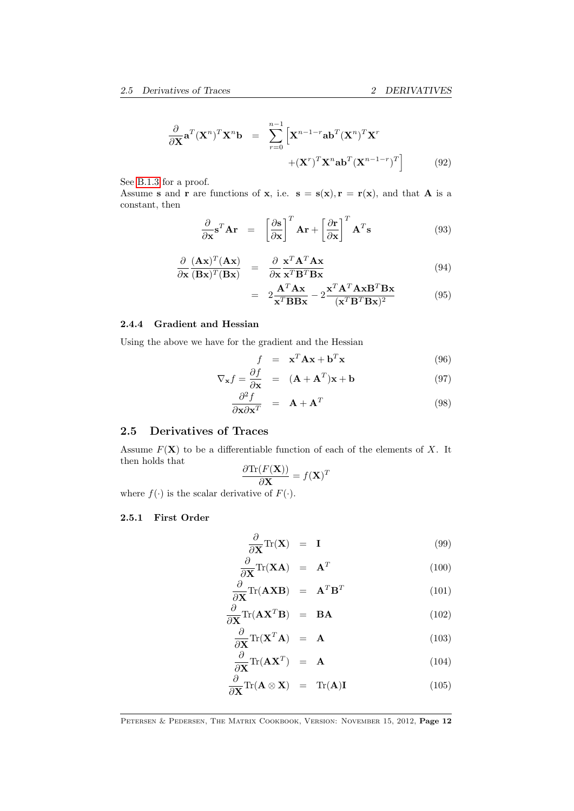$$
\frac{\partial}{\partial \mathbf{X}} \mathbf{a}^T (\mathbf{X}^n)^T \mathbf{X}^n \mathbf{b} = \sum_{r=0}^{n-1} \left[ \mathbf{X}^{n-1-r} \mathbf{a} \mathbf{b}^T (\mathbf{X}^n)^T \mathbf{X}^r + (\mathbf{X}^r)^T \mathbf{X}^n \mathbf{a} \mathbf{b}^T (\mathbf{X}^{n-1-r})^T \right]
$$
(92)

See [B.1.3](#page-66-0) for a proof.

Assume s and r are functions of x, i.e.  $s = s(x), r = r(x)$ , and that A is a constant, then

$$
\frac{\partial}{\partial \mathbf{x}} \mathbf{s}^T \mathbf{A} \mathbf{r} = \left[ \frac{\partial \mathbf{s}}{\partial \mathbf{x}} \right]^T \mathbf{A} \mathbf{r} + \left[ \frac{\partial \mathbf{r}}{\partial \mathbf{x}} \right]^T \mathbf{A}^T \mathbf{s}
$$
(93)

$$
\frac{\partial}{\partial \mathbf{x}} \frac{(\mathbf{A}\mathbf{x})^T (\mathbf{A}\mathbf{x})}{(\mathbf{B}\mathbf{x})^T (\mathbf{B}\mathbf{x})} = \frac{\partial}{\partial \mathbf{x}} \frac{\mathbf{x}^T \mathbf{A}^T \mathbf{A} \mathbf{x}}{\mathbf{x}^T \mathbf{B}^T \mathbf{B} \mathbf{x}}
$$
(94)

$$
= 2\frac{\mathbf{A}^T \mathbf{A} \mathbf{x}}{\mathbf{x}^T \mathbf{B} \mathbf{B} \mathbf{x}} - 2\frac{\mathbf{x}^T \mathbf{A}^T \mathbf{A} \mathbf{x} \mathbf{B}^T \mathbf{B} \mathbf{x}}{(\mathbf{x}^T \mathbf{B}^T \mathbf{B} \mathbf{x})^2}
$$
(95)

#### 2.4.4 Gradient and Hessian

Using the above we have for the gradient and the Hessian

$$
f = \mathbf{x}^T \mathbf{A} \mathbf{x} + \mathbf{b}^T \mathbf{x}
$$
 (96)

$$
\nabla_{\mathbf{x}} f = \frac{\partial f}{\partial \mathbf{x}} = (\mathbf{A} + \mathbf{A}^T) \mathbf{x} + \mathbf{b}
$$
(97)

$$
\frac{\partial^2 f}{\partial \mathbf{x} \partial \mathbf{x}^T} = \mathbf{A} + \mathbf{A}^T
$$
 (98)

# <span id="page-11-0"></span>2.5 Derivatives of Traces

Assume  $F(\mathbf{X})$  to be a differentiable function of each of the elements of X. It then holds that  $\partial$ Tr $(F(\mathbf{V}))$ 

$$
\frac{\partial \text{Tr}(F(\mathbf{X}))}{\partial \mathbf{X}} = f(\mathbf{X})^T
$$

where  $f(\cdot)$  is the scalar derivative of  $F(\cdot)$ .

# 2.5.1 First Order

<span id="page-11-1"></span>
$$
\frac{\partial}{\partial \mathbf{X}} \text{Tr}(\mathbf{X}) = \mathbf{I} \tag{99}
$$

$$
\frac{\partial}{\partial \mathbf{X}} \text{Tr}(\mathbf{X} \mathbf{A}) = \mathbf{A}^T
$$
 (100)

$$
\frac{\partial}{\partial \mathbf{X}} \text{Tr}(\mathbf{A} \mathbf{X} \mathbf{B}) = \mathbf{A}^T \mathbf{B}^T
$$
 (101)

$$
\frac{\partial}{\partial \mathbf{X}} \text{Tr}(\mathbf{A} \mathbf{X}^T \mathbf{B}) = \mathbf{B} \mathbf{A}
$$
 (102)

$$
\frac{\partial}{\partial \mathbf{X}} \text{Tr}(\mathbf{X}^T \mathbf{A}) = \mathbf{A} \tag{103}
$$
\n
$$
\frac{\partial}{\partial \mathbf{X}} \text{Tr}(\mathbf{A} \mathbf{X}^T) = \mathbf{A} \tag{104}
$$

$$
\frac{\partial}{\partial \mathbf{X}} \text{Tr}(\mathbf{A} \mathbf{X}^T) = \mathbf{A} \tag{104}
$$
\n
$$
\frac{\partial}{\partial \mathbf{X}} \text{Tr}(\mathbf{A} \odot \mathbf{Y}) = \mathbf{X} \tag{105}
$$

$$
\frac{\partial}{\partial \mathbf{X}} \text{Tr}(\mathbf{A} \otimes \mathbf{X}) = \text{Tr}(\mathbf{A}) \mathbf{I} \tag{105}
$$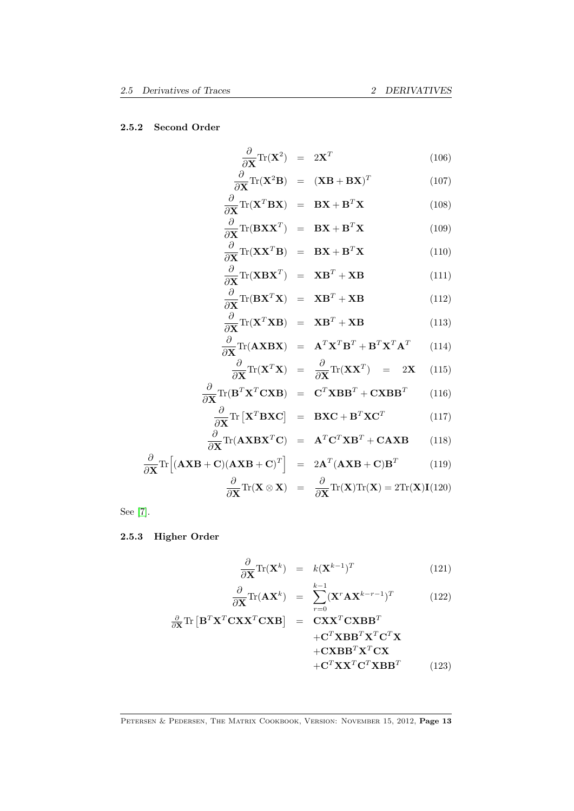### 2.5.2 Second Order

$$
\frac{\partial}{\partial \mathbf{X}} \text{Tr}(\mathbf{X}^2) = 2\mathbf{X}^T \tag{106}
$$

<span id="page-12-0"></span>
$$
\frac{\partial}{\partial \mathbf{X}} \text{Tr}(\mathbf{X}^2 \mathbf{B}) = (\mathbf{X} \mathbf{B} + \mathbf{B} \mathbf{X})^T \tag{107}
$$

$$
\frac{\partial}{\partial \mathbf{X}} \text{Tr}(\mathbf{X}^T \mathbf{B} \mathbf{X}) = \mathbf{B} \mathbf{X} + \mathbf{B}^T \mathbf{X} \tag{108}
$$
\n
$$
\frac{\partial}{\partial \mathbf{X}^T (\mathbf{B} \mathbf{X} \mathbf{X}^T)} = \mathbf{B} \mathbf{X} + \mathbf{B}^T \mathbf{X} \tag{109}
$$

$$
\frac{\partial}{\partial \mathbf{X}} \text{Tr}(\mathbf{B} \mathbf{X} \mathbf{X}^T) = \mathbf{B} \mathbf{X} + \mathbf{B}^T \mathbf{X}
$$
(109)  

$$
\frac{\partial}{\partial \mathbf{X}} \text{Tr}(\mathbf{X} \mathbf{X}^T \mathbf{B}) = \mathbf{B} \mathbf{X} + \mathbf{B}^T \mathbf{X}
$$
(110)

$$
\frac{\partial}{\partial \mathbf{X}} \text{Tr}(\mathbf{X} \mathbf{B} \mathbf{X}^T) = \mathbf{B} \mathbf{A} + \mathbf{B} \mathbf{A}
$$
(110)  

$$
\frac{\partial}{\partial \mathbf{X}} \text{Tr}(\mathbf{X} \mathbf{B} \mathbf{X}^T) = \mathbf{X} \mathbf{B}^T + \mathbf{X} \mathbf{B}
$$
(111)

$$
\frac{\partial \mathbf{X}}{\partial \mathbf{X}} \text{Tr}(\mathbf{B} \mathbf{X}^T \mathbf{X}) = \mathbf{X} \mathbf{B}^T + \mathbf{X} \mathbf{B}
$$
(112)

$$
\frac{\partial}{\partial \mathbf{X}} \text{Tr}(\mathbf{X}^T \mathbf{X} \mathbf{B}) = \mathbf{X} \mathbf{B}^T + \mathbf{X} \mathbf{B}
$$
 (113)

$$
\frac{\partial}{\partial \mathbf{X}} \text{Tr}(\mathbf{A} \mathbf{X} \mathbf{B} \mathbf{X}) = \mathbf{A}^T \mathbf{X}^T \mathbf{B}^T + \mathbf{B}^T \mathbf{X}^T \mathbf{A}^T \qquad (114)
$$
\n
$$
\frac{\partial}{\partial \mathbf{X}^T \mathbf{X}^T \mathbf{X}} = \frac{\partial}{\partial \mathbf{X}^T \mathbf{X}^T \mathbf{X}} \qquad (115)
$$

$$
\frac{\partial}{\partial \mathbf{X}} \text{Tr}(\mathbf{X}^T \mathbf{X}) = \frac{\partial}{\partial \mathbf{X}} \text{Tr}(\mathbf{X} \mathbf{X}^T) = 2\mathbf{X} \quad (115)
$$
\n
$$
\frac{\partial}{\partial \mathbf{X}} \text{Tr}(\mathbf{B}^T \mathbf{X}^T \mathbf{C} \mathbf{X} \mathbf{B}) = \mathbf{C}^T \mathbf{X} \mathbf{B} \mathbf{B}^T + \mathbf{C} \mathbf{X} \mathbf{B} \mathbf{B}^T \quad (116)
$$

$$
\frac{\partial}{\partial \mathbf{X}} \text{Tr} \left[ \mathbf{X}^T \mathbf{B} \mathbf{X} \mathbf{C} \right] = \mathbf{B} \mathbf{X} \mathbf{C} + \mathbf{B}^T \mathbf{X} \mathbf{C}^T \tag{117}
$$

$$
\frac{\partial}{\partial \mathbf{X}} \text{Tr}(\mathbf{A} \mathbf{X} \mathbf{B} \mathbf{X}^T \mathbf{C}) = \mathbf{A}^T \mathbf{C}^T \mathbf{X} \mathbf{B}^T + \mathbf{C} \mathbf{A} \mathbf{X} \mathbf{B}
$$
(118)  

$$
\frac{\partial}{\partial \mathbf{X}} \text{Tr} [(\mathbf{A} \mathbf{X} \mathbf{B} + \mathbf{C})(\mathbf{A} \mathbf{X} \mathbf{B} + \mathbf{C})^T] = 2\mathbf{A}^T (\mathbf{A} \mathbf{X} \mathbf{B} + \mathbf{C}) \mathbf{B}^T
$$
(119)

$$
\frac{\partial}{\partial \mathbf{X}} \text{Tr}(\mathbf{X} \otimes \mathbf{X}) = \frac{\partial}{\partial \mathbf{X}} \text{Tr}(\mathbf{X}) \text{Tr}(\mathbf{X}) = 2 \text{Tr}(\mathbf{X}) \mathbf{I}(120)
$$

See [\[7\]](#page-69-1).

∂

# 2.5.3 Higher Order

$$
\frac{\partial}{\partial \mathbf{X}} \text{Tr}(\mathbf{X}^k) = k(\mathbf{X}^{k-1})^T \tag{121}
$$

$$
\frac{\partial}{\partial \mathbf{X}} \text{Tr}(\mathbf{A} \mathbf{X}^k) = \sum_{r=0}^{k-1} (\mathbf{X}^r \mathbf{A} \mathbf{X}^{k-r-1})^T
$$
(122)

$$
\frac{\partial}{\partial \mathbf{X}} \text{Tr} \left[ \mathbf{B}^T \mathbf{X}^T \mathbf{C} \mathbf{X} \mathbf{X}^T \mathbf{C} \mathbf{X} \mathbf{B} \right] = \mathbf{C} \mathbf{X} \mathbf{X}^T \mathbf{C} \mathbf{X} \mathbf{B} \mathbf{B}^T \mathbf{X}^T \mathbf{C}^T \mathbf{X} + \mathbf{C} \mathbf{X} \mathbf{B} \mathbf{B}^T \mathbf{X}^T \mathbf{C} \mathbf{X} + \mathbf{C}^T \mathbf{X} \mathbf{X}^T \mathbf{C}^T \mathbf{X} \mathbf{B} \mathbf{B}^T
$$
\n(123)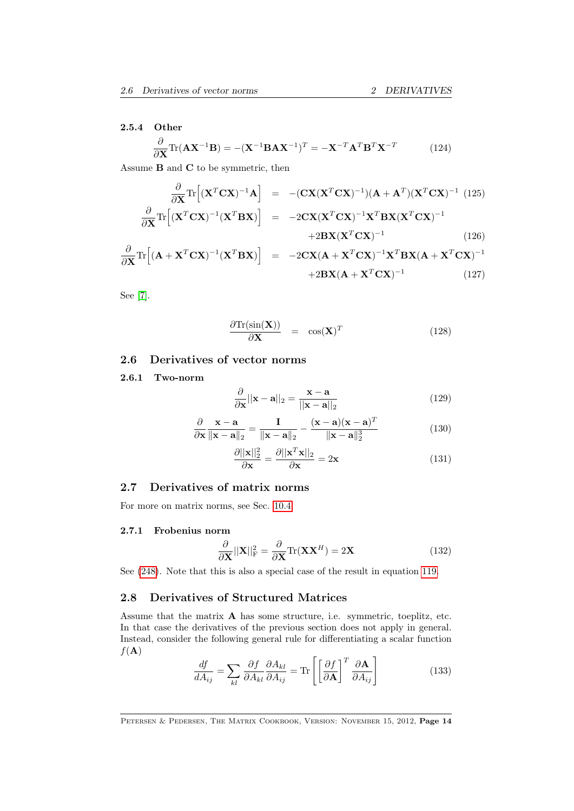#### 2.5.4 Other

$$
\frac{\partial}{\partial \mathbf{X}} \text{Tr}(\mathbf{A} \mathbf{X}^{-1} \mathbf{B}) = -(\mathbf{X}^{-1} \mathbf{B} \mathbf{A} \mathbf{X}^{-1})^T = -\mathbf{X}^{-T} \mathbf{A}^T \mathbf{B}^T \mathbf{X}^{-T}
$$
(124)

Assume B and C to be symmetric, then

$$
\frac{\partial}{\partial \mathbf{X}} \text{Tr} \left[ (\mathbf{X}^T \mathbf{C} \mathbf{X})^{-1} \mathbf{A} \right] = -(\mathbf{C} \mathbf{X} (\mathbf{X}^T \mathbf{C} \mathbf{X})^{-1}) (\mathbf{A} + \mathbf{A}^T) (\mathbf{X}^T \mathbf{C} \mathbf{X})^{-1} (125)
$$
\n
$$
\frac{\partial}{\partial \mathbf{X}} \text{Tr} \left[ (\mathbf{X}^T \mathbf{C} \mathbf{X})^{-1} (\mathbf{X}^T \mathbf{B} \mathbf{X}) \right] = -2 \mathbf{C} \mathbf{X} (\mathbf{X}^T \mathbf{C} \mathbf{X})^{-1} \mathbf{X}^T \mathbf{B} \mathbf{X} (\mathbf{X}^T \mathbf{C} \mathbf{X})^{-1}
$$
\n
$$
+ 2 \mathbf{B} \mathbf{X} (\mathbf{X}^T \mathbf{C} \mathbf{X})^{-1} (126)
$$

$$
\frac{\partial}{\partial \mathbf{X}} \text{Tr} \left[ (\mathbf{A} + \mathbf{X}^T \mathbf{C} \mathbf{X})^{-1} (\mathbf{X}^T \mathbf{B} \mathbf{X}) \right] = -2 \mathbf{C} \mathbf{X} (\mathbf{A} + \mathbf{X}^T \mathbf{C} \mathbf{X})^{-1} \mathbf{X}^T \mathbf{B} \mathbf{X} (\mathbf{A} + \mathbf{X}^T \mathbf{C} \mathbf{X})^{-1} + 2 \mathbf{B} \mathbf{X} (\mathbf{A} + \mathbf{X}^T \mathbf{C} \mathbf{X})^{-1}
$$
(127)

See [\[7\]](#page-69-1).

$$
\frac{\partial \text{Tr}(\sin(\mathbf{X}))}{\partial \mathbf{X}} = \cos(\mathbf{X})^T \tag{128}
$$

# <span id="page-13-0"></span>2.6 Derivatives of vector norms

#### 2.6.1 Two-norm

$$
\frac{\partial}{\partial \mathbf{x}} ||\mathbf{x} - \mathbf{a}||_2 = \frac{\mathbf{x} - \mathbf{a}}{||\mathbf{x} - \mathbf{a}||_2}
$$
(129)

$$
\frac{\partial}{\partial \mathbf{x}} \frac{\mathbf{x} - \mathbf{a}}{\|\mathbf{x} - \mathbf{a}\|_2} = \frac{\mathbf{I}}{\|\mathbf{x} - \mathbf{a}\|_2} - \frac{(\mathbf{x} - \mathbf{a})(\mathbf{x} - \mathbf{a})^T}{\|\mathbf{x} - \mathbf{a}\|_2^3}
$$
(130)

$$
\frac{\partial ||\mathbf{x}||_2^2}{\partial \mathbf{x}} = \frac{\partial ||\mathbf{x}^T \mathbf{x}||_2}{\partial \mathbf{x}} = 2\mathbf{x}
$$
\n(131)

# <span id="page-13-1"></span>2.7 Derivatives of matrix norms

For more on matrix norms, see Sec. [10.4.](#page-60-1)

#### 2.7.1 Frobenius norm

$$
\frac{\partial}{\partial \mathbf{X}} ||\mathbf{X}||_{\text{F}}^2 = \frac{\partial}{\partial \mathbf{X}} \text{Tr}(\mathbf{X} \mathbf{X}^H) = 2\mathbf{X}
$$
 (132)

See [\(248\)](#page-25-1). Note that this is also a special case of the result in equation [119.](#page-12-0)

# <span id="page-13-2"></span>2.8 Derivatives of Structured Matrices

Assume that the matrix A has some structure, i.e. symmetric, toeplitz, etc. In that case the derivatives of the previous section does not apply in general. Instead, consider the following general rule for differentiating a scalar function  $f(\mathbf{A})$ 

$$
\frac{df}{dA_{ij}} = \sum_{kl} \frac{\partial f}{\partial A_{kl}} \frac{\partial A_{kl}}{\partial A_{ij}} = \text{Tr} \left[ \left[ \frac{\partial f}{\partial \mathbf{A}} \right]^T \frac{\partial \mathbf{A}}{\partial A_{ij}} \right]
$$
(133)

PETERSEN & PEDERSEN, THE MATRIX COOKBOOK, VERSION: NOVEMBER 15, 2012, Page 14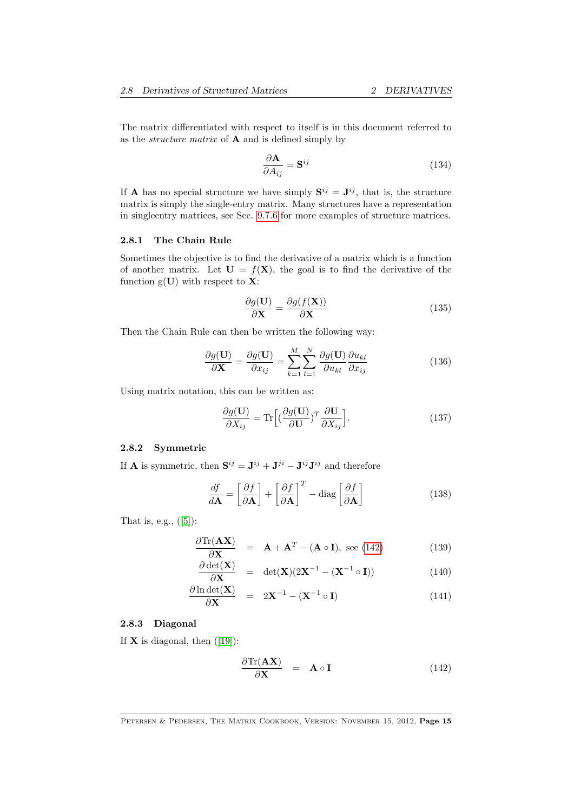The matrix differentiated with respect to itself is in this document referred to as the *structure matrix* of  $A$  and is defined simply by

$$
\frac{\partial \mathbf{A}}{\partial A_{ij}} = \mathbf{S}^{ij} \tag{134}
$$

If **A** has no special structure we have simply  $S^{ij} = J^{ij}$ , that is, the structure matrix is simply the single-entry matrix. Many structures have a representation in singleentry matrices, see Sec. [9.7.6](#page-52-0) for more examples of structure matrices.

#### 2.8.1 The Chain Rule

Sometimes the objective is to find the derivative of a matrix which is a function of another matrix. Let  $\mathbf{U} = f(\mathbf{X})$ , the goal is to find the derivative of the function  $g(U)$  with respect to **X**:

$$
\frac{\partial g(\mathbf{U})}{\partial \mathbf{X}} = \frac{\partial g(f(\mathbf{X}))}{\partial \mathbf{X}}
$$
(135)

Then the Chain Rule can then be written the following way:

$$
\frac{\partial g(\mathbf{U})}{\partial \mathbf{X}} = \frac{\partial g(\mathbf{U})}{\partial x_{ij}} = \sum_{k=1}^{M} \sum_{l=1}^{N} \frac{\partial g(\mathbf{U})}{\partial u_{kl}} \frac{\partial u_{kl}}{\partial x_{ij}}
$$
(136)

Using matrix notation, this can be written as:

$$
\frac{\partial g(\mathbf{U})}{\partial X_{ij}} = \text{Tr}\Big[ \left(\frac{\partial g(\mathbf{U})}{\partial \mathbf{U}}\right)^T \frac{\partial \mathbf{U}}{\partial X_{ij}} \Big].
$$
\n(137)

#### 2.8.2 Symmetric

If **A** is symmetric, then  $S^{ij} = J^{ij} + J^{ji} - J^{ij}J^{ij}$  and therefore

$$
\frac{df}{d\mathbf{A}} = \left[\frac{\partial f}{\partial \mathbf{A}}\right] + \left[\frac{\partial f}{\partial \mathbf{A}}\right]^T - \text{diag}\left[\frac{\partial f}{\partial \mathbf{A}}\right]
$$
(138)

Thatis, e.g.,  $([5])$  $([5])$  $([5])$ :

$$
\frac{\partial \text{Tr}(\mathbf{A}\mathbf{X})}{\partial \mathbf{X}} = \mathbf{A} + \mathbf{A}^T - (\mathbf{A} \circ \mathbf{I}), \text{ see (142)} \tag{139}
$$

$$
\frac{\partial \det(\mathbf{X})}{\partial \mathbf{X}} = \det(\mathbf{X})(2\mathbf{X}^{-1} - (\mathbf{X}^{-1} \circ \mathbf{I})) \tag{140}
$$

$$
\frac{\partial \ln \det(\mathbf{X})}{\partial \mathbf{X}} = 2\mathbf{X}^{-1} - (\mathbf{X}^{-1} \circ \mathbf{I}) \tag{141}
$$

#### 2.8.3 Diagonal

If $X$  is diagonal, then  $(19)$ :

<span id="page-14-0"></span>
$$
\frac{\partial \text{Tr}(\mathbf{A}\mathbf{X})}{\partial \mathbf{X}} = \mathbf{A} \circ \mathbf{I}
$$
 (142)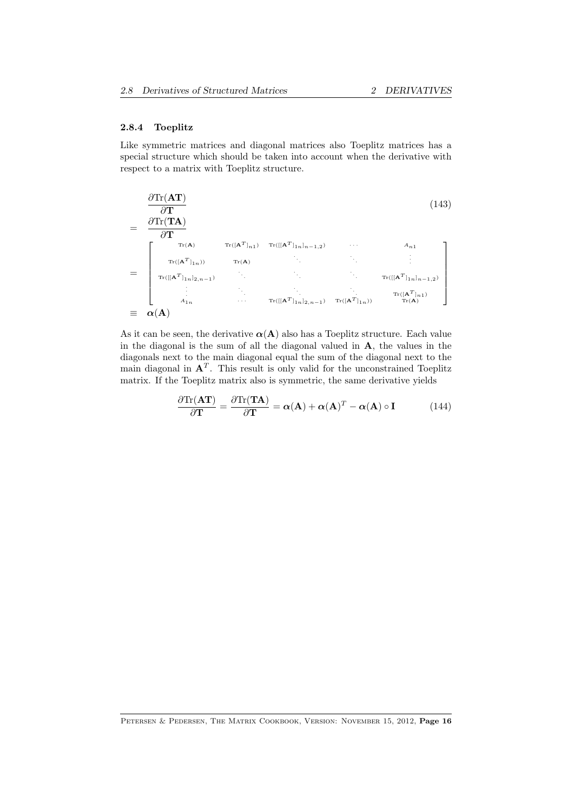#### 2.8.4 Toeplitz

Like symmetric matrices and diagonal matrices also Toeplitz matrices has a special structure which should be taken into account when the derivative with respect to a matrix with Toeplitz structure.

$$
\frac{\partial \text{Tr}(\mathbf{AT})}{\partial \mathbf{T}} = \frac{\frac{\partial \text{Tr}(\mathbf{TA})}{\partial \mathbf{T}}}{\frac{\text{Tr}(\mathbf{TA})}{\mathcal{T}}}
$$
\n
$$
= \begin{bmatrix}\n\text{Tr}(\mathbf{A}) & \text{Tr}([\mathbf{A}^{T}]_{11}] & \text{Tr}([\mathbf{A}^{T}]_{11}]_{n-1,2}) & \cdots & A_{n1} \\
\text{Tr}([\mathbf{A}^{T}]_{1n}) & \text{Tr}(\mathbf{A}) & \cdots & \cdots & \vdots \\
\text{Tr}([\mathbf{A}^{T}]_{1n}]_{2,n-1} & \cdots & \cdots & \text{Tr}([\mathbf{A}^{T}]_{1n}]_{n-1,2}) \\
\vdots & \ddots & \ddots & \vdots \\
A_{1n} & \cdots & \text{Tr}([\mathbf{A}^{T}]_{1n}]_{2,n-1}) & \text{Tr}([\mathbf{A}^{T}]_{1n}) & \text{Tr}(\mathbf{A})\n\end{bmatrix}
$$
\n
$$
\equiv \alpha(\mathbf{A})
$$
\n(143)

As it can be seen, the derivative  $\alpha(A)$  also has a Toeplitz structure. Each value in the diagonal is the sum of all the diagonal valued in  $A$ , the values in the diagonals next to the main diagonal equal the sum of the diagonal next to the main diagonal in  $A<sup>T</sup>$ . This result is only valid for the unconstrained Toeplitz matrix. If the Toeplitz matrix also is symmetric, the same derivative yields

$$
\frac{\partial \text{Tr}(\mathbf{AT})}{\partial \mathbf{T}} = \frac{\partial \text{Tr}(\mathbf{TA})}{\partial \mathbf{T}} = \boldsymbol{\alpha}(\mathbf{A}) + \boldsymbol{\alpha}(\mathbf{A})^T - \boldsymbol{\alpha}(\mathbf{A}) \circ \mathbf{I}
$$
(144)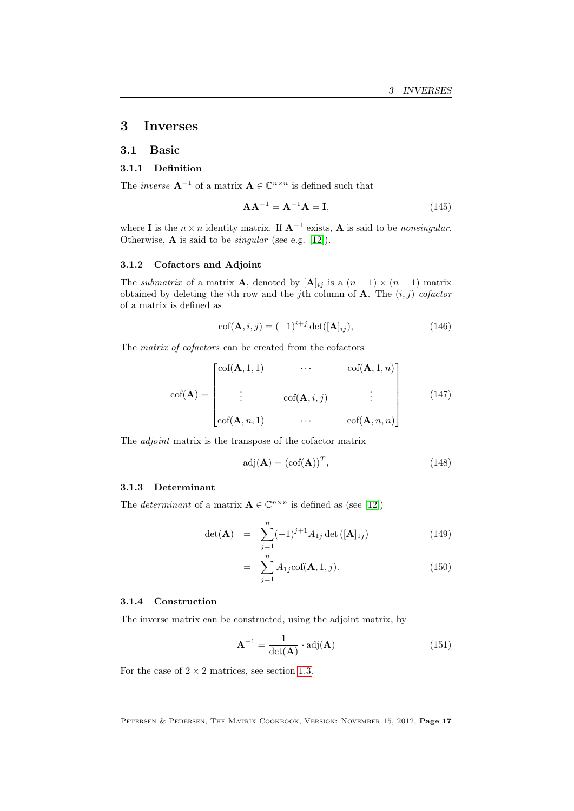# <span id="page-16-0"></span>3 Inverses

#### <span id="page-16-1"></span>3.1 Basic

#### 3.1.1 Definition

The *inverse*  $\mathbf{A}^{-1}$  of a matrix  $\mathbf{A} \in \mathbb{C}^{n \times n}$  is defined such that

$$
\mathbf{A}\mathbf{A}^{-1} = \mathbf{A}^{-1}\mathbf{A} = \mathbf{I},\tag{145}
$$

where **I** is the  $n \times n$  identity matrix. If  $A^{-1}$  exists, A is said to be nonsingular. Otherwise,  $\bf{A}$  is said to be *singular* (see e.g. [\[12\]](#page-69-4)).

#### 3.1.2 Cofactors and Adjoint

The *submatrix* of a matrix **A**, denoted by  $[\mathbf{A}]_{ij}$  is a  $(n-1) \times (n-1)$  matrix obtained by deleting the *i*th row and the *j*th column of **A**. The  $(i, j)$  cofactor of a matrix is defined as

$$
\operatorname{cof}(\mathbf{A}, i, j) = (-1)^{i+j} \operatorname{det}([\mathbf{A}]_{ij}),\tag{146}
$$

The matrix of cofactors can be created from the cofactors

$$
\operatorname{cof}(\mathbf{A}) = \begin{bmatrix} \operatorname{cof}(\mathbf{A}, 1, 1) & \cdots & \operatorname{cof}(\mathbf{A}, 1, n) \\ \vdots & \operatorname{cof}(\mathbf{A}, i, j) & \vdots \\ \operatorname{cof}(\mathbf{A}, n, 1) & \cdots & \operatorname{cof}(\mathbf{A}, n, n) \end{bmatrix}
$$
(147)

The adjoint matrix is the transpose of the cofactor matrix

$$
adj(\mathbf{A}) = (cof(\mathbf{A}))^T,
$$
\n(148)

#### 3.1.3 Determinant

The *determinant* of a matrix  $\mathbf{A} \in \mathbb{C}^{n \times n}$  is defined as (see [\[12\]](#page-69-4))

$$
\det(\mathbf{A}) = \sum_{j=1}^{n} (-1)^{j+1} A_{1j} \det([\mathbf{A}]_{1j})
$$
 (149)

$$
= \sum_{j=1}^{n} A_{1j} \text{cof}(\mathbf{A}, 1, j). \tag{150}
$$

#### 3.1.4 Construction

The inverse matrix can be constructed, using the adjoint matrix, by

$$
\mathbf{A}^{-1} = \frac{1}{\det(\mathbf{A})} \cdot \text{adj}(\mathbf{A}) \tag{151}
$$

For the case of  $2 \times 2$  matrices, see section [1.3.](#page-6-0)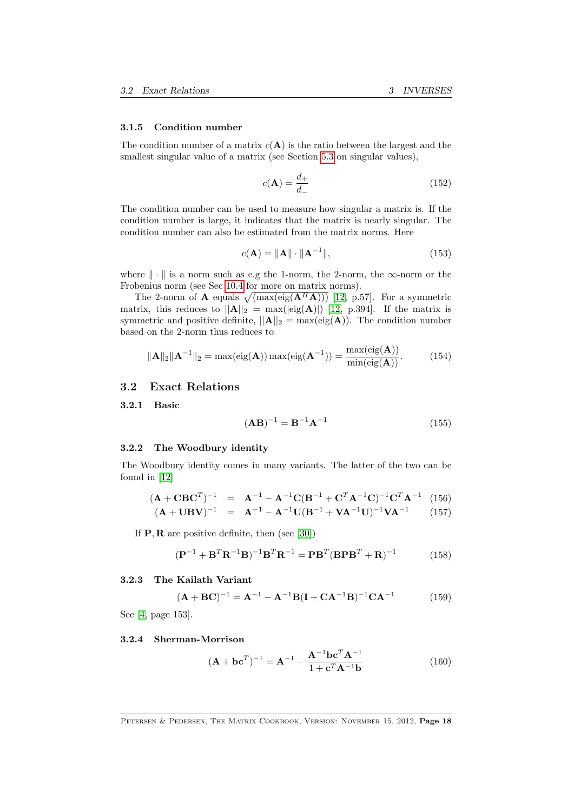#### 3.1.5 Condition number

The condition number of a matrix  $c(\mathbf{A})$  is the ratio between the largest and the smallest singular value of a matrix (see Section [5.3](#page-30-0) on singular values),

$$
c(\mathbf{A}) = \frac{d_+}{d_-} \tag{152}
$$

The condition number can be used to measure how singular a matrix is. If the condition number is large, it indicates that the matrix is nearly singular. The condition number can also be estimated from the matrix norms. Here

$$
c(\mathbf{A}) = \|\mathbf{A}\| \cdot \|\mathbf{A}^{-1}\|,\tag{153}
$$

where  $\|\cdot\|$  is a norm such as e.g the 1-norm, the 2-norm, the  $\infty$ -norm or the Frobenius norm (see Sec [10.4](#page-60-1) for more on matrix norms).

The 2-norm of **A** equals  $\sqrt{(\max(\text{eig}(A^H A)))}$  [\[12,](#page-69-4) p.57]. For a symmetric matrix, this reduces to  $||A||_2 = max(|eig(A)|)[12, p.394]$ . If the matrix is symmetric and positive definite,  $||\mathbf{A}||_2 = \max(\text{eig}(\mathbf{A}))$ . The condition number based on the 2-norm thus reduces to

$$
\|\mathbf{A}\|_2 \|\mathbf{A}^{-1}\|_2 = \max(\text{eig}(\mathbf{A})) \max(\text{eig}(\mathbf{A}^{-1})) = \frac{\max(\text{eig}(\mathbf{A}))}{\min(\text{eig}(\mathbf{A}))}. \tag{154}
$$

#### <span id="page-17-0"></span>3.2 Exact Relations

3.2.1 Basic

$$
(\mathbf{AB})^{-1} = \mathbf{B}^{-1} \mathbf{A}^{-1} \tag{155}
$$

#### 3.2.2 The Woodbury identity

The Woodbury identity comes in many variants. The latter of the two can be found in [\[12\]](#page-69-4)

$$
(\mathbf{A} + \mathbf{C}\mathbf{B}\mathbf{C}^T)^{-1} = \mathbf{A}^{-1} - \mathbf{A}^{-1}\mathbf{C}(\mathbf{B}^{-1} + \mathbf{C}^T\mathbf{A}^{-1}\mathbf{C})^{-1}\mathbf{C}^T\mathbf{A}^{-1}
$$
 (156)  

$$
(\mathbf{A} + \mathbf{U}\mathbf{B}\mathbf{V})^{-1} = \mathbf{A}^{-1} - \mathbf{A}^{-1}\mathbf{U}(\mathbf{B}^{-1} + \mathbf{V}\mathbf{A}^{-1}\mathbf{U})^{-1}\mathbf{V}\mathbf{A}^{-1}
$$
 (157)

If  $P, R$  are positive definite, then (see [\[30\]](#page-70-4))

$$
(\mathbf{P}^{-1} + \mathbf{B}^T \mathbf{R}^{-1} \mathbf{B})^{-1} \mathbf{B}^T \mathbf{R}^{-1} = \mathbf{P} \mathbf{B}^T (\mathbf{B} \mathbf{P} \mathbf{B}^T + \mathbf{R})^{-1}
$$
(158)

#### 3.2.3 The Kailath Variant

$$
(\mathbf{A} + \mathbf{B}\mathbf{C})^{-1} = \mathbf{A}^{-1} - \mathbf{A}^{-1}\mathbf{B}(\mathbf{I} + \mathbf{C}\mathbf{A}^{-1}\mathbf{B})^{-1}\mathbf{C}\mathbf{A}^{-1}
$$
 (159)

See [\[4,](#page-69-5) page 153].

#### 3.2.4 Sherman-Morrison

$$
(\mathbf{A} + \mathbf{b}\mathbf{c}^T)^{-1} = \mathbf{A}^{-1} - \frac{\mathbf{A}^{-1}\mathbf{b}\mathbf{c}^T\mathbf{A}^{-1}}{1 + \mathbf{c}^T\mathbf{A}^{-1}\mathbf{b}}
$$
(160)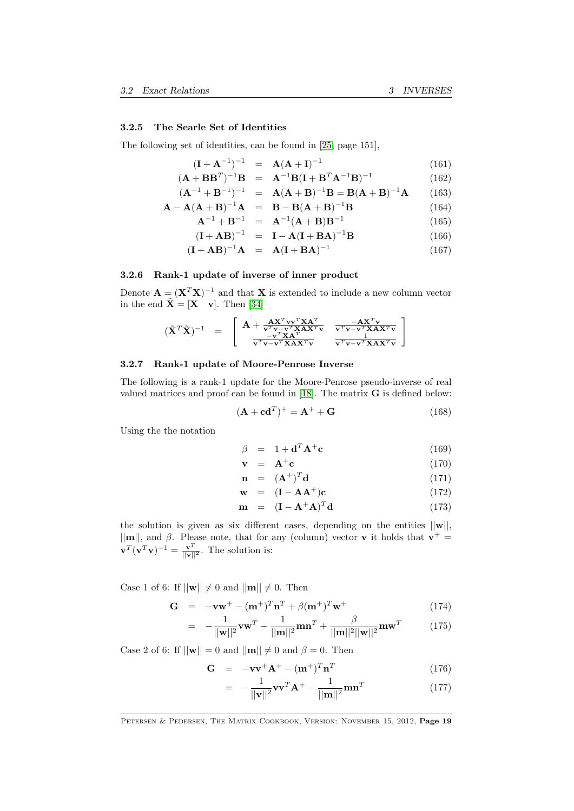#### 3.2.5 The Searle Set of Identities

The following set of identities, can be found in [\[25,](#page-70-5) page 151],

$$
(\mathbf{I} + \mathbf{A}^{-1})^{-1} = \mathbf{A}(\mathbf{A} + \mathbf{I})^{-1}
$$
(161)

$$
(\mathbf{A} + \mathbf{B}\mathbf{B}^{T})^{-1}\mathbf{B} = \mathbf{A}^{-1}\mathbf{B}(\mathbf{I} + \mathbf{B}^{T}\mathbf{A}^{-1}\mathbf{B})^{-1}
$$
(162)

$$
(\mathbf{A}^{-1} + \mathbf{B}^{-1})^{-1} = \mathbf{A}(\mathbf{A} + \mathbf{B})^{-1}\mathbf{B} = \mathbf{B}(\mathbf{A} + \mathbf{B})^{-1}\mathbf{A}
$$
 (163)  

$$
\mathbf{A} - \mathbf{A}(\mathbf{A} + \mathbf{B})^{-1}\mathbf{A} = \mathbf{B} - \mathbf{B}(\mathbf{A} + \mathbf{B})^{-1}\mathbf{B}
$$
 (164)

$$
\mathbf{A} - \mathbf{A}(\mathbf{A} + \mathbf{B})^{-1}\mathbf{A} = \mathbf{B} - \mathbf{B}(\mathbf{A} + \mathbf{B})^{-1}\mathbf{B}
$$
(164)  

$$
\mathbf{A}^{-1} + \mathbf{B}^{-1} = \mathbf{A}^{-1}(\mathbf{A} + \mathbf{B})\mathbf{B}^{-1}
$$
(165)

$$
\mathbf{A}^{-1} + \mathbf{B}^{-1} = \mathbf{A}^{-1} (\mathbf{A} + \mathbf{B}) \mathbf{B}^{-1}
$$
(165)  

$$
(\mathbf{I} + \mathbf{A} \mathbf{D})^{-1} = \mathbf{I} \mathbf{A} (\mathbf{I} + \mathbf{B} \mathbf{A})^{-1} \mathbf{B}
$$
(166)

$$
(\mathbf{I} + \mathbf{A}\mathbf{B})^{-1} = \mathbf{I} - \mathbf{A}(\mathbf{I} + \mathbf{B}\mathbf{A})^{-1}\mathbf{B}
$$
(166)  

$$
(\mathbf{I} + \mathbf{A}\mathbf{D})^{-1}\mathbf{A} + (\mathbf{I} + \mathbf{D}\mathbf{A})^{-1}\mathbf{B}
$$
(167)

$$
({\bf I} + AB)^{-1}A = A({\bf I} + BA)^{-1}
$$
 (167)

#### 3.2.6 Rank-1 update of inverse of inner product

Denote  $\mathbf{A} = (\mathbf{X}^T \mathbf{X})^{-1}$  and that **X** is extended to include a new column vector in the end  $\tilde{\mathbf{X}} = [\mathbf{X} \quad \mathbf{v}]$ . Then [\[34\]](#page-70-6)

$$
(\tilde{\mathbf{X}}^T \tilde{\mathbf{X}})^{-1} = \begin{bmatrix} \mathbf{A} + \frac{\mathbf{A} \mathbf{X}^T \mathbf{v} \mathbf{v}^T \mathbf{X} \mathbf{A}^T}{\mathbf{v}^T \mathbf{v} - \mathbf{v}^T \mathbf{X} \mathbf{A} \mathbf{X}^T \mathbf{v}} & \frac{-\mathbf{A} \mathbf{X}^T \mathbf{v}}{\mathbf{v}^T \mathbf{v} - \mathbf{v}^T \mathbf{X} \mathbf{A} \mathbf{X}^T \mathbf{v}} \\ \frac{-\mathbf{v}^T \mathbf{X} \mathbf{A}^T}{\mathbf{v}^T \mathbf{v} - \mathbf{v}^T \mathbf{X} \mathbf{A} \mathbf{X}^T \mathbf{v}} & \frac{1}{\mathbf{v}^T \mathbf{v} - \mathbf{v}^T \mathbf{X} \mathbf{A} \mathbf{X}^T \mathbf{v}} \end{bmatrix}
$$

#### 3.2.7 Rank-1 update of Moore-Penrose Inverse

The following is a rank-1 update for the Moore-Penrose pseudo-inverse of real valued matrices and proof can be found in [\[18\]](#page-69-6). The matrix G is defined below:

$$
(\mathbf{A} + \mathbf{c}\mathbf{d}^T)^+ = \mathbf{A}^+ + \mathbf{G}
$$
 (168)

Using the the notation

$$
\beta = 1 + \mathbf{d}^T \mathbf{A}^+ \mathbf{c} \tag{169}
$$

$$
\mathbf{v} = \mathbf{A}^+ \mathbf{c} \tag{170}
$$

$$
\mathbf{n} = (\mathbf{A}^+)^T \mathbf{d} \tag{171}
$$

$$
\mathbf{w} = (\mathbf{I} - \mathbf{A}\mathbf{A}^+) \mathbf{c} \tag{172}
$$

$$
\mathbf{m} = (\mathbf{I} - \mathbf{A}^+ \mathbf{A})^T \mathbf{d} \tag{173}
$$

the solution is given as six different cases, depending on the entities  $||\mathbf{w}||$ ,  $||\mathbf{m}||$ , and  $\beta$ . Please note, that for any (column) vector **v** it holds that  $\mathbf{v}^+$  $\mathbf{v}^T(\mathbf{v}^T\mathbf{v})^{-1} = \frac{\mathbf{v}^T}{\|\mathbf{v}\|^2}$ . The solution is:

Case 1 of 6: If  $||\mathbf{w}|| \neq 0$  and  $||\mathbf{m}|| \neq 0$ . Then

$$
\mathbf{G} = -\mathbf{v}\mathbf{w}^+ - (\mathbf{m}^+)^T \mathbf{n}^T + \beta (\mathbf{m}^+)^T \mathbf{w}^+ \tag{174}
$$

$$
= -\frac{1}{||\mathbf{w}||^2} \mathbf{v} \mathbf{w}^T - \frac{1}{||\mathbf{m}||^2} \mathbf{m} \mathbf{n}^T + \frac{\beta}{||\mathbf{m}||^2 ||\mathbf{w}||^2} \mathbf{m} \mathbf{w}^T
$$
(175)

Case 2 of 6: If  $||\mathbf{w}|| = 0$  and  $||\mathbf{m}|| \neq 0$  and  $\beta = 0$ . Then

$$
\mathbf{G} = -\mathbf{v}\mathbf{v}^+ \mathbf{A}^+ - (\mathbf{m}^+)^T \mathbf{n}^T
$$
 (176)

$$
= -\frac{1}{||\mathbf{v}||^2} \mathbf{v} \mathbf{v}^T \mathbf{A}^+ - \frac{1}{||\mathbf{m}||^2} \mathbf{m} \mathbf{n}^T
$$
 (177)

PETERSEN & PEDERSEN, THE MATRIX COOKBOOK, VERSION: NOVEMBER 15, 2012, Page 19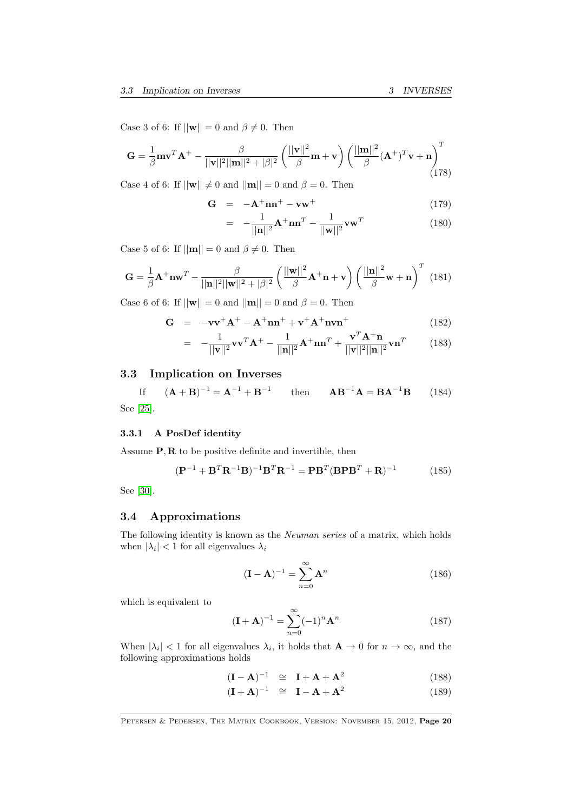Case 3 of 6: If  $||\mathbf{w}|| = 0$  and  $\beta \neq 0$ . Then

$$
\mathbf{G} = \frac{1}{\beta} \mathbf{m} \mathbf{v}^T \mathbf{A}^+ - \frac{\beta}{||\mathbf{v}||^2 ||\mathbf{m}||^2 + |\beta|^2} \left( \frac{||\mathbf{v}||^2}{\beta} \mathbf{m} + \mathbf{v} \right) \left( \frac{||\mathbf{m}||^2}{\beta} (\mathbf{A}^+)^T \mathbf{v} + \mathbf{n} \right)^T
$$
(178)

Case 4 of 6: If  $||\mathbf{w}|| \neq 0$  and  $||\mathbf{m}|| = 0$  and  $\beta = 0$ . Then

$$
\mathbf{G} = -\mathbf{A}^+ \mathbf{n} \mathbf{n}^+ - \mathbf{v} \mathbf{w}^+ \tag{179}
$$

$$
= -\frac{1}{||\mathbf{n}||^2} \mathbf{A}^+ \mathbf{n} \mathbf{n}^T - \frac{1}{||\mathbf{w}||^2} \mathbf{v} \mathbf{w}^T
$$
 (180)

Case 5 of 6: If  $||\mathbf{m}|| = 0$  and  $\beta \neq 0$ . Then

$$
\mathbf{G} = \frac{1}{\beta} \mathbf{A}^+ \mathbf{n} \mathbf{w}^T - \frac{\beta}{||\mathbf{n}||^2 ||\mathbf{w}||^2 + |\beta|^2} \left( \frac{||\mathbf{w}||^2}{\beta} \mathbf{A}^+ \mathbf{n} + \mathbf{v} \right) \left( \frac{||\mathbf{n}||^2}{\beta} \mathbf{w} + \mathbf{n} \right)^T (181)
$$

Case 6 of 6: If  $||\mathbf{w}|| = 0$  and  $||\mathbf{m}|| = 0$  and  $\beta = 0$ . Then

$$
\mathbf{G} = -\mathbf{v}\mathbf{v}^+ \mathbf{A}^+ - \mathbf{A}^+ \mathbf{n}\mathbf{n}^+ + \mathbf{v}^+ \mathbf{A}^+ \mathbf{n}\mathbf{v}\mathbf{n}^+ \tag{182}
$$

$$
= -\frac{1}{||\mathbf{v}||^2} \mathbf{v} \mathbf{v}^T \mathbf{A}^+ - \frac{1}{||\mathbf{n}||^2} \mathbf{A}^+ \mathbf{n} \mathbf{n}^T + \frac{\mathbf{v}^T \mathbf{A}^+ \mathbf{n}}{||\mathbf{v}||^2 ||\mathbf{n}||^2} \mathbf{v} \mathbf{n}^T
$$
(183)

# <span id="page-19-0"></span>3.3 Implication on Inverses

If  $($ **A** + **B** $)^{-1}$  = **A** $^{-1}$  + **B** $^{-1}$ then  $\mathbf{A}\mathbf{B}^{-1}\mathbf{A} = \mathbf{B}\mathbf{A}^{-1}\mathbf{B}$  (184) See [\[25\]](#page-70-5).

#### 3.3.1 A PosDef identity

Assume  $P, R$  to be positive definite and invertible, then

$$
(\mathbf{P}^{-1} + \mathbf{B}^T \mathbf{R}^{-1} \mathbf{B})^{-1} \mathbf{B}^T \mathbf{R}^{-1} = \mathbf{P} \mathbf{B}^T (\mathbf{B} \mathbf{P} \mathbf{B}^T + \mathbf{R})^{-1}
$$
 (185)

See [\[30\]](#page-70-4).

# <span id="page-19-1"></span>3.4 Approximations

The following identity is known as the Neuman series of a matrix, which holds when  $|\lambda_i|$  < 1 for all eigenvalues  $\lambda_i$ 

$$
(\mathbf{I} - \mathbf{A})^{-1} = \sum_{n=0}^{\infty} \mathbf{A}^n
$$
 (186)

which is equivalent to

$$
(\mathbf{I} + \mathbf{A})^{-1} = \sum_{n=0}^{\infty} (-1)^n \mathbf{A}^n
$$
 (187)

When  $|\lambda_i| < 1$  for all eigenvalues  $\lambda_i$ , it holds that  $\mathbf{A} \to 0$  for  $n \to \infty$ , and the following approximations holds

$$
(\mathbf{I} - \mathbf{A})^{-1} \cong \mathbf{I} + \mathbf{A} + \mathbf{A}^2 \tag{188}
$$

$$
(\mathbf{I} + \mathbf{A})^{-1} \quad \cong \quad \mathbf{I} - \mathbf{A} + \mathbf{A}^2 \tag{189}
$$

PETERSEN & PEDERSEN, THE MATRIX COOKBOOK, VERSION: NOVEMBER 15, 2012, Page 20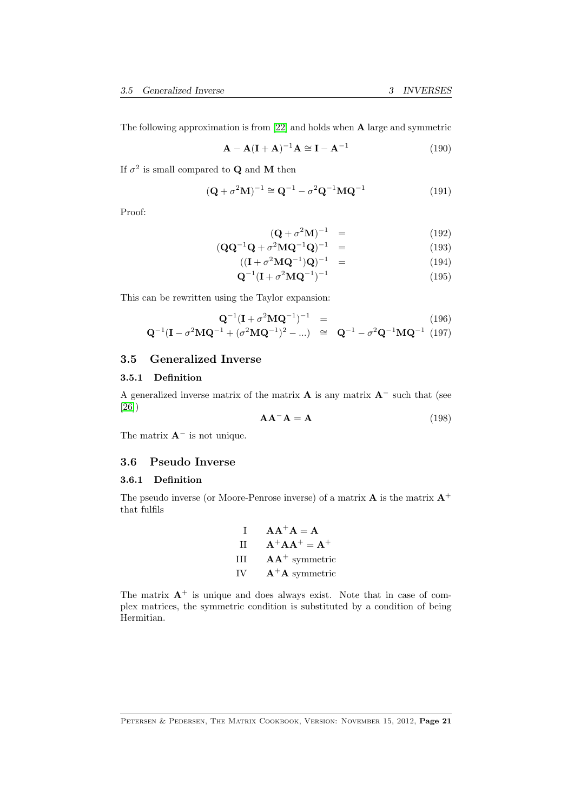The following approximation is from [\[22\]](#page-70-7) and holds when A large and symmetric

$$
\mathbf{A} - \mathbf{A}(\mathbf{I} + \mathbf{A})^{-1}\mathbf{A} \cong \mathbf{I} - \mathbf{A}^{-1}
$$
 (190)

If  $\sigma^2$  is small compared to **Q** and **M** then

$$
(\mathbf{Q} + \sigma^2 \mathbf{M})^{-1} \cong \mathbf{Q}^{-1} - \sigma^2 \mathbf{Q}^{-1} \mathbf{M} \mathbf{Q}^{-1}
$$
 (191)

Proof:

$$
(\mathbf{Q} + \sigma^2 \mathbf{M})^{-1} = \tag{192}
$$

$$
({\bf Q} {\bf Q}^{-1} {\bf Q} + \sigma^2 {\bf M} {\bf Q}^{-1} {\bf Q})^{-1} = \qquad (193)
$$

$$
((\mathbf{I} + \sigma^2 \mathbf{M} \mathbf{Q}^{-1}) \mathbf{Q})^{-1} = \tag{194}
$$

$$
\mathbf{Q}^{-1}(\mathbf{I} + \sigma^2 \mathbf{M} \mathbf{Q}^{-1})^{-1} \tag{195}
$$

This can be rewritten using the Taylor expansion:

$$
\mathbf{Q}^{-1}(\mathbf{I} + \sigma^2 \mathbf{M} \mathbf{Q}^{-1})^{-1} =
$$
\n
$$
\mathbf{Q}^{-1}(\mathbf{I} - \sigma^2 \mathbf{M} \mathbf{Q}^{-1} + (\sigma^2 \mathbf{M} \mathbf{Q}^{-1})^2 - \dots) \cong \mathbf{Q}^{-1} - \sigma^2 \mathbf{Q}^{-1} \mathbf{M} \mathbf{Q}^{-1} \tag{197}
$$

# <span id="page-20-0"></span>3.5 Generalized Inverse

#### 3.5.1 Definition

A generalized inverse matrix of the matrix  $\bf{A}$  is any matrix  $\bf{A}^-$  such that (see [\[26\]](#page-70-8))

$$
AA^{-}A = A \tag{198}
$$

The matrix  $A^-$  is not unique.

# <span id="page-20-1"></span>3.6 Pseudo Inverse

#### 3.6.1 Definition

The pseudo inverse (or Moore-Penrose inverse) of a matrix  $A$  is the matrix  $A^+$ that fulfils

| $\mathbf{I}$ | $AA^+A = A$      |
|--------------|------------------|
| H            | $A^+AA^+ = A^+$  |
| Ш            | $AA^+$ symmetric |
| <b>IV</b>    | $A^+A$ symmetric |

The matrix  $A^+$  is unique and does always exist. Note that in case of complex matrices, the symmetric condition is substituted by a condition of being Hermitian.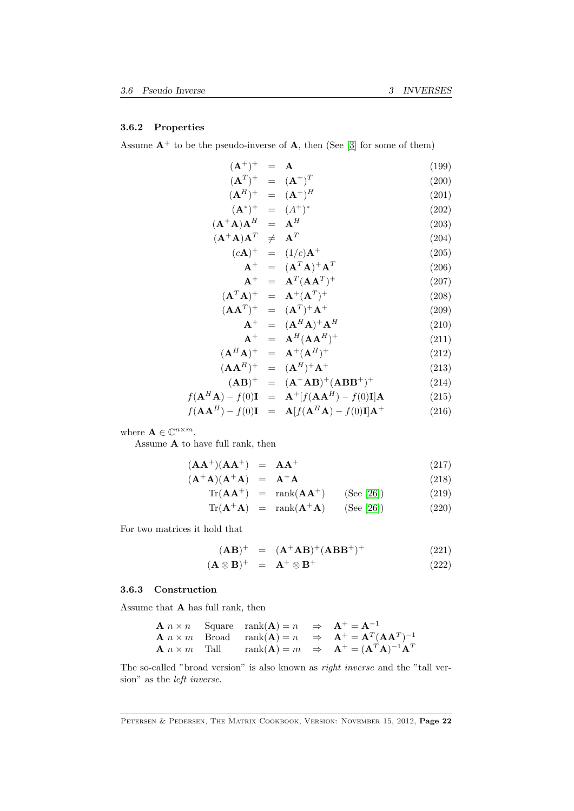#### 3.6.2 Properties

Assume  $A^+$  to be the pseudo-inverse of A, then (See [\[3\]](#page-69-7) for some of them)

$$
(\mathbf{A}^{+})^{+} = \mathbf{A}
$$
\n
$$
(\mathbf{A}^{T})^{+} = (\mathbf{A}^{+})^{T}
$$
\n
$$
(\mathbf{A}^{H})^{+} = (\mathbf{A}^{+})^{H}
$$
\n
$$
(\mathbf{A}^{*})^{+} = (\mathbf{A}^{+})^{H}
$$
\n
$$
(\mathbf{A}^{+}\mathbf{A})\mathbf{A}^{H} = \mathbf{A}^{H}
$$
\n
$$
(\mathbf{A}^{+}\mathbf{A})\mathbf{A}^{T} \neq \mathbf{A}^{T}
$$
\n
$$
(\mathbf{c}\mathbf{A})^{+} = (1/c)\mathbf{A}^{+}
$$
\n
$$
\mathbf{A}^{+} = (\mathbf{A}^{T}\mathbf{A})^{+}\mathbf{A}^{T}
$$
\n
$$
(\mathbf{c}\mathbf{A})^{+} = (\mathbf{A}^{T}\mathbf{A})^{+}\mathbf{A}^{T}
$$
\n
$$
(\mathbf{A}^{T}\mathbf{A})^{+} = \mathbf{A}^{T}(\mathbf{A}\mathbf{A}^{T})^{+}
$$
\n
$$
(\mathbf{A}\mathbf{A}^{T})^{+} = (\mathbf{A}^{T})^{+}\mathbf{A}^{+}
$$
\n
$$
(\mathbf{A}\mathbf{A}^{T})^{+} = (\mathbf{A}^{T})^{+}\mathbf{A}^{+}
$$
\n
$$
(\mathbf{A}\mathbf{A}^{T})^{+} = (\mathbf{A}^{H}\mathbf{A})^{+}\mathbf{A}^{H}
$$
\n
$$
(\mathbf{A}^{H}\mathbf{A})^{+} = \mathbf{A}^{H}(\mathbf{A}\mathbf{A}^{H})^{+}
$$
\n
$$
(\mathbf{A}\mathbf{A}^{H})^{+} = (\mathbf{A}^{H})^{+}\mathbf{A}^{+}
$$
\n
$$
(\mathbf{A}\mathbf{A}^{H})^{+} = (\mathbf{A}^{H})^{+}\mathbf{A}^{+}
$$
\n
$$
(\mathbf{A}\mathbf{B})^{+} = (\mathbf{A}^{H})^{+}\mathbf{A}^{+}
$$
\n
$$
(\mathbf{A}\mathbf{A}^{H}) - f(0)\mathbf{I} =
$$

where  $\mathbf{A} \in \mathbb{C}^{n \times m}$ .

Assume  ${\bf A}$  to have full rank, then

$$
(\mathbf{A}\mathbf{A}^+)(\mathbf{A}\mathbf{A}^+) = \mathbf{A}\mathbf{A}^+ \tag{217}
$$

$$
(\mathbf{A}^+\mathbf{A})(\mathbf{A}^+\mathbf{A}) = \mathbf{A}^+\mathbf{A}
$$
 (218)

$$
Tr(\mathbf{A}\mathbf{A}^+) = \operatorname{rank}(\mathbf{A}\mathbf{A}^+) \qquad \text{(See [26])} \tag{219}
$$

$$
Tr(\mathbf{A}^+ \mathbf{A}) = \text{rank}(\mathbf{A}^+ \mathbf{A}) \qquad \text{(See [26])} \tag{220}
$$

For two matrices it hold that

$$
({\bf AB})^{+} = ({\bf A}^{+}{\bf AB})^{+}({\bf A}{\bf BB}^{+})^{+}
$$
 (221)

$$
(\mathbf{A} \otimes \mathbf{B})^+ = \mathbf{A}^+ \otimes \mathbf{B}^+ \tag{222}
$$

#### <span id="page-21-0"></span>3.6.3 Construction

Assume that A has full rank, then

**A** 
$$
n \times n
$$
 Square rank(**A**) =  $n \Rightarrow$  **A**<sup>+</sup> = **A**<sup>-1</sup>  
\n**A**  $n \times m$  Broad rank(**A**) =  $n \Rightarrow$  **A**<sup>+</sup> = **A**<sup>T</sup>(**AA**<sup>T</sup>)<sup>-1</sup>  
\n**A**  $n \times m$  Tall rank(**A**) =  $m \Rightarrow$  **A**<sup>+</sup> = (**A**<sup>T</sup>**A**)<sup>-1</sup>**A**<sup>T</sup>

The so-called "broad version" is also known as right inverse and the "tall version" as the left inverse.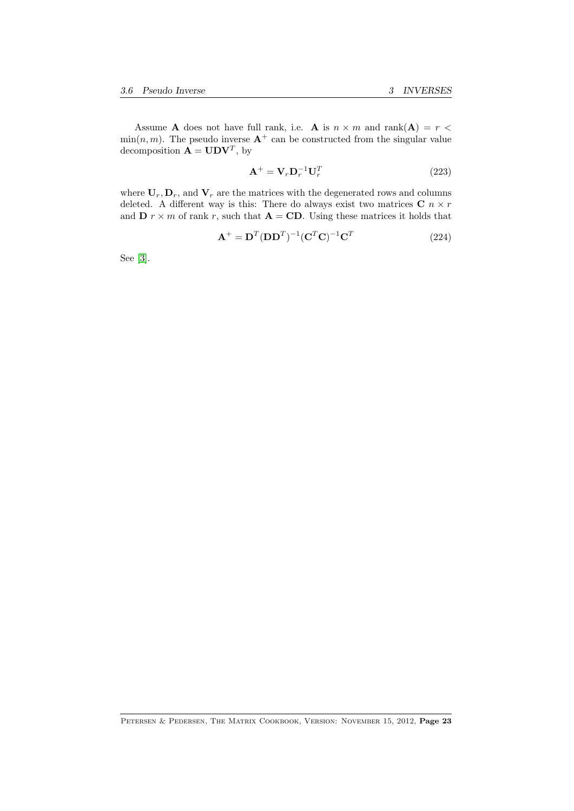Assume **A** does not have full rank, i.e. **A** is  $n \times m$  and rank(**A**) =  $r$  <  $\min(n, m)$ . The pseudo inverse  $A^+$  can be constructed from the singular value decomposition  $\mathbf{A} = \mathbf{U} \mathbf{D} \mathbf{V}^T$ , by

$$
\mathbf{A}^+ = \mathbf{V}_r \mathbf{D}_r^{-1} \mathbf{U}_r^T
$$
 (223)

where  $U_r, D_r$ , and  $V_r$  are the matrices with the degenerated rows and columns deleted. A different way is this: There do always exist two matrices  $C$   $n \times r$ and  $\mathbf{D} r \times m$  of rank r, such that  $\mathbf{A} = \mathbf{C}\mathbf{D}$ . Using these matrices it holds that

$$
\mathbf{A}^+ = \mathbf{D}^T (\mathbf{D} \mathbf{D}^T)^{-1} (\mathbf{C}^T \mathbf{C})^{-1} \mathbf{C}^T
$$
 (224)

See [\[3\]](#page-69-7).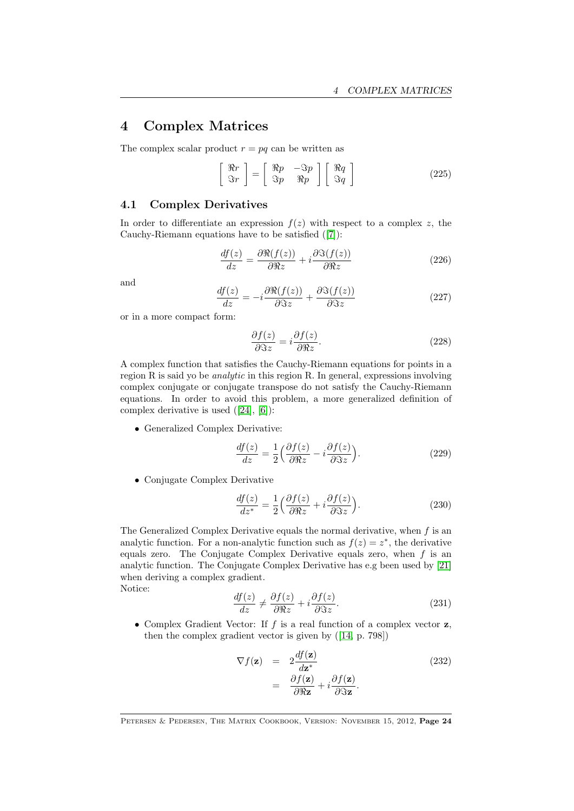# <span id="page-23-0"></span>4 Complex Matrices

The complex scalar product  $r = pq$  can be written as

$$
\left[\begin{array}{c}\Re r\\ \Im r\end{array}\right] = \left[\begin{array}{cc}\Re p & -\Im p\\ \Im p & \Re p\end{array}\right] \left[\begin{array}{c}\Re q\\ \Im q\end{array}\right]
$$
(225)

#### <span id="page-23-1"></span>4.1 Complex Derivatives

In order to differentiate an expression  $f(z)$  with respect to a complex z, the Cauchy-Riemann equations have to be satisfied([\[7\]](#page-69-1)):

$$
\frac{df(z)}{dz} = \frac{\partial \Re(f(z))}{\partial \Re z} + i \frac{\partial \Im(f(z))}{\partial \Re z} \tag{226}
$$

and

$$
\frac{df(z)}{dz} = -i \frac{\partial \Re(f(z))}{\partial \Im z} + \frac{\partial \Im(f(z))}{\partial \Im z} \tag{227}
$$

or in a more compact form:

$$
\frac{\partial f(z)}{\partial \Im z} = i \frac{\partial f(z)}{\partial \Re z}.
$$
\n(228)

A complex function that satisfies the Cauchy-Riemann equations for points in a region R is said yo be analytic in this region R. In general, expressions involving complex conjugate or conjugate transpose do not satisfy the Cauchy-Riemann equations. In order to avoid this problem, a more generalized definition of complex derivative is used([\[24\]](#page-70-9), [\[6\]](#page-69-8)):

• Generalized Complex Derivative:

<span id="page-23-3"></span>
$$
\frac{df(z)}{dz} = \frac{1}{2} \left( \frac{\partial f(z)}{\partial \Re z} - i \frac{\partial f(z)}{\partial \Im z} \right).
$$
 (229)

• Conjugate Complex Derivative

<span id="page-23-2"></span>
$$
\frac{df(z)}{dz^*} = \frac{1}{2} \left( \frac{\partial f(z)}{\partial \Re z} + i \frac{\partial f(z)}{\partial \Im z} \right).
$$
 (230)

The Generalized Complex Derivative equals the normal derivative, when  $f$  is an analytic function. For a non-analytic function such as  $f(z) = z^*$ , the derivative equals zero. The Conjugate Complex Derivative equals zero, when  $f$  is an analytic function. The Conjugate Complex Derivative has e.g been used by [\[21\]](#page-70-10) when deriving a complex gradient.

Notice:

$$
\frac{df(z)}{dz} \neq \frac{\partial f(z)}{\partial \Re z} + i \frac{\partial f(z)}{\partial \Im z}.
$$
\n(231)

• Complex Gradient Vector: If  $f$  is a real function of a complex vector  $z$ , then the complex gradient vector is given by([\[14,](#page-69-2) p. 798])

$$
\nabla f(\mathbf{z}) = 2 \frac{df(\mathbf{z})}{d\mathbf{z}^*} \n= \frac{\partial f(\mathbf{z})}{\partial \Re \mathbf{z}} + i \frac{\partial f(\mathbf{z})}{\partial \Im \mathbf{z}}.
$$
\n(232)

PETERSEN & PEDERSEN, THE MATRIX COOKBOOK, VERSION: NOVEMBER 15, 2012, Page 24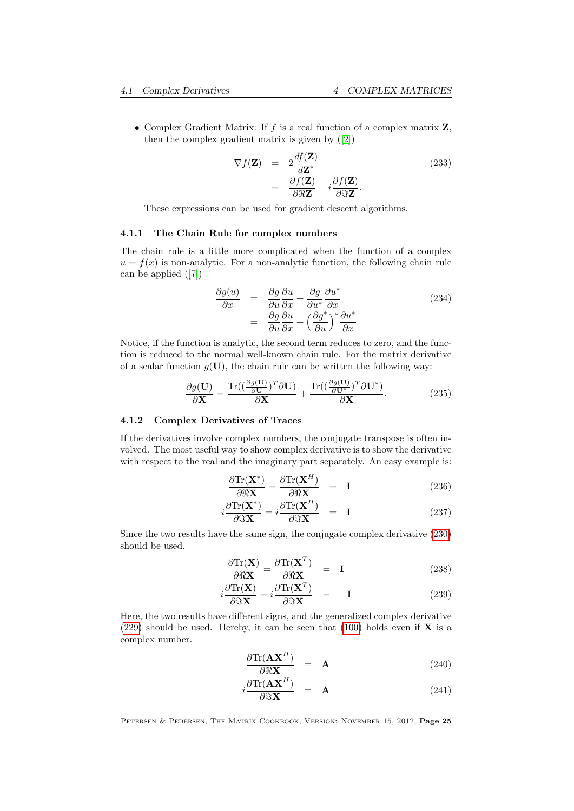• Complex Gradient Matrix: If  $f$  is a real function of a complex matrix  $Z$ , then the complex gradient matrix is given by ([\[2\]](#page-69-9))

<span id="page-24-0"></span>
$$
\nabla f(\mathbf{Z}) = 2 \frac{df(\mathbf{Z})}{d\mathbf{Z}^*} \n= \frac{\partial f(\mathbf{Z})}{\partial \Re \mathbf{Z}} + i \frac{\partial f(\mathbf{Z})}{\partial \Im \mathbf{Z}}.
$$
\n(233)

These expressions can be used for gradient descent algorithms.

#### 4.1.1 The Chain Rule for complex numbers

The chain rule is a little more complicated when the function of a complex  $u = f(x)$  is non-analytic. For a non-analytic function, the following chain rule can be applied([\[7\]](#page-69-1))

$$
\frac{\partial g(u)}{\partial x} = \frac{\partial g}{\partial u} \frac{\partial u}{\partial x} + \frac{\partial g}{\partial u^*} \frac{\partial u^*}{\partial x} \n= \frac{\partial g}{\partial u} \frac{\partial u}{\partial x} + \left(\frac{\partial g^*}{\partial u}\right)^* \frac{\partial u^*}{\partial x}
$$
\n(234)

Notice, if the function is analytic, the second term reduces to zero, and the function is reduced to the normal well-known chain rule. For the matrix derivative of a scalar function  $q(U)$ , the chain rule can be written the following way:

$$
\frac{\partial g(\mathbf{U})}{\partial \mathbf{X}} = \frac{\text{Tr}\left((\frac{\partial g(\mathbf{U})}{\partial \mathbf{U}})^T \partial \mathbf{U}\right)}{\partial \mathbf{X}} + \frac{\text{Tr}\left((\frac{\partial g(\mathbf{U})}{\partial \mathbf{U}^*})^T \partial \mathbf{U}^*\right)}{\partial \mathbf{X}}.
$$
(235)

#### 4.1.2 Complex Derivatives of Traces

If the derivatives involve complex numbers, the conjugate transpose is often involved. The most useful way to show complex derivative is to show the derivative with respect to the real and the imaginary part separately. An easy example is:

$$
\frac{\partial \text{Tr}(\mathbf{X}^*)}{\partial \Re \mathbf{X}} = \frac{\partial \text{Tr}(\mathbf{X}^H)}{\partial \Re \mathbf{X}} = \mathbf{I}
$$
 (236)

$$
i\frac{\partial \text{Tr}(\mathbf{X}^*)}{\partial \Im \mathbf{X}} = i\frac{\partial \text{Tr}(\mathbf{X}^H)}{\partial \Im \mathbf{X}} = \mathbf{I}
$$
 (237)

Since the two results have the same sign, the conjugate complex derivative [\(230\)](#page-23-2) should be used.

$$
\frac{\partial \text{Tr}(\mathbf{X})}{\partial \mathbb{R}\mathbf{X}} = \frac{\partial \text{Tr}(\mathbf{X}^T)}{\partial \mathbb{R}\mathbf{X}} = \mathbf{I}
$$
\n(238)

$$
i\frac{\partial \text{Tr}(\mathbf{X})}{\partial \Im \mathbf{X}} = i\frac{\partial \text{Tr}(\mathbf{X}^T)}{\partial \Im \mathbf{X}} = -\mathbf{I}
$$
 (239)

Here, the two results have different signs, and the generalized complex derivative [\(229\)](#page-23-3) should be used. Hereby, it can be seen that [\(100\)](#page-11-1) holds even if  $X$  is a complex number.

$$
\frac{\partial \text{Tr}(\mathbf{A}\mathbf{X}^H)}{\partial \Re \mathbf{X}} = \mathbf{A} \tag{240}
$$

$$
i\frac{\partial \text{Tr}(\mathbf{A}\mathbf{X}^H)}{\partial \Im \mathbf{X}} = \mathbf{A}
$$
 (241)

PETERSEN & PEDERSEN, THE MATRIX COOKBOOK, VERSION: NOVEMBER 15, 2012, Page 25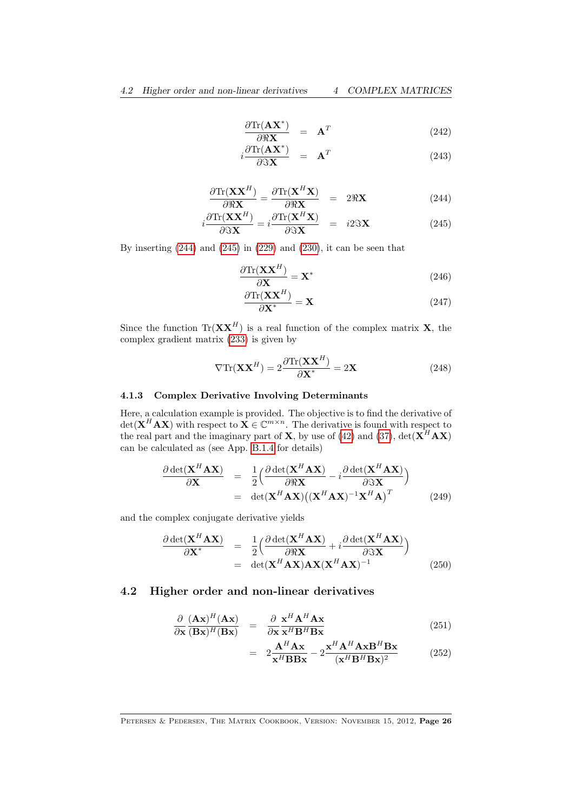$$
\frac{\partial \text{Tr}(\mathbf{A}\mathbf{X}^*)}{\partial \Re \mathbf{X}} = \mathbf{A}^T
$$
 (242)

$$
i\frac{\partial \text{Tr}(\mathbf{A}\mathbf{X}^*)}{\partial \Im \mathbf{X}} = \mathbf{A}^T
$$
 (243)

$$
\frac{\partial \text{Tr}(\mathbf{X}\mathbf{X}^H)}{\partial \Re \mathbf{X}} = \frac{\partial \text{Tr}(\mathbf{X}^H \mathbf{X})}{\partial \Re \mathbf{X}} = 2\Re \mathbf{X}
$$
 (244)

<span id="page-25-2"></span>
$$
i\frac{\partial \text{Tr}(\mathbf{X}\mathbf{X}^H)}{\partial \Im \mathbf{X}} = i\frac{\partial \text{Tr}(\mathbf{X}^H \mathbf{X})}{\partial \Im \mathbf{X}} = i2\Im \mathbf{X}
$$
 (245)

By inserting  $(244)$  and  $(245)$  in  $(229)$  and  $(230)$ , it can be seen that

$$
\frac{\partial \text{Tr}(\mathbf{X} \mathbf{X}^H)}{\partial \mathbf{X}} = \mathbf{X}^* \tag{246}
$$

$$
\frac{\partial \text{Tr}(\mathbf{X}\mathbf{X}^H)}{\partial \mathbf{X}^*} = \mathbf{X}
$$
 (247)

Since the function  $\text{Tr}(\mathbf{X}\mathbf{X}^H)$  is a real function of the complex matrix **X**, the complex gradient matrix [\(233\)](#page-24-0) is given by

<span id="page-25-1"></span>
$$
\nabla \text{Tr}(\mathbf{X} \mathbf{X}^H) = 2 \frac{\partial \text{Tr}(\mathbf{X} \mathbf{X}^H)}{\partial \mathbf{X}^*} = 2\mathbf{X}
$$
 (248)

# 4.1.3 Complex Derivative Involving Determinants

Here, a calculation example is provided. The objective is to find the derivative of  $\det(\mathbf{X}^{H} \mathbf{A} \mathbf{X})$  with respect to  $\mathbf{X} \in \mathbb{C}^{m \times n}$ . The derivative is found with respect to the real part and the imaginary part of **X**, by use of [\(42\)](#page-7-2) and [\(37\)](#page-7-2),  $det(\mathbf{X}^H \mathbf{A} \mathbf{X})$ can be calculated as (see App. [B.1.4](#page-67-0) for details)

$$
\frac{\partial \det(\mathbf{X}^H \mathbf{A} \mathbf{X})}{\partial \mathbf{X}} = \frac{1}{2} \Big( \frac{\partial \det(\mathbf{X}^H \mathbf{A} \mathbf{X})}{\partial \Re \mathbf{X}} - i \frac{\partial \det(\mathbf{X}^H \mathbf{A} \mathbf{X})}{\partial \Im \mathbf{X}} \Big) \n= \det(\mathbf{X}^H \mathbf{A} \mathbf{X}) ((\mathbf{X}^H \mathbf{A} \mathbf{X})^{-1} \mathbf{X}^H \mathbf{A})^T
$$
\n(249)

and the complex conjugate derivative yields

$$
\frac{\partial \det(\mathbf{X}^H \mathbf{A} \mathbf{X})}{\partial \mathbf{X}^*} = \frac{1}{2} \left( \frac{\partial \det(\mathbf{X}^H \mathbf{A} \mathbf{X})}{\partial \Re \mathbf{X}} + i \frac{\partial \det(\mathbf{X}^H \mathbf{A} \mathbf{X})}{\partial \Im \mathbf{X}} \right)
$$
\n
$$
= \det(\mathbf{X}^H \mathbf{A} \mathbf{X}) \mathbf{A} \mathbf{X} (\mathbf{X}^H \mathbf{A} \mathbf{X})^{-1} \tag{250}
$$

#### <span id="page-25-0"></span>4.2 Higher order and non-linear derivatives

$$
\frac{\partial}{\partial \mathbf{x}} \frac{(\mathbf{A}\mathbf{x})^H (\mathbf{A}\mathbf{x})}{(\mathbf{B}\mathbf{x})^H (\mathbf{B}\mathbf{x})} = \frac{\partial}{\partial \mathbf{x}} \frac{\mathbf{x}^H \mathbf{A}^H \mathbf{A} \mathbf{x}}{\mathbf{x}^H \mathbf{B}^H \mathbf{B} \mathbf{x}}
$$
(251)

$$
= 2\frac{\mathbf{A}^{H}\mathbf{A}\mathbf{x}}{\mathbf{x}^{H}\mathbf{B}\mathbf{B}\mathbf{x}} - 2\frac{\mathbf{x}^{H}\mathbf{A}^{H}\mathbf{A}\mathbf{x}\mathbf{B}^{H}\mathbf{B}\mathbf{x}}{(\mathbf{x}^{H}\mathbf{B}^{H}\mathbf{B}\mathbf{x})^{2}}
$$
(252)

PETERSEN & PEDERSEN, THE MATRIX COOKBOOK, VERSION: NOVEMBER 15, 2012, Page 26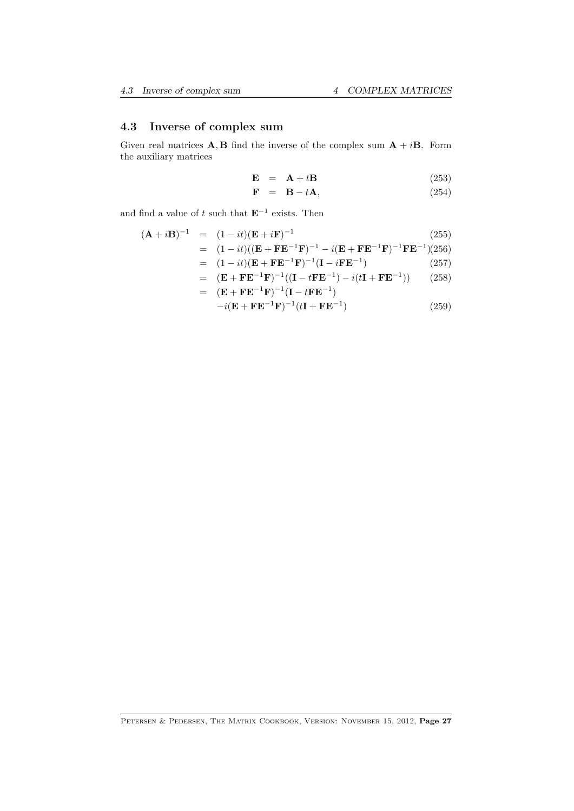# <span id="page-26-0"></span>4.3 Inverse of complex sum

Given real matrices **A**, **B** find the inverse of the complex sum  $A + iB$ . Form the auxiliary matrices

$$
\mathbf{E} = \mathbf{A} + t\mathbf{B} \tag{253}
$$

$$
\mathbf{F} = \mathbf{B} - t\mathbf{A},\tag{254}
$$

and find a value of t such that  $E^{-1}$  exists. Then

$$
(\mathbf{A} + i\mathbf{B})^{-1} = (1 - it)(\mathbf{E} + i\mathbf{F})^{-1}
$$
(255)  
\n
$$
= (1 - it)((\mathbf{E} + \mathbf{F}\mathbf{E}^{-1}\mathbf{F})^{-1} - i(\mathbf{E} + \mathbf{F}\mathbf{E}^{-1}\mathbf{F})^{-1}\mathbf{F}\mathbf{E}^{-1})(256)
$$
  
\n
$$
= (1 - it)(\mathbf{E} + \mathbf{F}\mathbf{E}^{-1}\mathbf{F})^{-1}(\mathbf{I} - i\mathbf{F}\mathbf{E}^{-1})
$$
(257)  
\n
$$
= (\mathbf{E} + \mathbf{F}\mathbf{E}^{-1}\mathbf{F})^{-1}((\mathbf{I} - t\mathbf{F}\mathbf{E}^{-1}) - i(t\mathbf{I} + \mathbf{F}\mathbf{E}^{-1}))
$$
(258)  
\n
$$
= (\mathbf{E} + \mathbf{F}\mathbf{E}^{-1}\mathbf{F})^{-1}(\mathbf{I} - t\mathbf{F}\mathbf{E}^{-1})
$$
(259)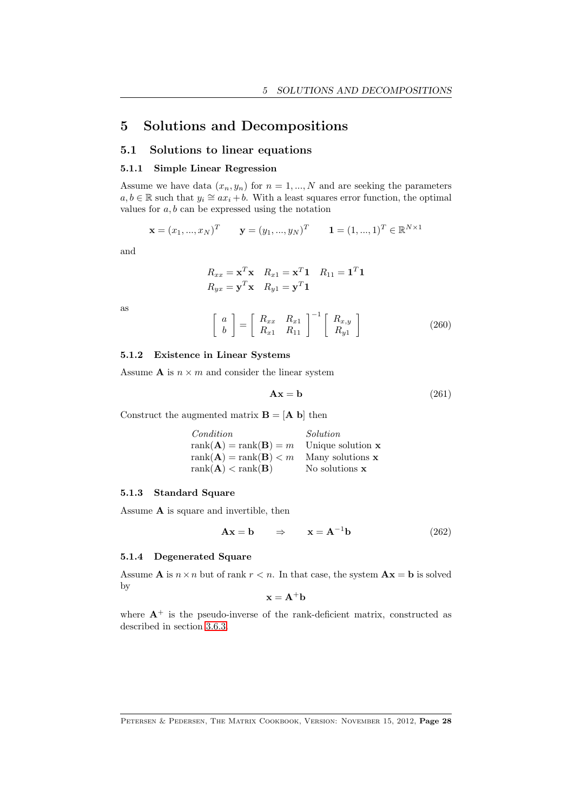# <span id="page-27-0"></span>5 Solutions and Decompositions

# <span id="page-27-1"></span>5.1 Solutions to linear equations

#### 5.1.1 Simple Linear Regression

Assume we have data  $(x_n, y_n)$  for  $n = 1, ..., N$  and are seeking the parameters  $a, b \in \mathbb{R}$  such that  $y_i \cong ax_i + b$ . With a least squares error function, the optimal values for  $a, b$  can be expressed using the notation

$$
\mathbf{x} = (x_1, ..., x_N)^T
$$
  $\mathbf{y} = (y_1, ..., y_N)^T$   $\mathbf{1} = (1, ..., 1)^T \in \mathbb{R}^{N \times 1}$ 

and

$$
R_{xx} = \mathbf{x}^T \mathbf{x} \quad R_{x1} = \mathbf{x}^T \mathbf{1} \quad R_{11} = \mathbf{1}^T \mathbf{1}
$$
  

$$
R_{yx} = \mathbf{y}^T \mathbf{x} \quad R_{y1} = \mathbf{y}^T \mathbf{1}
$$

as

$$
\left[\begin{array}{c} a \\ b \end{array}\right] = \left[\begin{array}{cc} R_{xx} & R_{x1} \\ R_{x1} & R_{11} \end{array}\right]^{-1} \left[\begin{array}{c} R_{x,y} \\ R_{y1} \end{array}\right] \tag{260}
$$

#### 5.1.2 Existence in Linear Systems

Assume **A** is  $n \times m$  and consider the linear system

$$
Ax = b \tag{261}
$$

Construct the augmented matrix  $\mathbf{B} = [\mathbf{A} \mathbf{b}]$  then

| Condition                                 | Solution            |
|-------------------------------------------|---------------------|
| $rank(\mathbf{A}) = rank(\mathbf{B}) = m$ | Unique solution $x$ |
| $rank(\mathbf{A}) = rank(\mathbf{B}) < m$ | Many solutions $x$  |
| $rank(\mathbf{A}) < rank(\mathbf{B})$     | No solutions $x$    |

#### 5.1.3 Standard Square

Assume  ${\bf A}$  is square and invertible, then

$$
\mathbf{A}\mathbf{x} = \mathbf{b} \qquad \Rightarrow \qquad \mathbf{x} = \mathbf{A}^{-1}\mathbf{b} \tag{262}
$$

#### 5.1.4 Degenerated Square

Assume **A** is  $n \times n$  but of rank  $r < n$ . In that case, the system  $Ax = b$  is solved by

$$
\mathbf{x} = \mathbf{A}^+ \mathbf{b}
$$

where  $A^+$  is the pseudo-inverse of the rank-deficient matrix, constructed as described in section [3.6.3.](#page-21-0)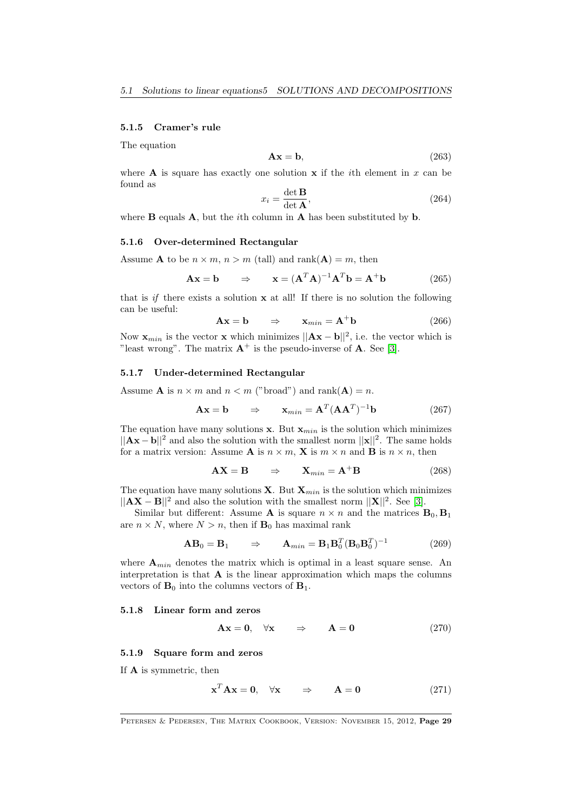#### 5.1.5 Cramer's rule

The equation

$$
Ax = b,\t(263)
$$

where **A** is square has exactly one solution  $x$  if the *i*th element in  $x$  can be found as  $\ddot{\phantom{0}}$ 

$$
x_i = \frac{\det \mathbf{B}}{\det \mathbf{A}},\tag{264}
$$

where  $\bf{B}$  equals  $\bf{A}$ , but the *i*th column in  $\bf{A}$  has been substituted by  $\bf{b}$ .

#### 5.1.6 Over-determined Rectangular

Assume **A** to be  $n \times m$ ,  $n > m$  (tall) and rank(**A**) = m, then

$$
\mathbf{A}\mathbf{x} = \mathbf{b} \qquad \Rightarrow \qquad \mathbf{x} = (\mathbf{A}^T \mathbf{A})^{-1} \mathbf{A}^T \mathbf{b} = \mathbf{A}^+ \mathbf{b} \tag{265}
$$

that is if there exists a solution  $x$  at all! If there is no solution the following can be useful:

$$
\mathbf{A}\mathbf{x} = \mathbf{b} \qquad \Rightarrow \qquad \mathbf{x}_{min} = \mathbf{A}^+ \mathbf{b} \tag{266}
$$

Now  $\mathbf{x}_{min}$  is the vector x which minimizes  $||\mathbf{A}\mathbf{x} - \mathbf{b}||^2$ , i.e. the vector which is "least wrong". The matrix  $A^+$  is the pseudo-inverse of A. See [\[3\]](#page-69-7).

#### 5.1.7 Under-determined Rectangular

Assume **A** is  $n \times m$  and  $n \lt m$  ("broad") and rank(**A**) = n.

$$
\mathbf{A}\mathbf{x} = \mathbf{b} \qquad \Rightarrow \qquad \mathbf{x}_{min} = \mathbf{A}^T (\mathbf{A}\mathbf{A}^T)^{-1} \mathbf{b} \tag{267}
$$

The equation have many solutions x. But  $\mathbf{x}_{min}$  is the solution which minimizes  $||Ax - b||^2$  and also the solution with the smallest norm  $||x||^2$ . The same holds for a matrix version: Assume **A** is  $n \times m$ , **X** is  $m \times n$  and **B** is  $n \times n$ , then

$$
\mathbf{AX} = \mathbf{B} \qquad \Rightarrow \qquad \mathbf{X}_{min} = \mathbf{A}^+ \mathbf{B} \tag{268}
$$

The equation have many solutions  $X$ . But  $X_{min}$  is the solution which minimizes  $||AX - B||^2$  and also the solution with the smallest norm  $||X||^2$ . See [\[3\]](#page-69-7).

Similar but different: Assume **A** is square  $n \times n$  and the matrices  $\mathbf{B}_0, \mathbf{B}_1$ are  $n \times N$ , where  $N > n$ , then if  $\mathbf{B}_0$  has maximal rank

$$
\mathbf{A}\mathbf{B}_0 = \mathbf{B}_1 \qquad \Rightarrow \qquad \mathbf{A}_{min} = \mathbf{B}_1 \mathbf{B}_0^T (\mathbf{B}_0 \mathbf{B}_0^T)^{-1} \tag{269}
$$

where  $A_{min}$  denotes the matrix which is optimal in a least square sense. An interpretation is that  $A$  is the linear approximation which maps the columns vectors of  $\mathbf{B}_0$  into the columns vectors of  $\mathbf{B}_1$ .

#### 5.1.8 Linear form and zeros

$$
\mathbf{A}\mathbf{x} = \mathbf{0}, \quad \forall \mathbf{x} \qquad \Rightarrow \qquad \mathbf{A} = \mathbf{0} \tag{270}
$$

#### 5.1.9 Square form and zeros

If A is symmetric, then

$$
\mathbf{x}^T \mathbf{A} \mathbf{x} = \mathbf{0}, \quad \forall \mathbf{x} \qquad \Rightarrow \qquad \mathbf{A} = \mathbf{0} \tag{271}
$$

PETERSEN & PEDERSEN, THE MATRIX COOKBOOK, VERSION: NOVEMBER 15, 2012, Page 29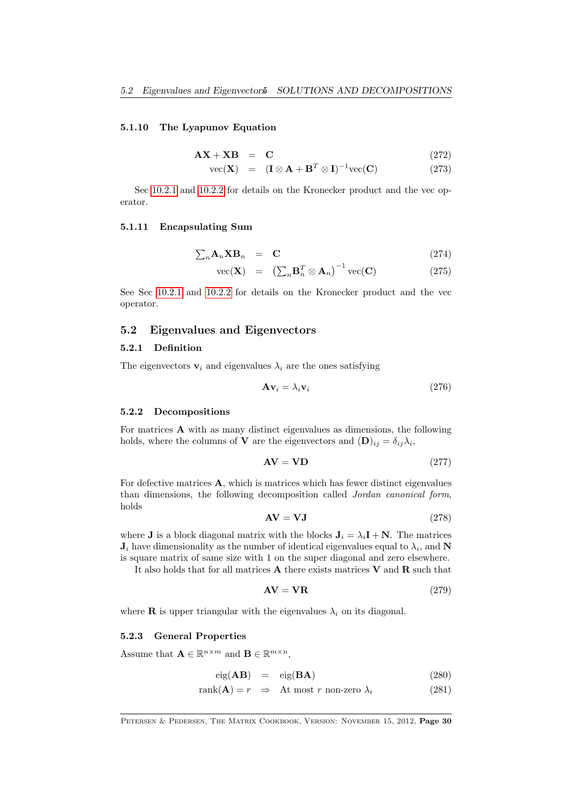#### 5.1.10 The Lyapunov Equation

$$
\mathbf{AX} + \mathbf{XB} = \mathbf{C} \tag{272}
$$

$$
\text{vec}(\mathbf{X}) = (\mathbf{I} \otimes \mathbf{A} + \mathbf{B}^T \otimes \mathbf{I})^{-1} \text{vec}(\mathbf{C}) \tag{273}
$$

Sec [10.2.1](#page-58-1) and [10.2.2](#page-59-0) for details on the Kronecker product and the vec operator.

#### 5.1.11 Encapsulating Sum

$$
\sum_{n} \mathbf{A}_{n} \mathbf{X} \mathbf{B}_{n} = \mathbf{C} \tag{274}
$$

$$
\text{vec}(\mathbf{X}) = \left(\sum_{n} \mathbf{B}_{n}^{T} \otimes \mathbf{A}_{n}\right)^{-1} \text{vec}(\mathbf{C}) \tag{275}
$$

See Sec [10.2.1](#page-58-1) and [10.2.2](#page-59-0) for details on the Kronecker product and the vec operator.

#### <span id="page-29-0"></span>5.2 Eigenvalues and Eigenvectors

#### 5.2.1 Definition

The eigenvectors  $v_i$  and eigenvalues  $\lambda_i$  are the ones satisfying

<span id="page-29-1"></span>
$$
\mathbf{A}\mathbf{v}_i = \lambda_i \mathbf{v}_i \tag{276}
$$

#### 5.2.2 Decompositions

For matrices A with as many distinct eigenvalues as dimensions, the following holds, where the columns of **V** are the eigenvectors and  $(D)_{ij} = \delta_{ij} \lambda_i$ ,

$$
AV = VD \tag{277}
$$

For defective matrices A, which is matrices which has fewer distinct eigenvalues than dimensions, the following decomposition called Jordan canonical form, holds

$$
AV = VJ \tag{278}
$$

where **J** is a block diagonal matrix with the blocks  $J_i = \lambda_i I + N$ . The matrices  $J_i$  have dimensionality as the number of identical eigenvalues equal to  $\lambda_i$ , and N is square matrix of same size with 1 on the super diagonal and zero elsewhere.

It also holds that for all matrices  $\bf{A}$  there exists matrices  $\bf{V}$  and  $\bf{R}$  such that

$$
AV = VR
$$
 (279)

where **R** is upper triangular with the eigenvalues  $\lambda_i$  on its diagonal.

#### 5.2.3 General Properties

Assume that  $\mathbf{A} \in \mathbb{R}^{n \times m}$  and  $\mathbf{B} \in \mathbb{R}^{m \times n}$ ,

$$
eig(AB) = eig(BA)
$$
 (280)

$$
rank(\mathbf{A}) = r \Rightarrow \text{At most } r \text{ non-zero } \lambda_i \tag{281}
$$

PETERSEN & PEDERSEN, THE MATRIX COOKBOOK, VERSION: NOVEMBER 15, 2012, Page 30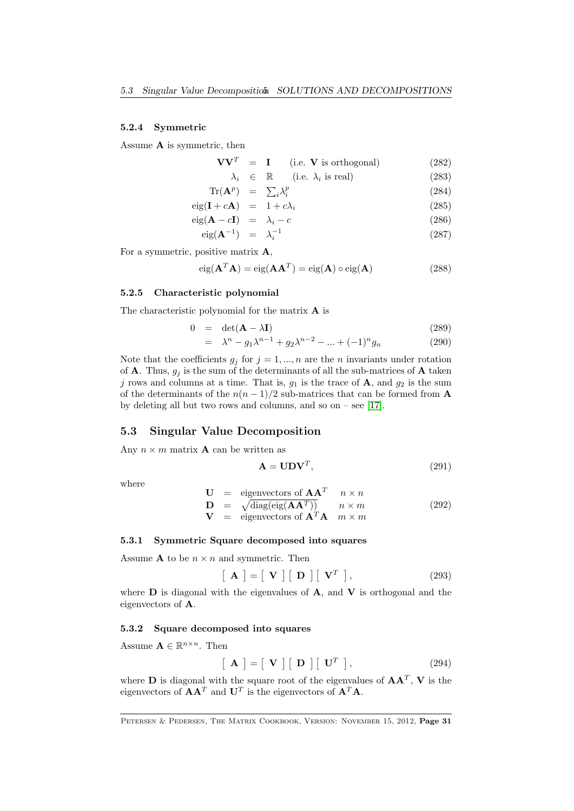#### 5.2.4 Symmetric

Assume A is symmetric, then

$$
VVT = I \t(i.e. V is orthogonal)
$$
 (282)

$$
\lambda_i \in \mathbb{R} \qquad \text{(i.e. } \lambda_i \text{ is real)} \tag{283}
$$

$$
\operatorname{Tr}(\mathbf{A}^p) = \sum_i \lambda_i^p \tag{284}
$$

$$
eig(\mathbf{I} + c\mathbf{A}) = 1 + c\lambda_i \tag{285}
$$

$$
eig(\mathbf{A} - c\mathbf{I}) = \lambda_i - c \tag{286}
$$

$$
eig(\mathbf{A}^{-1}) = \lambda_i^{-1} \tag{287}
$$

For a symmetric, positive matrix  $\mathbf{A}$ ,

$$
eig(\mathbf{A}^T \mathbf{A}) = eig(\mathbf{A}\mathbf{A}^T) = eig(\mathbf{A}) \circ eig(\mathbf{A})
$$
 (288)

#### 5.2.5 Characteristic polynomial

The characteristic polynomial for the matrix A is

$$
0 = \det(\mathbf{A} - \lambda \mathbf{I}) \tag{289}
$$

$$
= \lambda^{n} - g_{1}\lambda^{n-1} + g_{2}\lambda^{n-2} - \dots + (-1)^{n}g_{n}
$$
 (290)

Note that the coefficients  $g_j$  for  $j = 1, ..., n$  are the *n* invariants under rotation of **A**. Thus,  $g_j$  is the sum of the determinants of all the sub-matrices of **A** taken j rows and columns at a time. That is,  $g_1$  is the trace of **A**, and  $g_2$  is the sum of the determinants of the  $n(n-1)/2$  sub-matrices that can be formed from **A** by deleting all but two rows and columns, and so on – see  $[17]$ .

### <span id="page-30-0"></span>5.3 Singular Value Decomposition

Any  $n \times m$  matrix **A** can be written as

$$
\mathbf{A} = \mathbf{U} \mathbf{D} \mathbf{V}^T, \tag{291}
$$

where

$$
\mathbf{U} = \text{eigenvectors of } \mathbf{AA}^T \quad n \times n
$$
  
\n
$$
\mathbf{D} = \sqrt{\text{diag}(\text{eig}(\mathbf{AA}^T))} \quad n \times m
$$
  
\n
$$
\mathbf{V} = \text{eigenvectors of } \mathbf{A}^T \mathbf{A} \quad m \times m
$$
 (292)

#### 5.3.1 Symmetric Square decomposed into squares

Assume **A** to be  $n \times n$  and symmetric. Then

$$
\left[\begin{array}{c} \mathbf{A} \end{array}\right] = \left[\begin{array}{c} \mathbf{V} \end{array}\right] \left[\begin{array}{c} \mathbf{D} \end{array}\right] \left[\begin{array}{c} \mathbf{V}^T \end{array}\right],\tag{293}
$$

where  **is diagonal with the eigenvalues of**  $**A**$ **, and**  $**V**$  **is orthogonal and the** eigenvectors of A.

#### 5.3.2 Square decomposed into squares

Assume  $\mathbf{A} \in \mathbb{R}^{n \times n}$ . Then

$$
\left[\begin{array}{c} \mathbf{A} \end{array}\right] = \left[\begin{array}{c} \mathbf{V} \end{array}\right] \left[\begin{array}{c} \mathbf{D} \end{array}\right] \left[\begin{array}{c} \mathbf{U}^T \end{array}\right],\tag{294}
$$

where **D** is diagonal with the square root of the eigenvalues of  $AA<sup>T</sup>$ , **V** is the eigenvectors of  $AA<sup>T</sup>$  and  $U<sup>T</sup>$  is the eigenvectors of  $A<sup>T</sup>A$ .

PETERSEN & PEDERSEN, THE MATRIX COOKBOOK, VERSION: NOVEMBER 15, 2012, Page 31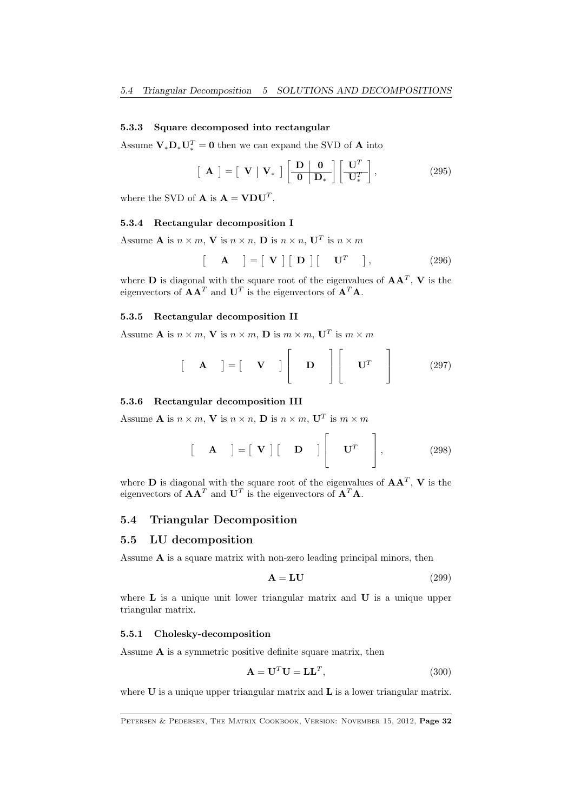#### 5.3.3 Square decomposed into rectangular

Assume  $V_*D_*U_*^T = 0$  then we can expand the SVD of **A** into

$$
\left[\begin{array}{c} \mathbf{A} \end{array}\right] = \left[\begin{array}{c} \mathbf{V} & \mathbf{V}_{*} \end{array}\right] \left[\begin{array}{c} \mathbf{D} & \mathbf{0} \\ \hline \mathbf{0} & \mathbf{D}_{*} \end{array}\right] \left[\begin{array}{c} \mathbf{U}^{T} \\ \hline \mathbf{U}_{*}^{T} \end{array}\right],\tag{295}
$$

where the SVD of **A** is  $\mathbf{A} = \mathbf{V} \mathbf{D} \mathbf{U}^T$ .

#### 5.3.4 Rectangular decomposition I

Assume **A** is  $n \times m$ , **V** is  $n \times n$ , **D** is  $n \times n$ , **U**<sup>T</sup> is  $n \times m$ 

$$
\begin{bmatrix} \mathbf{A} \end{bmatrix} = \begin{bmatrix} \mathbf{V} \end{bmatrix} \begin{bmatrix} \mathbf{D} \end{bmatrix} \begin{bmatrix} \mathbf{U}^T \end{bmatrix}, \qquad (296)
$$

where **D** is diagonal with the square root of the eigenvalues of  $AA<sup>T</sup>$ , **V** is the eigenvectors of  $AA<sup>T</sup>$  and  $U<sup>T</sup>$  is the eigenvectors of  $A<sup>T</sup>A$ .

#### 5.3.5 Rectangular decomposition II

Assume **A** is  $n \times m$ , **V** is  $n \times m$ , **D** is  $m \times m$ , **U**<sup>T</sup> is  $m \times m$ 

$$
\begin{bmatrix} \mathbf{A} \end{bmatrix} = \begin{bmatrix} \mathbf{V} \end{bmatrix} \begin{bmatrix} \mathbf{D} \end{bmatrix} \begin{bmatrix} \mathbf{U}^T \end{bmatrix}
$$
 (297)

#### 5.3.6 Rectangular decomposition III

Assume **A** is  $n \times m$ , **V** is  $n \times n$ , **D** is  $n \times m$ , **U**<sup>T</sup> is  $m \times m$ 

$$
\begin{bmatrix} \mathbf{A} \end{bmatrix} = \begin{bmatrix} \mathbf{V} \end{bmatrix} \begin{bmatrix} \mathbf{D} \end{bmatrix} \begin{bmatrix} \mathbf{U}^T \end{bmatrix}, \qquad (298)
$$

where **D** is diagonal with the square root of the eigenvalues of  $AA<sup>T</sup>$ , **V** is the eigenvectors of  $AA<sup>T</sup>$  and  $U<sup>T</sup>$  is the eigenvectors of  $A<sup>T</sup>A$ .

# <span id="page-31-0"></span>5.4 Triangular Decomposition

#### <span id="page-31-1"></span>5.5 LU decomposition

Assume  $A$  is a square matrix with non-zero leading principal minors, then

$$
A = LU \t\t(299)
$$

where  $L$  is a unique unit lower triangular matrix and  $U$  is a unique upper triangular matrix.

#### 5.5.1 Cholesky-decomposition

Assume  $A$  is a symmetric positive definite square matrix, then

$$
\mathbf{A} = \mathbf{U}^T \mathbf{U} = \mathbf{L}\mathbf{L}^T,\tag{300}
$$

where  $U$  is a unique upper triangular matrix and  $L$  is a lower triangular matrix.

PETERSEN & PEDERSEN, THE MATRIX COOKBOOK, VERSION: NOVEMBER 15, 2012, Page 32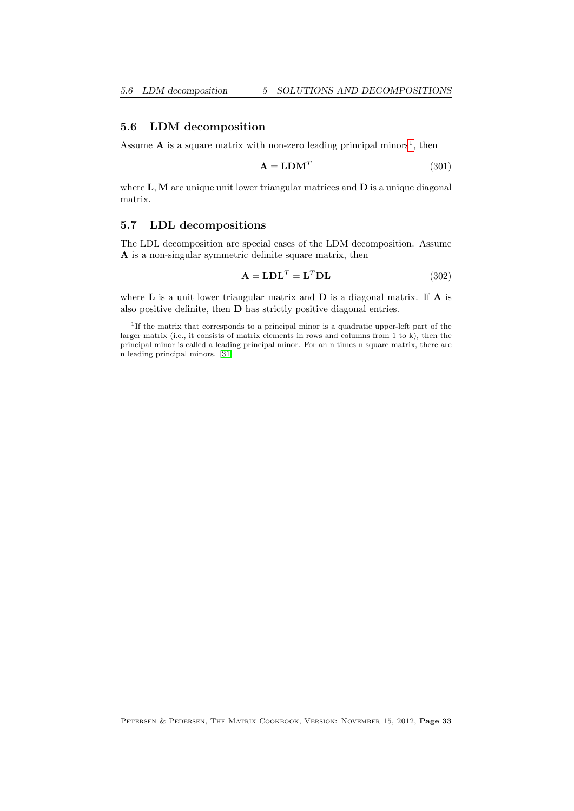#### <span id="page-32-0"></span>5.6 LDM decomposition

Assume  $A$  is a square matrix with non-zero leading principal minors<sup>[1](#page-32-2)</sup>, then

$$
\mathbf{A} = \mathbf{L} \mathbf{D} \mathbf{M}^T \tag{301}
$$

where  $L, M$  are unique unit lower triangular matrices and  $D$  is a unique diagonal matrix.

# <span id="page-32-1"></span>5.7 LDL decompositions

The LDL decomposition are special cases of the LDM decomposition. Assume A is a non-singular symmetric definite square matrix, then

$$
\mathbf{A} = \mathbf{LDL}^T = \mathbf{L}^T \mathbf{DL} \tag{302}
$$

where  $L$  is a unit lower triangular matrix and  $D$  is a diagonal matrix. If  $A$  is also positive definite, then D has strictly positive diagonal entries.

<span id="page-32-2"></span><sup>1</sup> If the matrix that corresponds to a principal minor is a quadratic upper-left part of the larger matrix (i.e., it consists of matrix elements in rows and columns from 1 to k), then the principal minor is called a leading principal minor. For an n times n square matrix, there are n leading principal minors. [\[31\]](#page-70-11)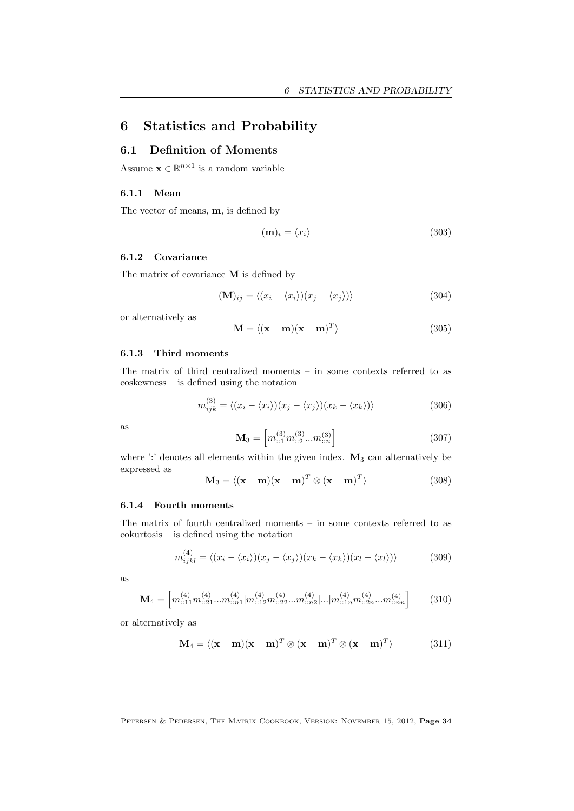# <span id="page-33-0"></span>6 Statistics and Probability

# <span id="page-33-1"></span>6.1 Definition of Moments

Assume  $\mathbf{x} \in \mathbb{R}^{n \times 1}$  is a random variable

#### 6.1.1 Mean

The vector of means, m, is defined by

$$
(\mathbf{m})_i = \langle x_i \rangle \tag{303}
$$

#### 6.1.2 Covariance

The matrix of covariance M is defined by

$$
(\mathbf{M})_{ij} = \langle (x_i - \langle x_i \rangle)(x_j - \langle x_j \rangle) \rangle \tag{304}
$$

or alternatively as

$$
\mathbf{M} = \langle (\mathbf{x} - \mathbf{m})(\mathbf{x} - \mathbf{m})^T \rangle \tag{305}
$$

#### 6.1.3 Third moments

The matrix of third centralized moments – in some contexts referred to as coskewness – is defined using the notation

$$
m_{ijk}^{(3)} = \langle (x_i - \langle x_i \rangle)(x_j - \langle x_j \rangle)(x_k - \langle x_k \rangle) \rangle
$$
 (306)

as

$$
\mathbf{M}_{3} = \left[ m_{::1}^{(3)} m_{::2}^{(3)} ... m_{::n}^{(3)} \right] \tag{307}
$$

where ':' denotes all elements within the given index.  $M_3$  can alternatively be expressed as

$$
\mathbf{M}_3 = \langle (\mathbf{x} - \mathbf{m})(\mathbf{x} - \mathbf{m})^T \otimes (\mathbf{x} - \mathbf{m})^T \rangle \tag{308}
$$

#### 6.1.4 Fourth moments

The matrix of fourth centralized moments – in some contexts referred to as cokurtosis – is defined using the notation

$$
m_{ijkl}^{(4)} = \langle (x_i - \langle x_i \rangle)(x_j - \langle x_j \rangle)(x_k - \langle x_k \rangle)(x_l - \langle x_l \rangle) \rangle \tag{309}
$$

as

$$
\mathbf{M}_{4} = \left[ m_{::11}^{(4)} m_{::21}^{(4)} ... m_{::n1}^{(4)} | m_{::12}^{(4)} m_{::22}^{(4)} ... m_{::n2}^{(4)} |... | m_{::1n}^{(4)} m_{::2n}^{(4)} ... m_{::nn}^{(4)} \right] \tag{310}
$$

or alternatively as

$$
\mathbf{M}_4 = \langle (\mathbf{x} - \mathbf{m})(\mathbf{x} - \mathbf{m})^T \otimes (\mathbf{x} - \mathbf{m})^T \otimes (\mathbf{x} - \mathbf{m})^T \rangle \tag{311}
$$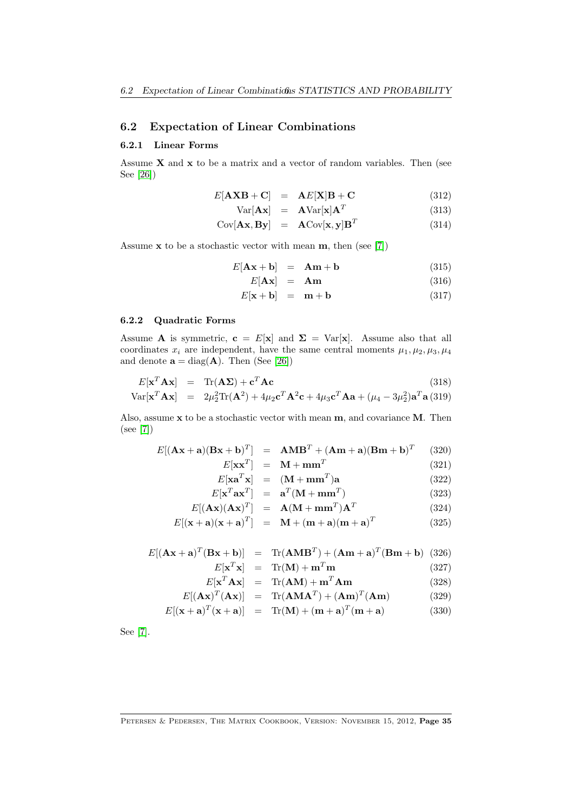# <span id="page-34-0"></span>6.2 Expectation of Linear Combinations

#### 6.2.1 Linear Forms

Assume  $X$  and  $x$  to be a matrix and a vector of random variables. Then (see See [\[26\]](#page-70-8))

$$
E[A X B + C] = AE[X] B + C
$$
\n(312)

$$
Var[\mathbf{A}\mathbf{x}] = \mathbf{A}Var[\mathbf{x}]\mathbf{A}^T
$$
 (313)

$$
Cov[\mathbf{A}\mathbf{x}, \mathbf{B}\mathbf{y}] = \mathbf{A}Cov[\mathbf{x}, \mathbf{y}]\mathbf{B}^T
$$
 (314)

Assume  $x$  to be a stochastic vector with mean  $m$ , then (see [\[7\]](#page-69-1))

$$
E[\mathbf{A}\mathbf{x} + \mathbf{b}] = \mathbf{A}\mathbf{m} + \mathbf{b} \tag{315}
$$

$$
E[\mathbf{A}\mathbf{x}] = \mathbf{A}\mathbf{m} \tag{316}
$$

$$
E[\mathbf{x} + \mathbf{b}] = \mathbf{m} + \mathbf{b} \tag{317}
$$

# 6.2.2 Quadratic Forms

Assume **A** is symmetric,  $\mathbf{c} = E[\mathbf{x}]$  and  $\Sigma = Var[\mathbf{x}]$ . Assume also that all coordinates  $x_i$  are independent, have the same central moments  $\mu_1, \mu_2, \mu_3, \mu_4$ and denote  $\mathbf{a} = \text{diag}(\mathbf{A})$ . Then (See [\[26\]](#page-70-8))

$$
E[\mathbf{x}^T \mathbf{A} \mathbf{x}] = \text{Tr}(\mathbf{A} \mathbf{\Sigma}) + \mathbf{c}^T \mathbf{A} \mathbf{c}
$$
 (318)

$$
Var[\mathbf{x}^T \mathbf{A} \mathbf{x}] = 2\mu_2^2 \text{Tr}(\mathbf{A}^2) + 4\mu_2 \mathbf{c}^T \mathbf{A}^2 \mathbf{c} + 4\mu_3 \mathbf{c}^T \mathbf{A} \mathbf{a} + (\mu_4 - 3\mu_2^2) \mathbf{a}^T \mathbf{a}
$$
 (319)

Also, assume  $x$  to be a stochastic vector with mean  $m$ , and covariance  $M$ . Then (see [\[7\]](#page-69-1))

$$
E[(\mathbf{A}\mathbf{x} + \mathbf{a})(\mathbf{B}\mathbf{x} + \mathbf{b})^T] = \mathbf{A}\mathbf{M}\mathbf{B}^T + (\mathbf{A}\mathbf{m} + \mathbf{a})(\mathbf{B}\mathbf{m} + \mathbf{b})^T
$$
 (320)

$$
T] = \mathbf{M} + \mathbf{m}\mathbf{m}^T \tag{321}
$$

$$
E[\mathbf{x}\mathbf{x}^T] = \mathbf{M} + \mathbf{m}\mathbf{m}^T
$$
(321)  
\n
$$
E[\mathbf{x}\mathbf{a}^T\mathbf{x}] = (\mathbf{M} + \mathbf{m}\mathbf{m}^T)\mathbf{a}
$$
(322)  
\n
$$
E[\mathbf{x}\mathbf{a}^T\mathbf{x}] = T(\mathbf{M} + \mathbf{m}\mathbf{m}^T)\mathbf{a}
$$
(323)

$$
E[\mathbf{x}^T \mathbf{a} \mathbf{x}^T] = \mathbf{a}^T (\mathbf{M} + \mathbf{m} \mathbf{m}^T) \tag{323}
$$

$$
E[(\mathbf{A}\mathbf{x})(\mathbf{A}\mathbf{x})^T] = \mathbf{A}(\mathbf{M} + \mathbf{m}\mathbf{m}^T)\mathbf{A}^T
$$
 (324)

$$
E[(\mathbf{x} + \mathbf{a})(\mathbf{x} + \mathbf{a})^T] = \mathbf{M} + (\mathbf{m} + \mathbf{a})(\mathbf{m} + \mathbf{a})^T
$$
 (325)

$$
E[(\mathbf{A}\mathbf{x} + \mathbf{a})^T (\mathbf{B}\mathbf{x} + \mathbf{b})] = \text{Tr}(\mathbf{A}\mathbf{M}\mathbf{B}^T) + (\mathbf{A}\mathbf{m} + \mathbf{a})^T (\mathbf{B}\mathbf{m} + \mathbf{b})
$$
(326)

$$
E[\mathbf{x}^T \mathbf{x}] = \text{Tr}(\mathbf{M}) + \mathbf{m}^T \mathbf{m}
$$
 (327)

$$
E[\mathbf{x}^T \mathbf{A} \mathbf{x}] = \text{Tr}(\mathbf{A} \mathbf{M}) + \mathbf{m}^T \mathbf{A} \mathbf{m}
$$
 (328)

$$
E[(\mathbf{A}\mathbf{x})^T(\mathbf{A}\mathbf{x})] = \text{Tr}(\mathbf{A}\mathbf{M}\mathbf{A}^T) + (\mathbf{A}\mathbf{m})^T(\mathbf{A}\mathbf{m})
$$
 (329)

$$
E[(\mathbf{x} + \mathbf{a})^T (\mathbf{x} + \mathbf{a})] = \text{Tr}(\mathbf{M}) + (\mathbf{m} + \mathbf{a})^T (\mathbf{m} + \mathbf{a})
$$
(330)

See [\[7\]](#page-69-1).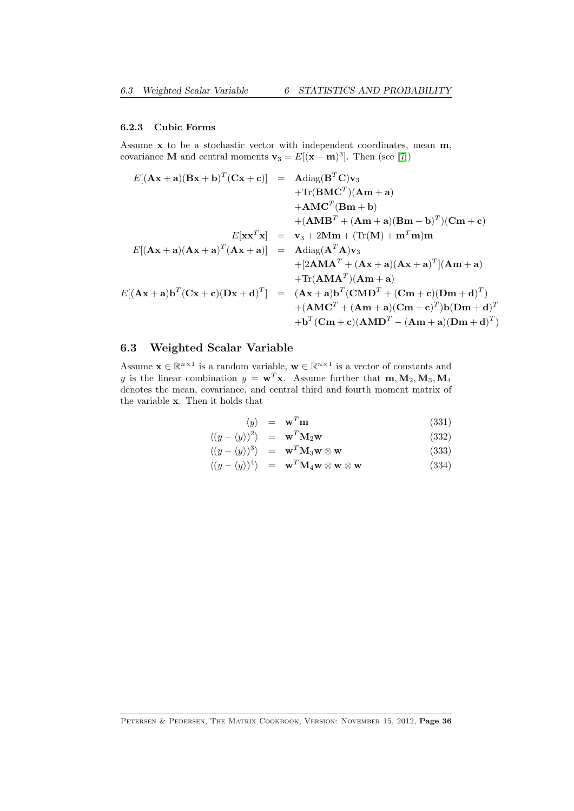#### 6.2.3 Cubic Forms

Assume x to be a stochastic vector with independent coordinates, mean m, covariance **M** and central moments  $\mathbf{v}_3 = E[(\mathbf{x} - \mathbf{m})^3]$ . Then (see [\[7\]](#page-69-1))

$$
E[(\mathbf{A}\mathbf{x} + \mathbf{a})(\mathbf{B}\mathbf{x} + \mathbf{b})^T(\mathbf{C}\mathbf{x} + \mathbf{c})] = \mathbf{A}\text{diag}(\mathbf{B}^T\mathbf{C})\mathbf{v}_3
$$
  
+Tr(\mathbf{B}\mathbf{M}\mathbf{C}^T)(\mathbf{A}\mathbf{m} + \mathbf{a})  
+ \mathbf{A}\mathbf{M}\mathbf{C}^T(\mathbf{B}\mathbf{m} + \mathbf{b})  
+ (\mathbf{A}\mathbf{M}\mathbf{B}^T + (\mathbf{A}\mathbf{m} + \mathbf{a})(\mathbf{B}\mathbf{m} + \mathbf{b})^T)(\mathbf{C}\mathbf{m} + \mathbf{c})  

$$
E[\mathbf{x}\mathbf{x}^T\mathbf{x}] = \mathbf{v}_3 + 2\mathbf{M}\mathbf{m} + (\text{Tr}(\mathbf{M}) + \mathbf{m}^T\mathbf{m})\mathbf{m}
$$
  

$$
E[(\mathbf{A}\mathbf{x} + \mathbf{a})(\mathbf{A}\mathbf{x} + \mathbf{a})^T(\mathbf{A}\mathbf{x} + \mathbf{a})] = \mathbf{A}\text{diag}(\mathbf{A}^T\mathbf{A})\mathbf{v}_3
$$
  
+ [2\mathbf{A}\mathbf{M}\mathbf{A}^T + (\mathbf{A}\mathbf{x} + \mathbf{a})(\mathbf{A}\mathbf{x} + \mathbf{a})^T](\mathbf{A}\mathbf{m} + \mathbf{a})  
+ \text{Tr}(\mathbf{A}\mathbf{M}\mathbf{A}^T)(\mathbf{A}\mathbf{m} + \mathbf{a})  
+ (\mathbf{A}\mathbf{M}\mathbf{C}^T + (\mathbf{A}\mathbf{m} + \mathbf{a})(\mathbf{C}\mathbf{m} + \mathbf{c})(\mathbf{D}\mathbf{m} + \mathbf{d})^T)  
+ (\mathbf{A}\mathbf{M}\mathbf{C}^T + (\mathbf{A}\mathbf{m} + \mathbf{a})(\mathbf{C}\mathbf{m} + \mathbf{c})^T)\mathbf{b}(\mathbf{D}\mathbf{m} + \mathbf{d})^T)  
+ \mathbf{b}^T(\mathbf{C}\mathbf{m} + \mathbf{c})(\mathbf{A}\mathbf{M

# <span id="page-35-0"></span>6.3 Weighted Scalar Variable

Assume  $\mathbf{x} \in \mathbb{R}^{n \times 1}$  is a random variable,  $\mathbf{w} \in \mathbb{R}^{n \times 1}$  is a vector of constants and y is the linear combination  $y = \mathbf{w}^T \mathbf{x}$ . Assume further that  $\mathbf{m}, \mathbf{M}_2, \mathbf{M}_3, \mathbf{M}_4$ denotes the mean, covariance, and central third and fourth moment matrix of the variable x. Then it holds that

$$
\langle y \rangle = \mathbf{w}^T \mathbf{m} \tag{331}
$$

$$
\langle (y - \langle y \rangle)^2 \rangle = \mathbf{w}^T \mathbf{M}_2 \mathbf{w} \tag{332}
$$

$$
\langle (y - \langle y \rangle)^3 \rangle = \mathbf{w}^T \mathbf{M}_3 \mathbf{w} \otimes \mathbf{w}
$$
\n(333)\n  
\n
$$
\langle (y - \langle y \rangle)^4 \rangle = \mathbf{w}^T \mathbf{M}_3 \mathbf{w} \otimes \mathbf{w} \otimes \mathbf{w}
$$
\n(333)

$$
\langle (y - \langle y \rangle)^4 \rangle = \mathbf{w}^T \mathbf{M}_4 \mathbf{w} \otimes \mathbf{w} \otimes \mathbf{w}
$$
 (334)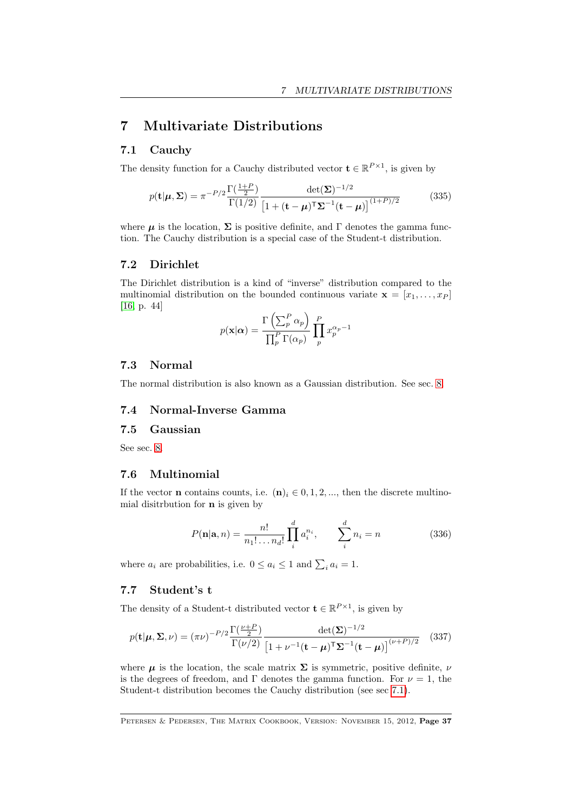# <span id="page-36-1"></span>7 Multivariate Distributions

### <span id="page-36-0"></span>7.1 Cauchy

The density function for a Cauchy distributed vector  $\mathbf{t} \in \mathbb{R}^{P \times 1}$ , is given by

$$
p(\mathbf{t}|\boldsymbol{\mu}, \boldsymbol{\Sigma}) = \pi^{-P/2} \frac{\Gamma(\frac{1+P}{2})}{\Gamma(1/2)} \frac{\det(\boldsymbol{\Sigma})^{-1/2}}{\left[1 + (\mathbf{t} - \boldsymbol{\mu})^{\mathsf{T}} \boldsymbol{\Sigma}^{-1} (\mathbf{t} - \boldsymbol{\mu})\right]^{(1+P)/2}} \tag{335}
$$

where  $\mu$  is the location,  $\Sigma$  is positive definite, and  $\Gamma$  denotes the gamma function. The Cauchy distribution is a special case of the Student-t distribution.

#### 7.2 Dirichlet

The Dirichlet distribution is a kind of "inverse" distribution compared to the multinomial distribution on the bounded continuous variate  $\mathbf{x} = [x_1, \ldots, x_P]$ [\[16,](#page-69-0) p. 44]

$$
p(\mathbf{x}|\alpha) = \frac{\Gamma\left(\sum_{p}^{P} \alpha_{p}\right)}{\prod_{p}^{P} \Gamma(\alpha_{p})} \prod_{p}^{P} x_{p}^{\alpha_{p}-1}
$$

### 7.3 Normal

The normal distribution is also known as a Gaussian distribution. See sec. [8.](#page-39-0)

### 7.4 Normal-Inverse Gamma

### 7.5 Gaussian

See sec. [8.](#page-39-0)

### 7.6 Multinomial

If the vector **n** contains counts, i.e.  $(n)_i \in 0, 1, 2, \dots$ , then the discrete multinomial disitrbution for n is given by

$$
P(\mathbf{n}|\mathbf{a},n) = \frac{n!}{n_1! \dots n_d!} \prod_{i=1}^{d} a_i^{n_i}, \qquad \sum_{i=1}^{d} n_i = n \tag{336}
$$

where  $a_i$  are probabilities, i.e.  $0 \le a_i \le 1$  and  $\sum_i a_i = 1$ .

### 7.7 Student's t

The density of a Student-t distributed vector  $\mathbf{t} \in \mathbb{R}^{P \times 1}$ , is given by

$$
p(\mathbf{t}|\boldsymbol{\mu}, \boldsymbol{\Sigma}, \nu) = (\pi \nu)^{-P/2} \frac{\Gamma(\frac{\nu+P}{2})}{\Gamma(\nu/2)} \frac{\det(\boldsymbol{\Sigma})^{-1/2}}{\left[1 + \nu^{-1}(\mathbf{t} - \boldsymbol{\mu})^{\mathsf{T}} \boldsymbol{\Sigma}^{-1}(\mathbf{t} - \boldsymbol{\mu})\right]^{(\nu+P)/2}} \quad (337)
$$

where  $\mu$  is the location, the scale matrix  $\Sigma$  is symmetric, positive definite,  $\nu$ is the degrees of freedom, and Γ denotes the gamma function. For  $\nu = 1$ , the Student-t distribution becomes the Cauchy distribution (see sec [7.1\)](#page-36-0).

PETERSEN & PEDERSEN, THE MATRIX COOKBOOK, VERSION: NOVEMBER 15, 2012, Page 37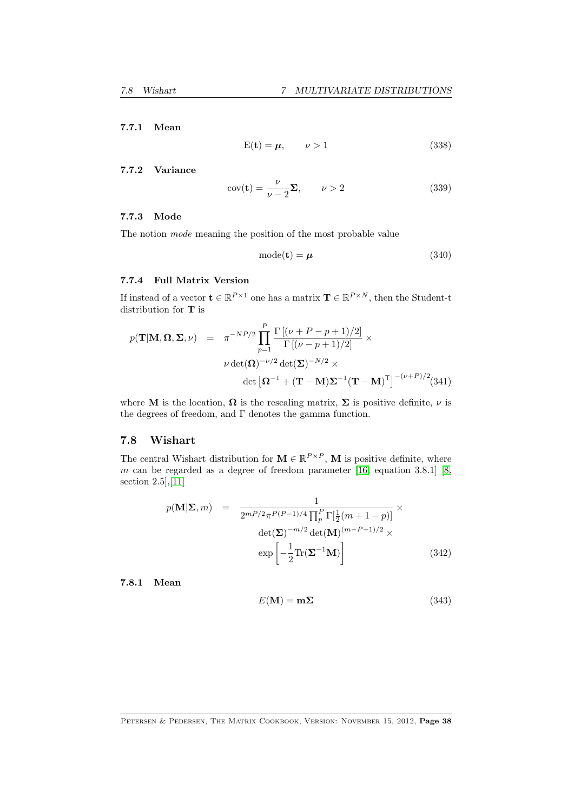### <span id="page-37-0"></span>7.7.1 Mean

$$
E(t) = \mu, \qquad \nu > 1 \tag{338}
$$

#### 7.7.2 Variance

$$
cov(\mathbf{t}) = \frac{\nu}{\nu - 2} \Sigma, \qquad \nu > 2 \tag{339}
$$

#### 7.7.3 Mode

The notion mode meaning the position of the most probable value

$$
mode(t) = \mu \tag{340}
$$

### 7.7.4 Full Matrix Version

If instead of a vector  $\mathbf{t} \in \mathbb{R}^{P \times 1}$  one has a matrix  $\mathbf{T} \in \mathbb{R}^{P \times N}$ , then the Student-t distribution for T is

$$
p(\mathbf{T}|\mathbf{M}, \mathbf{\Omega}, \mathbf{\Sigma}, \nu) = \pi^{-NP/2} \prod_{p=1}^{P} \frac{\Gamma[(\nu + P - p + 1)/2]}{\Gamma[(\nu - p + 1)/2]} \times
$$

$$
\nu \det(\mathbf{\Omega})^{-\nu/2} \det(\mathbf{\Sigma})^{-N/2} \times
$$

$$
\det\left[\mathbf{\Omega}^{-1} + (\mathbf{T} - \mathbf{M})\mathbf{\Sigma}^{-1}(\mathbf{T} - \mathbf{M})^{\mathsf{T}}\right]^{-(\nu + P)/2} (341)
$$

where **M** is the location,  $\Omega$  is the rescaling matrix,  $\Sigma$  is positive definite,  $\nu$  is the degrees of freedom, and  $\Gamma$  denotes the gamma function.

### 7.8 Wishart

The central Wishart distribution for  $\mathbf{M} \in \mathbb{R}^{P \times P}$ , M is positive definite, where m can be regarded as a degree of freedom parameter [\[16,](#page-69-0) equation 3.8.1] [\[8,](#page-69-1) section 2.5],[\[11\]](#page-69-2)

$$
p(\mathbf{M}|\mathbf{\Sigma}, m) = \frac{1}{2^{mP/2}\pi^{P(P-1)/4} \prod_{p}^{P} \Gamma[\frac{1}{2}(m+1-p)]} \times \det(\mathbf{\Sigma})^{-m/2} \det(\mathbf{M})^{(m-P-1)/2} \times \exp\left[-\frac{1}{2} \text{Tr}(\mathbf{\Sigma}^{-1} \mathbf{M})\right]
$$
(342)

7.8.1 Mean

$$
E(\mathbf{M}) = \mathbf{m}\Sigma \tag{343}
$$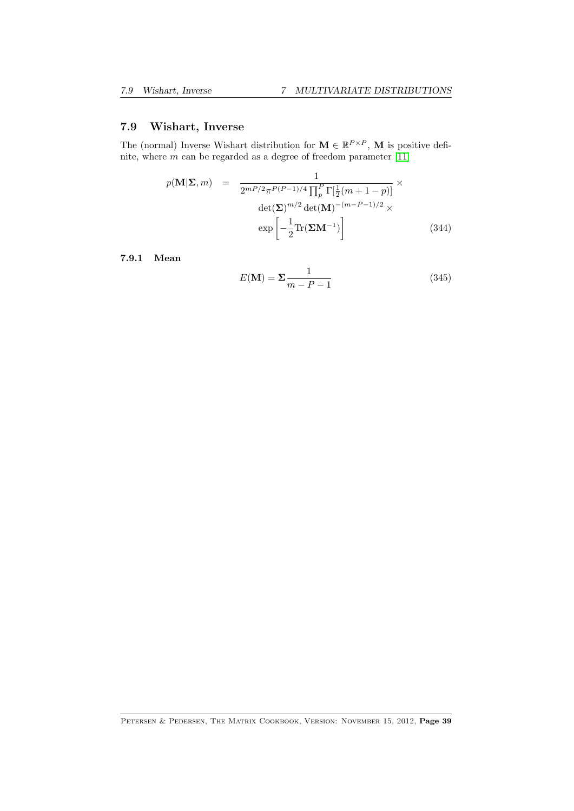### <span id="page-38-0"></span>7.9 Wishart, Inverse

The (normal) Inverse Wishart distribution for  $\mathbf{M} \in \mathbb{R}^{P \times P}$ , M is positive definite, where  $m$  can be regarded as a degree of freedom parameter [\[11\]](#page-69-2)

$$
p(\mathbf{M}|\mathbf{\Sigma},m) = \frac{1}{2^{mP/2}\pi^{P(P-1)/4}\prod_{p}^{P}\Gamma[\frac{1}{2}(m+1-p)]} \times \det(\mathbf{\Sigma})^{m/2}\det(\mathbf{M})^{-(m-P-1)/2} \times \exp\left[-\frac{1}{2}\text{Tr}(\mathbf{\Sigma}\mathbf{M}^{-1})\right]
$$
(344)

7.9.1 Mean

$$
E(\mathbf{M}) = \Sigma \frac{1}{m - P - 1} \tag{345}
$$

PETERSEN & PEDERSEN, THE MATRIX COOKBOOK, VERSION: NOVEMBER 15, 2012, Page 39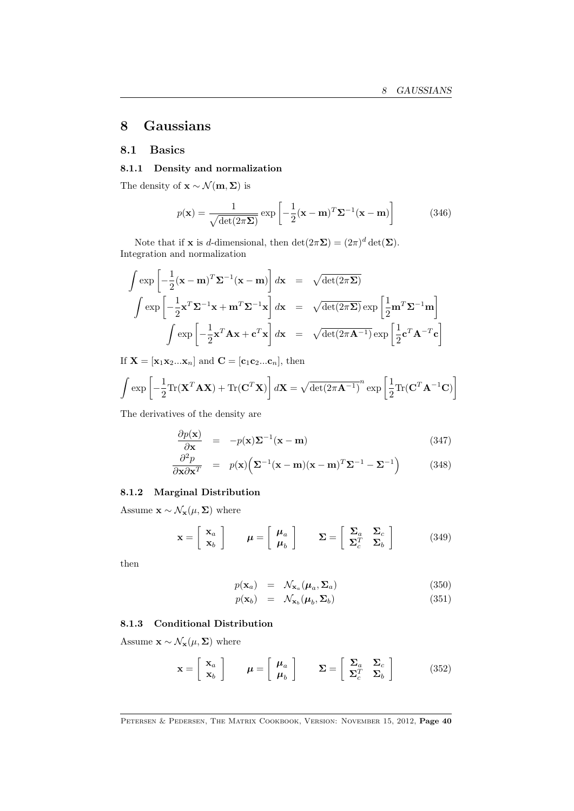# <span id="page-39-1"></span><span id="page-39-0"></span>8 Gaussians

### 8.1 Basics

#### 8.1.1 Density and normalization

The density of  $\mathbf{x} \sim \mathcal{N}(\mathbf{m}, \mathbf{\Sigma})$  is

$$
p(\mathbf{x}) = \frac{1}{\sqrt{\det(2\pi\mathbf{\Sigma})}} \exp\left[-\frac{1}{2}(\mathbf{x} - \mathbf{m})^T \mathbf{\Sigma}^{-1}(\mathbf{x} - \mathbf{m})\right]
$$
(346)

Note that if **x** is *d*-dimensional, then  $\det(2\pi\Sigma) = (2\pi)^d \det(\Sigma)$ . Integration and normalization

$$
\int \exp\left[-\frac{1}{2}(\mathbf{x} - \mathbf{m})^T \Sigma^{-1}(\mathbf{x} - \mathbf{m})\right] d\mathbf{x} = \sqrt{\det(2\pi\Sigma)}
$$
  

$$
\int \exp\left[-\frac{1}{2}\mathbf{x}^T \Sigma^{-1}\mathbf{x} + \mathbf{m}^T \Sigma^{-1}\mathbf{x}\right] d\mathbf{x} = \sqrt{\det(2\pi\Sigma)} \exp\left[\frac{1}{2}\mathbf{m}^T \Sigma^{-1}\mathbf{m}\right]
$$
  

$$
\int \exp\left[-\frac{1}{2}\mathbf{x}^T \mathbf{A} \mathbf{x} + \mathbf{c}^T \mathbf{x}\right] d\mathbf{x} = \sqrt{\det(2\pi\mathbf{A}^{-1})} \exp\left[\frac{1}{2}\mathbf{c}^T \mathbf{A}^{-T} \mathbf{c}\right]
$$

If  $\mathbf{X} = [\mathbf{x}_1 \mathbf{x}_2 ... \mathbf{x}_n]$  and  $\mathbf{C} = [\mathbf{c}_1 \mathbf{c}_2 ... \mathbf{c}_n]$ , then

$$
\int \exp\left[-\frac{1}{2}\text{Tr}(\mathbf{X}^T \mathbf{A} \mathbf{X}) + \text{Tr}(\mathbf{C}^T \mathbf{X})\right] d\mathbf{X} = \sqrt{\det(2\pi \mathbf{A}^{-1})}^n \exp\left[\frac{1}{2}\text{Tr}(\mathbf{C}^T \mathbf{A}^{-1} \mathbf{C})\right]
$$

The derivatives of the density are

$$
\frac{\partial p(\mathbf{x})}{\partial \mathbf{x}} = -p(\mathbf{x})\Sigma^{-1}(\mathbf{x} - \mathbf{m}) \tag{347}
$$

$$
\frac{\partial^2 p}{\partial \mathbf{x} \partial \mathbf{x}^T} = p(\mathbf{x}) \Big( \mathbf{\Sigma}^{-1} (\mathbf{x} - \mathbf{m}) (\mathbf{x} - \mathbf{m})^T \mathbf{\Sigma}^{-1} - \mathbf{\Sigma}^{-1} \Big) \tag{348}
$$

### 8.1.2 Marginal Distribution

Assume  $\mathbf{x} \sim \mathcal{N}_{\mathbf{x}}(\mu, \Sigma)$  where

$$
\mathbf{x} = \begin{bmatrix} \mathbf{x}_a \\ \mathbf{x}_b \end{bmatrix} \qquad \boldsymbol{\mu} = \begin{bmatrix} \boldsymbol{\mu}_a \\ \boldsymbol{\mu}_b \end{bmatrix} \qquad \boldsymbol{\Sigma} = \begin{bmatrix} \boldsymbol{\Sigma}_a & \boldsymbol{\Sigma}_c \\ \boldsymbol{\Sigma}_c^T & \boldsymbol{\Sigma}_b \end{bmatrix} \tag{349}
$$

then

$$
p(\mathbf{x}_a) = \mathcal{N}_{\mathbf{x}_a}(\boldsymbol{\mu}_a, \boldsymbol{\Sigma}_a)
$$
 (350)

$$
p(\mathbf{x}_b) = \mathcal{N}_{\mathbf{x}_b}(\boldsymbol{\mu}_b, \boldsymbol{\Sigma}_b)
$$
\n(351)

### 8.1.3 Conditional Distribution

Assume  $\mathbf{x} \sim \mathcal{N}_{\mathbf{x}}(\mu, \Sigma)$  where

$$
\mathbf{x} = \begin{bmatrix} \mathbf{x}_a \\ \mathbf{x}_b \end{bmatrix} \qquad \boldsymbol{\mu} = \begin{bmatrix} \boldsymbol{\mu}_a \\ \boldsymbol{\mu}_b \end{bmatrix} \qquad \boldsymbol{\Sigma} = \begin{bmatrix} \boldsymbol{\Sigma}_a & \boldsymbol{\Sigma}_c \\ \boldsymbol{\Sigma}_c^T & \boldsymbol{\Sigma}_b \end{bmatrix} \tag{352}
$$

PETERSEN & PEDERSEN, THE MATRIX COOKBOOK, VERSION: NOVEMBER 15, 2012, Page 40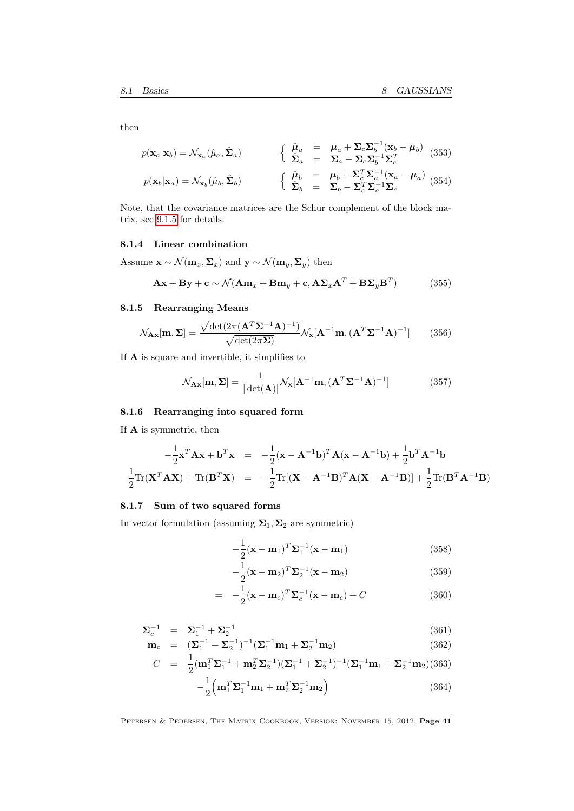<span id="page-40-0"></span>then

$$
p(\mathbf{x}_a|\mathbf{x}_b) = \mathcal{N}_{\mathbf{x}_a}(\hat{\mu}_a, \hat{\mathbf{\Sigma}}_a) \qquad \begin{cases} \hat{\mu}_a = \mu_a + \Sigma_c \Sigma_b^{-1} (\mathbf{x}_b - \mu_b) \\ \hat{\Sigma}_a = \Sigma_a - \Sigma_c \Sigma_b^{-1} \Sigma_c^T \end{cases} (353)
$$

$$
p(\mathbf{x}_b|\mathbf{x}_a) = \mathcal{N}_{\mathbf{x}_b}(\hat{\mu}_b, \hat{\mathbf{\Sigma}}_b) \qquad \begin{cases} \hat{\mu}_b = \mu_b + \Sigma_c^T \Sigma_a^{-1} (\mathbf{x}_a - \mu_a) \\ \hat{\Sigma}_b = \Sigma_b - \Sigma_c^T \Sigma_a^{-1} \Sigma_c \end{cases} (354)
$$

Note, that the covariance matrices are the Schur complement of the block matrix, see [9.1.5](#page-46-0) for details.

#### 8.1.4 Linear combination

Assume  $\mathbf{x} \sim \mathcal{N}(\mathbf{m}_x, \Sigma_x)$  and  $\mathbf{y} \sim \mathcal{N}(\mathbf{m}_y, \Sigma_y)$  then

$$
\mathbf{A}\mathbf{x} + \mathbf{B}\mathbf{y} + \mathbf{c} \sim \mathcal{N}(\mathbf{A}\mathbf{m}_x + \mathbf{B}\mathbf{m}_y + \mathbf{c}, \mathbf{A}\mathbf{\Sigma}_x\mathbf{A}^T + \mathbf{B}\mathbf{\Sigma}_y\mathbf{B}^T)
$$
(355)

### 8.1.5 Rearranging Means

$$
\mathcal{N}_{\mathbf{A}\mathbf{x}}[\mathbf{m}, \mathbf{\Sigma}] = \frac{\sqrt{\det(2\pi(\mathbf{A}^T\mathbf{\Sigma}^{-1}\mathbf{A})^{-1})}}{\sqrt{\det(2\pi\mathbf{\Sigma})}} \mathcal{N}_{\mathbf{x}}[\mathbf{A}^{-1}\mathbf{m}, (\mathbf{A}^T\mathbf{\Sigma}^{-1}\mathbf{A})^{-1}]
$$
(356)

If  ${\bf A}$  is square and invertible, it simplifies to

$$
\mathcal{N}_{\mathbf{A}\mathbf{x}}[\mathbf{m}, \mathbf{\Sigma}] = \frac{1}{|\det(\mathbf{A})|} \mathcal{N}_{\mathbf{x}}[\mathbf{A}^{-1}\mathbf{m}, (\mathbf{A}^T \mathbf{\Sigma}^{-1} \mathbf{A})^{-1}]
$$
(357)

#### 8.1.6 Rearranging into squared form

If A is symmetric, then

$$
-\frac{1}{2}\mathbf{x}^T \mathbf{A} \mathbf{x} + \mathbf{b}^T \mathbf{x} = -\frac{1}{2}(\mathbf{x} - \mathbf{A}^{-1} \mathbf{b})^T \mathbf{A} (\mathbf{x} - \mathbf{A}^{-1} \mathbf{b}) + \frac{1}{2} \mathbf{b}^T \mathbf{A}^{-1} \mathbf{b}
$$

$$
-\frac{1}{2} \text{Tr}(\mathbf{X}^T \mathbf{A} \mathbf{X}) + \text{Tr}(\mathbf{B}^T \mathbf{X}) = -\frac{1}{2} \text{Tr}[(\mathbf{X} - \mathbf{A}^{-1} \mathbf{B})^T \mathbf{A} (\mathbf{X} - \mathbf{A}^{-1} \mathbf{B})] + \frac{1}{2} \text{Tr}(\mathbf{B}^T \mathbf{A}^{-1} \mathbf{B})
$$

#### 8.1.7 Sum of two squared forms

In vector formulation (assuming  $\Sigma_1, \Sigma_2$  are symmetric)

$$
-\frac{1}{2}(\mathbf{x} - \mathbf{m}_1)^T \mathbf{\Sigma}_1^{-1}(\mathbf{x} - \mathbf{m}_1)
$$
\n(358)

$$
-\frac{1}{2}(\mathbf{x}-\mathbf{m}_2)^T \mathbf{\Sigma}_2^{-1}(\mathbf{x}-\mathbf{m}_2)
$$
\n(359)

$$
= -\frac{1}{2}(\mathbf{x} - \mathbf{m}_c)^T \mathbf{\Sigma}_c^{-1}(\mathbf{x} - \mathbf{m}_c) + C
$$
 (360)

$$
\Sigma_c^{-1} = \Sigma_1^{-1} + \Sigma_2^{-1}
$$
\n(361)\n(362)

$$
\mathbf{m}_c = (\Sigma_1^{-1} + \Sigma_2^{-1})^{-1} (\Sigma_1^{-1} \mathbf{m}_1 + \Sigma_2^{-1} \mathbf{m}_2)
$$
(362)  

$$
G = \frac{1}{2} (\Sigma_1^{-1} + \Sigma_2^{-1}) (\Sigma_1^{-1} + \Sigma_2^{-1})^{-1} (\Sigma_1^{-1} + \Sigma_2^{-1})
$$

$$
C = \frac{1}{2} (\mathbf{m}_1^T \mathbf{\Sigma}_1^{-1} + \mathbf{m}_2^T \mathbf{\Sigma}_2^{-1}) (\mathbf{\Sigma}_1^{-1} + \mathbf{\Sigma}_2^{-1})^{-1} (\mathbf{\Sigma}_1^{-1} \mathbf{m}_1 + \mathbf{\Sigma}_2^{-1} \mathbf{m}_2) (363)
$$

$$
- \frac{1}{2} (\mathbf{m}_1^T \mathbf{\Sigma}_1^{-1} \mathbf{m}_1 + \mathbf{m}_2^T \mathbf{\Sigma}_1^{-1} \mathbf{m}_2) \tag{364}
$$

$$
-\frac{1}{2}\left(\mathbf{m}_1^T\mathbf{\Sigma}_1^{-1}\mathbf{m}_1 + \mathbf{m}_2^T\mathbf{\Sigma}_2^{-1}\mathbf{m}_2\right) \tag{364}
$$

PETERSEN & PEDERSEN, THE MATRIX COOKBOOK, VERSION: NOVEMBER 15, 2012, Page 41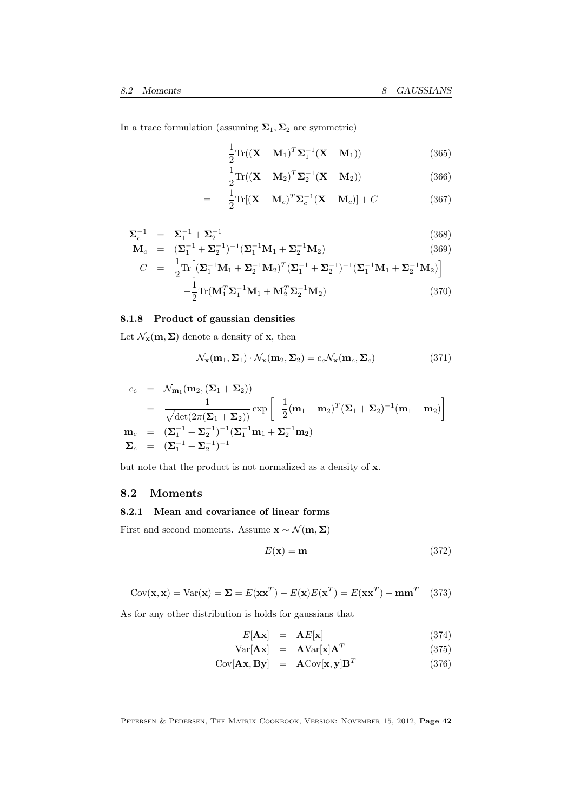<span id="page-41-0"></span>In a trace formulation (assuming  $\Sigma_1, \Sigma_2$  are symmetric)

$$
-\frac{1}{2}\text{Tr}((\mathbf{X}-\mathbf{M}_1)^T\mathbf{\Sigma}_1^{-1}(\mathbf{X}-\mathbf{M}_1))
$$
\n(365)

$$
-\frac{1}{2}\text{Tr}((\mathbf{X}-\mathbf{M}_2)^T\mathbf{\Sigma}_2^{-1}(\mathbf{X}-\mathbf{M}_2))
$$
\n(366)

$$
= -\frac{1}{2} \text{Tr}[(\mathbf{X} - \mathbf{M}_c)^T \mathbf{\Sigma}_c^{-1} (\mathbf{X} - \mathbf{M}_c)] + C \qquad (367)
$$

$$
\Sigma_c^{-1} = \Sigma_1^{-1} + \Sigma_2^{-1}
$$
\n
$$
\mathbf{M}_c = (\Sigma_1^{-1} + \Sigma_2^{-1})^{-1} (\Sigma_1^{-1} \mathbf{M}_1 + \Sigma_2^{-1} \mathbf{M}_2)
$$
\n(368)\n(369)

$$
C = \frac{1}{2} \text{Tr} \Big[ (\Sigma_1^{-1} \mathbf{M}_1 + \Sigma_2^{-1} \mathbf{M}_2)^T (\Sigma_1^{-1} + \Sigma_2^{-1})^{-1} (\Sigma_1^{-1} \mathbf{M}_1 + \Sigma_2^{-1} \mathbf{M}_2) \Big] - \frac{1}{2} \text{Tr} (\mathbf{M}_1^T \Sigma_1^{-1} \mathbf{M}_1 + \mathbf{M}_2^T \Sigma_2^{-1} \mathbf{M}_2) \tag{370}
$$

#### 8.1.8 Product of gaussian densities

Let  $\mathcal{N}_{\mathbf{x}}(\mathbf{m}, \Sigma)$  denote a density of **x**, then

$$
\mathcal{N}_{\mathbf{x}}(\mathbf{m}_1, \Sigma_1) \cdot \mathcal{N}_{\mathbf{x}}(\mathbf{m}_2, \Sigma_2) = c_c \mathcal{N}_{\mathbf{x}}(\mathbf{m}_c, \Sigma_c)
$$
(371)

$$
c_c = \mathcal{N}_{\mathbf{m}_1}(\mathbf{m}_2, (\Sigma_1 + \Sigma_2))
$$
  
=  $\frac{1}{\sqrt{\det(2\pi(\Sigma_1 + \Sigma_2))}} \exp\left[-\frac{1}{2}(\mathbf{m}_1 - \mathbf{m}_2)^T(\Sigma_1 + \Sigma_2)^{-1}(\mathbf{m}_1 - \mathbf{m}_2)\right]$   
 $\mathbf{m}_c = (\Sigma_1^{-1} + \Sigma_2^{-1})^{-1}(\Sigma_1^{-1}\mathbf{m}_1 + \Sigma_2^{-1}\mathbf{m}_2)$   
 $\Sigma_c = (\Sigma_1^{-1} + \Sigma_2^{-1})^{-1}$ 

but note that the product is not normalized as a density of x.

### 8.2 Moments

### 8.2.1 Mean and covariance of linear forms

First and second moments. Assume  $\mathbf{x} \sim \mathcal{N}(\mathbf{m}, \Sigma)$ 

$$
E(\mathbf{x}) = \mathbf{m} \tag{372}
$$

$$
Cov(\mathbf{x}, \mathbf{x}) = Var(\mathbf{x}) = \Sigma = E(\mathbf{x}\mathbf{x}^T) - E(\mathbf{x})E(\mathbf{x}^T) = E(\mathbf{x}\mathbf{x}^T) - \mathbf{m}\mathbf{m}^T
$$
 (373)

As for any other distribution is holds for gaussians that

$$
E[\mathbf{A}\mathbf{x}] = \mathbf{A}E[\mathbf{x}] \tag{374}
$$

$$
Var[\mathbf{A}\mathbf{x}] = \mathbf{A}Var[\mathbf{x}]\mathbf{A}^T
$$
 (375)

$$
Cov[\mathbf{A}\mathbf{x}, \mathbf{B}\mathbf{y}] = \mathbf{A}Cov[\mathbf{x}, \mathbf{y}]\mathbf{B}^T
$$
 (376)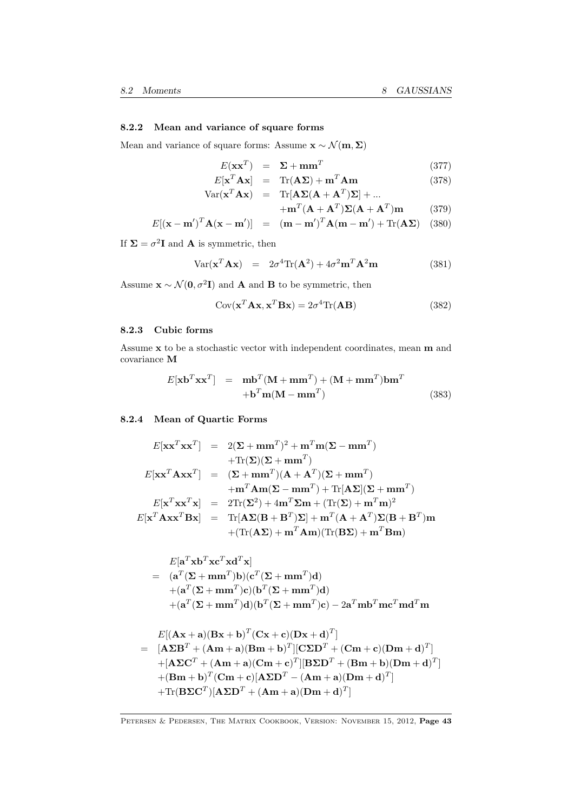#### 8.2.2 Mean and variance of square forms

Mean and variance of square forms: Assume  $\mathbf{x} \sim \mathcal{N}(\mathbf{m}, \Sigma)$ 

$$
E(\mathbf{x}\mathbf{x}^T) = \Sigma + \mathbf{m}\mathbf{m}^T
$$
\n(377)

$$
E[\mathbf{x}^T \mathbf{A} \mathbf{x}] = \text{Tr}(\mathbf{A} \Sigma) + \mathbf{m}^T \mathbf{A} \mathbf{m}
$$
 (378)  
 
$$
\text{Var}(\mathbf{x}^T \mathbf{A} \mathbf{x}) = \text{Tr}[\mathbf{A} \Sigma (\mathbf{A} + \mathbf{A}^T) \Sigma] + ...
$$

$$
+\mathbf{m}^T(\mathbf{A}+\mathbf{A}^T)\mathbf{\Sigma}(\mathbf{A}+\mathbf{A}^T)\mathbf{m}
$$
 (379)

$$
E[(\mathbf{x} - \mathbf{m}')^T \mathbf{A} (\mathbf{x} - \mathbf{m}')] = (\mathbf{m} - \mathbf{m}')^T \mathbf{A} (\mathbf{m} - \mathbf{m}') + \text{Tr}(\mathbf{A} \mathbf{\Sigma}) \quad (380)
$$

If  $\Sigma = \sigma^2 \mathbf{I}$  and **A** is symmetric, then

$$
Var(\mathbf{x}^T \mathbf{A} \mathbf{x}) = 2\sigma^4 \text{Tr}(\mathbf{A}^2) + 4\sigma^2 \mathbf{m}^T \mathbf{A}^2 \mathbf{m}
$$
 (381)

Assume  $\mathbf{x} \sim \mathcal{N}(\mathbf{0}, \sigma^2 \mathbf{I})$  and **A** and **B** to be symmetric, then

$$
Cov(\mathbf{x}^T \mathbf{A} \mathbf{x}, \mathbf{x}^T \mathbf{B} \mathbf{x}) = 2\sigma^4 \text{Tr}(\mathbf{A} \mathbf{B})
$$
(382)

#### 8.2.3 Cubic forms

Assume x to be a stochastic vector with independent coordinates, mean m and covariance M

$$
E[\mathbf{x}\mathbf{b}^T \mathbf{x}\mathbf{x}^T] = \mathbf{m}\mathbf{b}^T (\mathbf{M} + \mathbf{m}\mathbf{m}^T) + (\mathbf{M} + \mathbf{m}\mathbf{m}^T) \mathbf{b}\mathbf{m}^T
$$
  
+
$$
\mathbf{b}^T \mathbf{m} (\mathbf{M} - \mathbf{m}\mathbf{m}^T)
$$
(383)

### 8.2.4 Mean of Quartic Forms

$$
E[\mathbf{x}\mathbf{x}^T\mathbf{x}\mathbf{x}^T] = 2(\mathbf{\Sigma} + \mathbf{m}\mathbf{m}^T)^2 + \mathbf{m}^T\mathbf{m}(\mathbf{\Sigma} - \mathbf{m}\mathbf{m}^T) + \text{Tr}(\mathbf{\Sigma})(\mathbf{\Sigma} + \mathbf{m}\mathbf{m}^T) E[\mathbf{x}\mathbf{x}^T\mathbf{A}\mathbf{x}\mathbf{x}^T] = (\mathbf{\Sigma} + \mathbf{m}\mathbf{m}^T)(\mathbf{A} + \mathbf{A}^T)(\mathbf{\Sigma} + \mathbf{m}\mathbf{m}^T) + \mathbf{m}^T\mathbf{A}\mathbf{m}(\mathbf{\Sigma} - \mathbf{m}\mathbf{m}^T) + \text{Tr}[\mathbf{A}\mathbf{\Sigma}](\mathbf{\Sigma} + \mathbf{m}\mathbf{m}^T) E[\mathbf{x}^T\mathbf{x}\mathbf{x}^T\mathbf{x}] = 2\text{Tr}(\mathbf{\Sigma}^2) + 4\mathbf{m}^T\mathbf{\Sigma}\mathbf{m} + (\text{Tr}(\mathbf{\Sigma}) + \mathbf{m}^T\mathbf{m})^2 E[\mathbf{x}^T\mathbf{A}\mathbf{x}\mathbf{x}^T\mathbf{B}\mathbf{x}] = \text{Tr}[\mathbf{A}\mathbf{\Sigma}(\mathbf{B} + \mathbf{B}^T)\mathbf{\Sigma}] + \mathbf{m}^T(\mathbf{A} + \mathbf{A}^T)\mathbf{\Sigma}(\mathbf{B} + \mathbf{B}^T)\mathbf{m} + (\text{Tr}(\mathbf{A}\mathbf{\Sigma}) + \mathbf{m}^T\mathbf{A}\mathbf{m})(\text{Tr}(\mathbf{B}\mathbf{\Sigma}) + \mathbf{m}^T\mathbf{B}\mathbf{m})
$$

$$
\begin{aligned} &E[\mathbf{a}^T\mathbf{x}\mathbf{b}^T\mathbf{x}\mathbf{c}^T\mathbf{x}\mathbf{d}^T\mathbf{x}] \\&= (\mathbf{a}^T(\mathbf{\Sigma}+\mathbf{m}\mathbf{m}^T)\mathbf{b})(\mathbf{c}^T(\mathbf{\Sigma}+\mathbf{m}\mathbf{m}^T)\mathbf{d}) \\&+ (\mathbf{a}^T(\mathbf{\Sigma}+\mathbf{m}\mathbf{m}^T)\mathbf{c})(\mathbf{b}^T(\mathbf{\Sigma}+\mathbf{m}\mathbf{m}^T)\mathbf{d}) \\&+ (\mathbf{a}^T(\mathbf{\Sigma}+\mathbf{m}\mathbf{m}^T)\mathbf{d})(\mathbf{b}^T(\mathbf{\Sigma}+\mathbf{m}\mathbf{m}^T)\mathbf{c}) - 2\mathbf{a}^T\mathbf{m}\mathbf{b}^T\mathbf{m}\mathbf{c}^T\mathbf{m}\mathbf{d}^T\mathbf{m} \end{aligned}
$$

$$
E[(\mathbf{A}\mathbf{x} + \mathbf{a})(\mathbf{B}\mathbf{x} + \mathbf{b})^T (\mathbf{C}\mathbf{x} + \mathbf{c})(\mathbf{D}\mathbf{x} + \mathbf{d})^T]
$$
\n
$$
= [\mathbf{A}\boldsymbol{\Sigma}\mathbf{B}^T + (\mathbf{A}\mathbf{m} + \mathbf{a})(\mathbf{B}\mathbf{m} + \mathbf{b})^T][\mathbf{C}\boldsymbol{\Sigma}\mathbf{D}^T + (\mathbf{C}\mathbf{m} + \mathbf{c})(\mathbf{D}\mathbf{m} + \mathbf{d})^T]
$$
\n
$$
+[\mathbf{A}\boldsymbol{\Sigma}\mathbf{C}^T + (\mathbf{A}\mathbf{m} + \mathbf{a})(\mathbf{C}\mathbf{m} + \mathbf{c})^T][\mathbf{B}\boldsymbol{\Sigma}\mathbf{D}^T + (\mathbf{B}\mathbf{m} + \mathbf{b})(\mathbf{D}\mathbf{m} + \mathbf{d})^T]
$$
\n
$$
+ (\mathbf{B}\mathbf{m} + \mathbf{b})^T (\mathbf{C}\mathbf{m} + \mathbf{c}) [\mathbf{A}\boldsymbol{\Sigma}\mathbf{D}^T - (\mathbf{A}\mathbf{m} + \mathbf{a})(\mathbf{D}\mathbf{m} + \mathbf{d})^T]
$$
\n
$$
+ \text{Tr}(\mathbf{B}\boldsymbol{\Sigma}\mathbf{C}^T)[\mathbf{A}\boldsymbol{\Sigma}\mathbf{D}^T + (\mathbf{A}\mathbf{m} + \mathbf{a})(\mathbf{D}\mathbf{m} + \mathbf{d})^T]
$$

PETERSEN & PEDERSEN, THE MATRIX COOKBOOK, VERSION: NOVEMBER 15, 2012, Page 43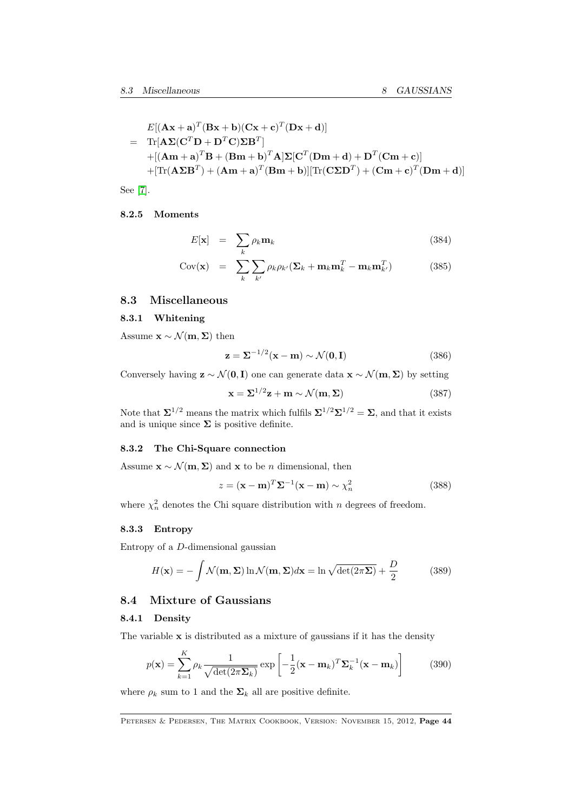<span id="page-43-0"></span>
$$
E[(\mathbf{A}\mathbf{x} + \mathbf{a})^T (\mathbf{B}\mathbf{x} + \mathbf{b})(\mathbf{C}\mathbf{x} + \mathbf{c})^T (\mathbf{D}\mathbf{x} + \mathbf{d})]
$$
  
= Tr[ $\mathbf{A}\mathbf{\Sigma}(\mathbf{C}^T \mathbf{D} + \mathbf{D}^T \mathbf{C})\mathbf{\Sigma} \mathbf{B}^T$ ]  
+ [( $\mathbf{A}\mathbf{m} + \mathbf{a}$ )^T  $\mathbf{B} + (\mathbf{B}\mathbf{m} + \mathbf{b}$ )^T  $\mathbf{A}$ ]  $\mathbf{\Sigma}[\mathbf{C}^T (\mathbf{D}\mathbf{m} + \mathbf{d}) + \mathbf{D}^T (\mathbf{C}\mathbf{m} + \mathbf{c})]$   
+ [Tr( $\mathbf{A}\mathbf{\Sigma}\mathbf{B}^T$ ) + ( $\mathbf{A}\mathbf{m} + \mathbf{a}$ )^T ( $\mathbf{B}\mathbf{m} + \mathbf{b}$ )] [Tr( $\mathbf{C}\mathbf{\Sigma}\mathbf{D}^T$ ) + ( $\mathbf{C}\mathbf{m} + \mathbf{c}$ )^T ( $\mathbf{D}\mathbf{m} + \mathbf{d}$ )]

See [\[7\]](#page-69-3).

#### 8.2.5 Moments

$$
E[\mathbf{x}] = \sum_{k} \rho_k \mathbf{m}_k \tag{384}
$$

$$
Cov(\mathbf{x}) = \sum_{k} \sum_{k'} \rho_k \rho_{k'} (\mathbf{\Sigma}_k + \mathbf{m}_k \mathbf{m}_k^T - \mathbf{m}_k \mathbf{m}_{k'}^T)
$$
(385)

### 8.3 Miscellaneous

#### 8.3.1 Whitening

Assume  $\mathbf{x} \sim \mathcal{N}(\mathbf{m}, \mathbf{\Sigma})$  then

$$
\mathbf{z} = \mathbf{\Sigma}^{-1/2}(\mathbf{x} - \mathbf{m}) \sim \mathcal{N}(\mathbf{0}, \mathbf{I})
$$
 (386)

Conversely having  $z \sim \mathcal{N}(0, I)$  one can generate data  $x \sim \mathcal{N}(m, \Sigma)$  by setting

$$
\mathbf{x} = \Sigma^{1/2} \mathbf{z} + \mathbf{m} \sim \mathcal{N}(\mathbf{m}, \Sigma) \tag{387}
$$

Note that  $\Sigma^{1/2}$  means the matrix which fulfils  $\Sigma^{1/2}\Sigma^{1/2} = \Sigma$ , and that it exists and is unique since  $\Sigma$  is positive definite.

#### 8.3.2 The Chi-Square connection

Assume  $\mathbf{x} \sim \mathcal{N}(\mathbf{m}, \Sigma)$  and  $\mathbf{x}$  to be *n* dimensional, then

$$
z = (\mathbf{x} - \mathbf{m})^T \Sigma^{-1} (\mathbf{x} - \mathbf{m}) \sim \chi_n^2
$$
 (388)

where  $\chi^2_n$  denotes the Chi square distribution with n degrees of freedom.

### 8.3.3 Entropy

Entropy of a D-dimensional gaussian

$$
H(\mathbf{x}) = -\int \mathcal{N}(\mathbf{m}, \Sigma) \ln \mathcal{N}(\mathbf{m}, \Sigma) d\mathbf{x} = \ln \sqrt{\det(2\pi\Sigma)} + \frac{D}{2}
$$
(389)

### 8.4 Mixture of Gaussians

#### 8.4.1 Density

The variable  $x$  is distributed as a mixture of gaussians if it has the density

$$
p(\mathbf{x}) = \sum_{k=1}^{K} \rho_k \frac{1}{\sqrt{\det(2\pi \Sigma_k)}} \exp\left[-\frac{1}{2}(\mathbf{x} - \mathbf{m}_k)^T \Sigma_k^{-1}(\mathbf{x} - \mathbf{m}_k)\right]
$$
(390)

where  $\rho_k$  sum to 1 and the  $\Sigma_k$  all are positive definite.

PETERSEN & PEDERSEN, THE MATRIX COOKBOOK, VERSION: NOVEMBER 15, 2012, Page 44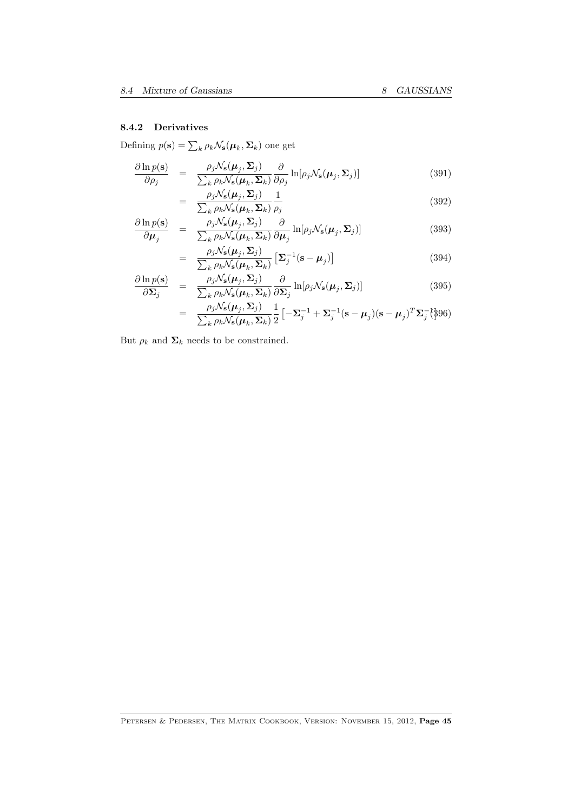### 8.4.2 Derivatives

Defining  $p(\mathbf{s}) = \sum_{k} \rho_k \mathcal{N}_\mathbf{s}(\boldsymbol{\mu}_k, \boldsymbol{\Sigma}_k)$  one get

$$
\frac{\partial \ln p(\mathbf{s})}{\partial \rho_j} = \frac{\rho_j \mathcal{N}_\mathbf{s}(\boldsymbol{\mu}_j, \boldsymbol{\Sigma}_j)}{\sum_k \rho_k \mathcal{N}_\mathbf{s}(\boldsymbol{\mu}_k, \boldsymbol{\Sigma}_k)} \frac{\partial}{\partial \rho_j} \ln[\rho_j \mathcal{N}_\mathbf{s}(\boldsymbol{\mu}_j, \boldsymbol{\Sigma}_j)] \tag{391}
$$

$$
= \frac{\rho_j \mathcal{N}_s(\mu_j, \Sigma_j)}{\sum_k \rho_k \mathcal{N}_s(\mu_k, \Sigma_k)} \frac{1}{\rho_j}
$$
(392)

$$
\frac{\partial \ln p(\mathbf{s})}{\partial \mu_j} = \frac{\rho_j \mathcal{N}_\mathbf{s}(\mu_j, \Sigma_j)}{\sum_k \rho_k \mathcal{N}_\mathbf{s}(\mu_k, \Sigma_k)} \frac{\partial}{\partial \mu_j} \ln[\rho_j \mathcal{N}_\mathbf{s}(\mu_j, \Sigma_j)] \tag{393}
$$

$$
= \frac{\rho_j \mathcal{N}_s(\boldsymbol{\mu}_j, \boldsymbol{\Sigma}_j)}{\sum_k \rho_k \mathcal{N}_s(\boldsymbol{\mu}_k, \boldsymbol{\Sigma}_k)} \left[ \boldsymbol{\Sigma}_j^{-1} (\mathbf{s} - \boldsymbol{\mu}_j) \right]
$$
(394)

$$
\frac{\partial \ln p(\mathbf{s})}{\partial \Sigma_j} = \frac{\rho_j \mathcal{N}_\mathbf{s}(\boldsymbol{\mu}_j, \boldsymbol{\Sigma}_j)}{\sum_k \rho_k \mathcal{N}_\mathbf{s}(\boldsymbol{\mu}_k, \boldsymbol{\Sigma}_k)} \frac{\partial}{\partial \Sigma_j} \ln[\rho_j \mathcal{N}_\mathbf{s}(\boldsymbol{\mu}_j, \boldsymbol{\Sigma}_j)] \tag{395}
$$

$$
= \frac{\rho_j \mathcal{N}_s(\boldsymbol{\mu}_j, \boldsymbol{\Sigma}_j)}{\sum_k \rho_k \mathcal{N}_s(\boldsymbol{\mu}_k, \boldsymbol{\Sigma}_k)} \frac{1}{2} \left[ -\boldsymbol{\Sigma}_j^{-1} + \boldsymbol{\Sigma}_j^{-1} (\mathbf{s} - \boldsymbol{\mu}_j) (\mathbf{s} - \boldsymbol{\mu}_j)^T \boldsymbol{\Sigma}_j^{-1} \right]^{3} 96)
$$

But  $\rho_k$  and  $\mathbf{\Sigma}_k$  needs to be constrained.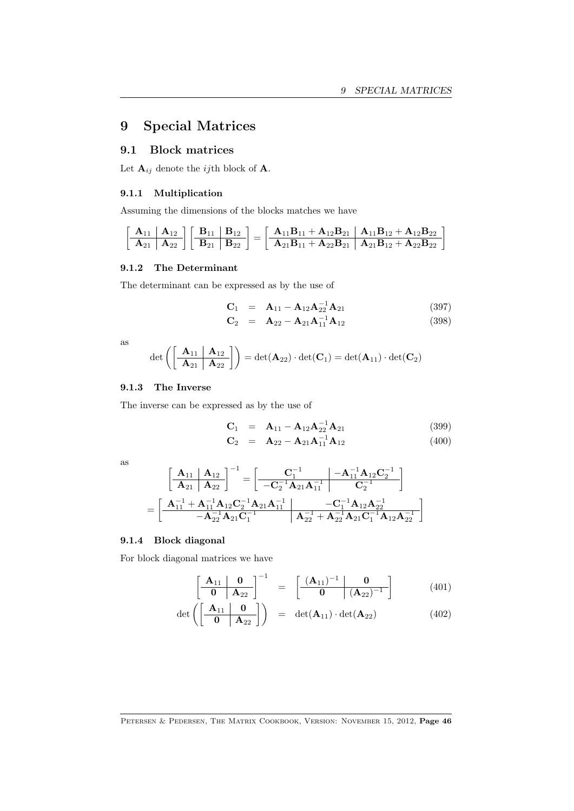# <span id="page-45-0"></span>9 Special Matrices

### 9.1 Block matrices

Let  $\mathbf{A}_{ij}$  denote the *ij*th block of  $\mathbf{A}$ .

#### 9.1.1 Multiplication

Assuming the dimensions of the blocks matches we have

$$
\left[\begin{array}{c|c|c} \bf{A}_{11} & \bf{A}_{12} \\ \hline \bf{A}_{21} & \bf{A}_{22} \end{array}\right]\left[\begin{array}{c|c|c} \bf{B}_{11} & \bf{B}_{12} \\ \hline \bf{B}_{21} & \bf{B}_{22} \end{array}\right]=\left[\begin{array}{c|c|c} \bf{A}_{11}\bf{B}_{11}+\bf{A}_{12}\bf{B}_{21} & \bf{A}_{11}\bf{B}_{12}+\bf{A}_{12}\bf{B}_{22} \\ \hline \bf{A}_{21}\bf{B}_{11}+\bf{A}_{22}\bf{B}_{21} & \bf{A}_{21}\bf{B}_{12}+\bf{A}_{22}\bf{B}_{22} \end{array}\right]
$$

#### 9.1.2 The Determinant

The determinant can be expressed as by the use of

$$
C_1 = A_{11} - A_{12}A_{22}^{-1}A_{21}
$$
 (397)

$$
\mathbf{C}_2 = \mathbf{A}_{22} - \mathbf{A}_{21} \mathbf{A}_{11}^{-1} \mathbf{A}_{12} \tag{398}
$$

as

$$
\det\left(\left[\begin{array}{c|c}\mathbf{A}_{11} & \mathbf{A}_{12} \\ \hline \mathbf{A}_{21} & \mathbf{A}_{22}\end{array}\right]\right)=\det(\mathbf{A}_{22})\cdot\det(\mathbf{C}_1)=\det(\mathbf{A}_{11})\cdot\det(\mathbf{C}_2)
$$

#### 9.1.3 The Inverse

The inverse can be expressed as by the use of

$$
\mathbf{C}_1 = \mathbf{A}_{11} - \mathbf{A}_{12}\mathbf{A}_{21}^{-1}\mathbf{A}_{21}
$$
 (399)

$$
\mathbf{C}_2 = \mathbf{A}_{22} - \mathbf{A}_{21} \mathbf{A}_{11}^{-1} \mathbf{A}_{12} \tag{400}
$$

as

$$
\begin{aligned}&\left[\begin{array}{c|c}\mathbf{A}_{11}&\mathbf{A}_{12}\\ \hline \mathbf{A}_{21}&\mathbf{A}_{22}\end{array}\right]^{-1}=\left[\begin{array}{c|c}-\mathbf{C}_{1}^{-1}&-\mathbf{A}_{11}^{-1}\mathbf{A}_{12}\mathbf{C}_{2}^{-1}\\ \hline -\mathbf{C}_{2}^{-1}\mathbf{A}_{21}\mathbf{A}_{11}^{-1}&\mathbf{C}_{2}^{-1}\end{array}\right]\\ &=\left[\begin{array}{c|c}\mathbf{A}_{11}^{-1}+\mathbf{A}_{11}^{-1}\mathbf{A}_{12}\mathbf{C}_{2}^{-1}\mathbf{A}_{21}\mathbf{A}_{11}^{-1}&-\mathbf{C}_{1}^{-1}\mathbf{A}_{12}\mathbf{A}_{22}^{-1}\\ \hline -\mathbf{A}_{22}^{-1}\mathbf{A}_{21}\mathbf{C}_{1}^{-1}&\mathbf{A}_{22}^{-1}+\mathbf{A}_{22}^{-1}\mathbf{A}_{21}\mathbf{C}_{1}^{-1}\mathbf{A}_{12}\mathbf{A}_{22}^{-1}\end{array}\right]\end{aligned}
$$

#### 9.1.4 Block diagonal

For block diagonal matrices we have

$$
\left[\begin{array}{c|c}\n\mathbf{A}_{11} & \mathbf{0} \\
\hline\n\mathbf{0} & \mathbf{A}_{22}\n\end{array}\right]^{-1} = \left[\begin{array}{c|c}\n(\mathbf{A}_{11})^{-1} & \mathbf{0} \\
\hline\n\mathbf{0} & (\mathbf{A}_{22})^{-1}\n\end{array}\right] (401)
$$

$$
\det\left(\begin{bmatrix} \mathbf{A}_{11} & \mathbf{0} \\ \hline \mathbf{0} & \mathbf{A}_{22} \end{bmatrix}\right) = \det(\mathbf{A}_{11}) \cdot \det(\mathbf{A}_{22}) \tag{402}
$$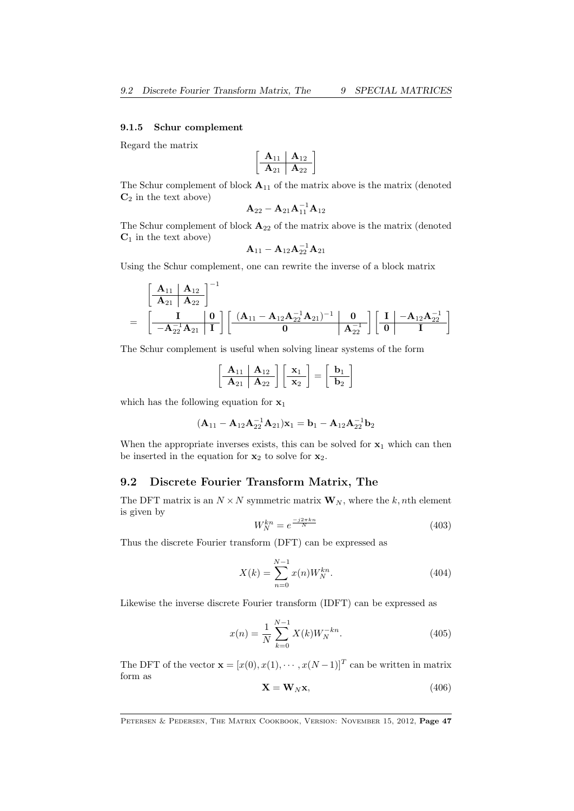#### <span id="page-46-1"></span><span id="page-46-0"></span>9.1.5 Schur complement

Regard the matrix

$$
\begin{bmatrix}\n\mathbf{A}_{11} & \mathbf{A}_{12} \\
\hline\n\mathbf{A}_{21} & \mathbf{A}_{22}\n\end{bmatrix}
$$

The Schur complement of block  $A_{11}$  of the matrix above is the matrix (denoted  $C_2$  in the text above)

$$
\mathbf{A}_{22} - \mathbf{A}_{21}\mathbf{A}_{11}^{-1}\mathbf{A}_{12}
$$

The Schur complement of block  $\mathbf{A}_{22}$  of the matrix above is the matrix (denoted  $C_1$  in the text above)

$$
\mathbf{A}_{11}-\mathbf{A}_{12}\mathbf{A}_{22}^{-1}\mathbf{A}_{21}
$$

Using the Schur complement, one can rewrite the inverse of a block matrix

$$
=\frac{\left[\begin{array}{c|c} \mathbf{A}_{11} & \mathbf{A}_{12} \\ \hline \mathbf{A}_{21} & \mathbf{A}_{22} \end{array}\right]^{-1}}{-\mathbf{A}_{22}^{-1}\mathbf{A}_{21}}\left[\begin{array}{c|c} \mathbf{A}_{11}-\mathbf{A}_{12}\mathbf{A}_{22}^{-1}\mathbf{A}_{21} \end{array}\right]^{-1}\left[\begin{array}{c|c} \mathbf{0} \\ \hline \mathbf{0} & \mathbf{A}_{22}^{-1} \end{array}\right]\left[\begin{array}{c|c} \mathbf{I} & -\mathbf{A}_{12}\mathbf{A}_{22}^{-1} \\ \hline \mathbf{0} & \mathbf{I} \end{array}\right]
$$

The Schur complement is useful when solving linear systems of the form

$$
\left[\begin{array}{c|c}\n\mathbf{A}_{11} & \mathbf{A}_{12} \\
\hline\n\mathbf{A}_{21} & \mathbf{A}_{22}\n\end{array}\right]\n\left[\begin{array}{c}\n\mathbf{x}_1 \\
\mathbf{x}_2\n\end{array}\right] = \n\left[\begin{array}{c}\n\mathbf{b}_1 \\
\hline\n\mathbf{b}_2\n\end{array}\right]
$$

which has the following equation for  $x_1$ 

$$
(\mathbf{A}_{11} - \mathbf{A}_{12}\mathbf{A}_{22}^{-1}\mathbf{A}_{21})\mathbf{x}_1 = \mathbf{b}_1 - \mathbf{A}_{12}\mathbf{A}_{22}^{-1}\mathbf{b}_2
$$

When the appropriate inverses exists, this can be solved for  $x_1$  which can then be inserted in the equation for  $x_2$  to solve for  $x_2$ .

### 9.2 Discrete Fourier Transform Matrix, The

The DFT matrix is an  $N \times N$  symmetric matrix  $\mathbf{W}_N$ , where the k, nth element is given by

$$
W_N^{kn} = e^{\frac{-j2\pi kn}{N}}\tag{403}
$$

Thus the discrete Fourier transform (DFT) can be expressed as

$$
X(k) = \sum_{n=0}^{N-1} x(n)W_N^{kn}.
$$
\n(404)

Likewise the inverse discrete Fourier transform (IDFT) can be expressed as

$$
x(n) = \frac{1}{N} \sum_{k=0}^{N-1} X(k) W_N^{-kn}.
$$
 (405)

The DFT of the vector  $\mathbf{x} = [x(0), x(1), \dots, x(N-1)]^T$  can be written in matrix form as

$$
\mathbf{X} = \mathbf{W}_N \mathbf{x},\tag{406}
$$

PETERSEN & PEDERSEN, THE MATRIX COOKBOOK, VERSION: NOVEMBER 15, 2012, Page 47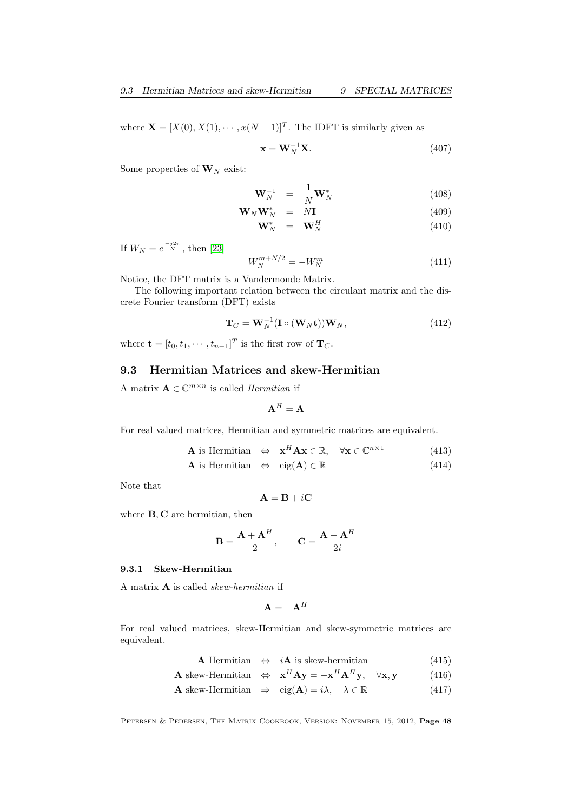<span id="page-47-0"></span>where  $\mathbf{X} = [X(0), X(1), \cdots, x(N-1)]^T$ . The IDFT is similarly given as

$$
\mathbf{x} = \mathbf{W}_N^{-1} \mathbf{X}.\tag{407}
$$

Some properties of  $W_N$  exist:

$$
\mathbf{W}_N^{-1} = \frac{1}{N} \mathbf{W}_N^* \tag{408}
$$

$$
\mathbf{W}_N \mathbf{W}_N^* = N \mathbf{I} \tag{409}
$$

$$
\mathbf{W}_N^* = \mathbf{W}_N^H \tag{410}
$$

If  $W_N = e^{\frac{-j2\pi}{N}}$ , then [\[23\]](#page-70-0)

$$
W_N^{m+N/2} = -W_N^m \tag{411}
$$

Notice, the DFT matrix is a Vandermonde Matrix.

The following important relation between the circulant matrix and the discrete Fourier transform (DFT) exists

$$
\mathbf{T}_C = \mathbf{W}_N^{-1} (\mathbf{I} \circ (\mathbf{W}_N \mathbf{t})) \mathbf{W}_N, \tag{412}
$$

where  $\mathbf{t} = [t_0, t_1, \cdots, t_{n-1}]^T$  is the first row of  $\mathbf{T}_C$ .

### 9.3 Hermitian Matrices and skew-Hermitian

A matrix  $\mathbf{A} \in \mathbb{C}^{m \times n}$  is called *Hermitian* if

$$
\mathbf{A}^H = \mathbf{A}
$$

For real valued matrices, Hermitian and symmetric matrices are equivalent.

$$
\mathbf{A} \text{ is Hermitian} \quad \Leftrightarrow \quad \mathbf{x}^H \mathbf{A} \mathbf{x} \in \mathbb{R}, \quad \forall \mathbf{x} \in \mathbb{C}^{n \times 1} \tag{413}
$$

$$
\mathbf{A} \text{ is Hermitian} \quad \Leftrightarrow \quad \text{eig}(\mathbf{A}) \in \mathbb{R} \tag{414}
$$

Note that

$$
\mathbf{A} = \mathbf{B} + i\mathbf{C}
$$

where **B**, **C** are hermitian, then

$$
\mathbf{B} = \frac{\mathbf{A} + \mathbf{A}^H}{2}, \qquad \mathbf{C} = \frac{\mathbf{A} - \mathbf{A}^H}{2i}
$$

#### 9.3.1 Skew-Hermitian

A matrix  $A$  is called *skew-hermitian* if

$$
\mathbf{A} = -\mathbf{A}^H
$$

For real valued matrices, skew-Hermitian and skew-symmetric matrices are equivalent.

**A** Hermitian 
$$
\Leftrightarrow i\mathbf{A}
$$
 is skew-hermitian (415)

$$
\mathbf{A} \text{ skew-Hermitian} \Leftrightarrow \mathbf{x}^H \mathbf{A} \mathbf{y} = -\mathbf{x}^H \mathbf{A}^H \mathbf{y}, \quad \forall \mathbf{x}, \mathbf{y} \tag{416}
$$

**A** skew-Hermitian  $\Rightarrow$  eig(**A**) = i $\lambda$ ,  $\lambda \in \mathbb{R}$  (417)

PETERSEN & PEDERSEN, THE MATRIX COOKBOOK, VERSION: NOVEMBER 15, 2012, Page 48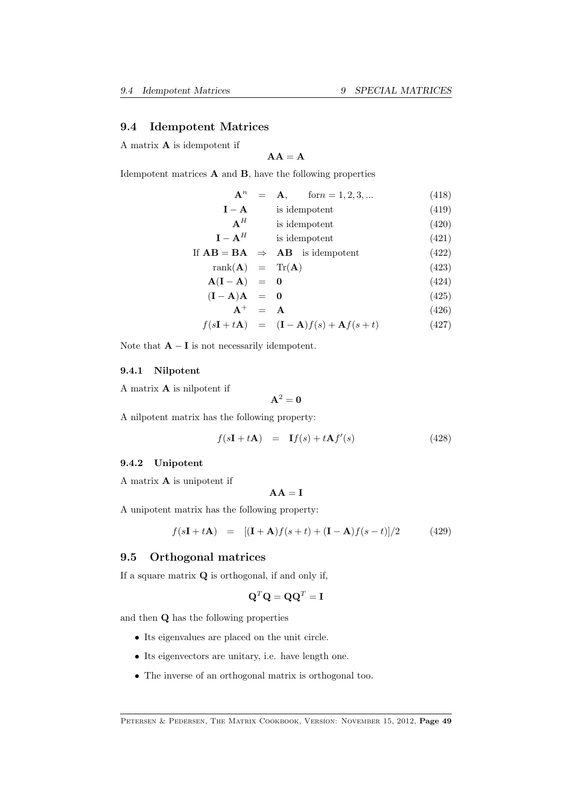#### <span id="page-48-0"></span>9.4 Idempotent Matrices

A matrix A is idempotent if

$$
AA = A
$$

Idempotent matrices A and B, have the following properties

| ${\bf A}^n$                         | $form = 1, 2, 3, $<br>$=$ A,              | (418) |
|-------------------------------------|-------------------------------------------|-------|
| $I - A$                             | is idempotent                             | (419) |
| $A^H$                               | is idempotent                             | (420) |
| $I - AH$                            | is idempotent                             | (421) |
|                                     | If $AB = BA \Rightarrow AB$ is idempotent | (422) |
| $rank(\mathbf{A}) = Tr(\mathbf{A})$ |                                           | (423) |

$$
\mathbf{A}(\mathbf{I} - \mathbf{A}) = \mathbf{0} \tag{424}
$$

$$
(\mathbf{I} - \mathbf{A})\mathbf{A} = \mathbf{0} \tag{425}
$$

$$
\mathbf{A}^+ = \mathbf{A} \tag{426}
$$

$$
f(s\mathbf{I} + t\mathbf{A}) = (\mathbf{I} - \mathbf{A})f(s) + \mathbf{A}f(s+t)
$$
 (427)

Note that  $\mathbf{A} - \mathbf{I}$  is not necessarily idempotent.

#### 9.4.1 Nilpotent

A matrix A is nilpotent if

$$
\mathbf{A}^2=\mathbf{0}
$$

A nilpotent matrix has the following property:

$$
f(s\mathbf{I} + t\mathbf{A}) = \mathbf{I}f(s) + t\mathbf{A}f'(s)
$$
\n(428)

### 9.4.2 Unipotent

A matrix A is unipotent if

$$
AA = I
$$

A unipotent matrix has the following property:

$$
f(s\mathbf{I} + t\mathbf{A}) = [(\mathbf{I} + \mathbf{A})f(s+t) + (\mathbf{I} - \mathbf{A})f(s-t)]/2 \tag{429}
$$

#### 9.5 Orthogonal matrices

If a square matrix Q is orthogonal, if and only if,

$$
\mathbf{Q}^T \mathbf{Q} = \mathbf{Q} \mathbf{Q}^T = \mathbf{I}
$$

and then Q has the following properties

- Its eigenvalues are placed on the unit circle.
- Its eigenvectors are unitary, i.e. have length one.
- The inverse of an orthogonal matrix is orthogonal too.

PETERSEN & PEDERSEN, THE MATRIX COOKBOOK, VERSION: NOVEMBER 15, 2012, Page 49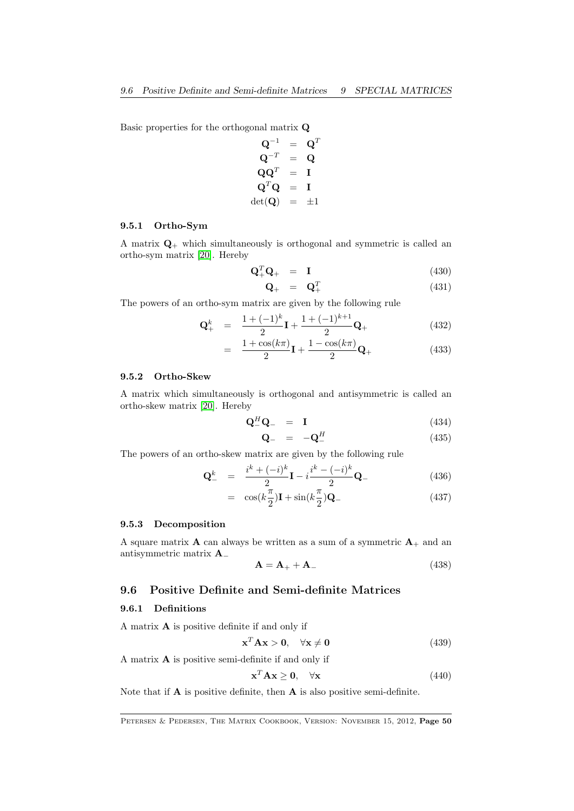Basic properties for the orthogonal matrix Q

$$
\begin{array}{rcl} \mathbf{Q}^{-1} &=& \mathbf{Q}^T \\ \mathbf{Q}^{-T} &=& \mathbf{Q} \\ \mathbf{Q}\mathbf{Q}^T &=& \mathbf{I} \\ \mathbf{Q}^T\mathbf{Q} &=& \mathbf{I} \\ \mathrm{det}(\mathbf{Q}) &=& \pm 1 \end{array}
$$

### 9.5.1 Ortho-Sym

A matrix  $\mathbf{Q}_{+}$  which simultaneously is orthogonal and symmetric is called an ortho-sym matrix [\[20\]](#page-70-1). Hereby

$$
\mathbf{Q}_+^T \mathbf{Q}_+ = \mathbf{I} \tag{430}
$$

$$
\mathbf{Q}_{+} = \mathbf{Q}_{+}^{T} \tag{431}
$$

The powers of an ortho-sym matrix are given by the following rule

$$
\mathbf{Q}_{+}^{k} = \frac{1 + (-1)^{k}}{2} \mathbf{I} + \frac{1 + (-1)^{k+1}}{2} \mathbf{Q}_{+}
$$
(432)

$$
= \frac{1+\cos(k\pi)}{2}\mathbf{I} + \frac{1-\cos(k\pi)}{2}\mathbf{Q}_{+} \tag{433}
$$

### 9.5.2 Ortho-Skew

A matrix which simultaneously is orthogonal and antisymmetric is called an ortho-skew matrix [\[20\]](#page-70-1). Hereby

$$
\mathbf{Q}_{-}^{H}\mathbf{Q}_{-} = \mathbf{I} \tag{434}
$$

$$
\mathbf{Q}_{-} = -\mathbf{Q}_{-}^{H} \tag{435}
$$

The powers of an ortho-skew matrix are given by the following rule

$$
\mathbf{Q}_{-}^{k} = \frac{i^{k} + (-i)^{k}}{2} \mathbf{I} - i \frac{i^{k} - (-i)^{k}}{2} \mathbf{Q}_{-}
$$
(436)

$$
= \cos(k\frac{\pi}{2})\mathbf{I} + \sin(k\frac{\pi}{2})\mathbf{Q}_{-} \tag{437}
$$

#### 9.5.3 Decomposition

A square matrix **A** can always be written as a sum of a symmetric  $A_+$  and an antisymmetric matrix A<sup>−</sup>

$$
\mathbf{A} = \mathbf{A}_{+} + \mathbf{A}_{-} \tag{438}
$$

### 9.6 Positive Definite and Semi-definite Matrices

#### 9.6.1 Definitions

A matrix A is positive definite if and only if

$$
\mathbf{x}^T \mathbf{A} \mathbf{x} > \mathbf{0}, \quad \forall \mathbf{x} \neq \mathbf{0} \tag{439}
$$

A matrix A is positive semi-definite if and only if

$$
\mathbf{x}^T \mathbf{A} \mathbf{x} \ge \mathbf{0}, \quad \forall \mathbf{x} \tag{440}
$$

Note that if  $\bf{A}$  is positive definite, then  $\bf{A}$  is also positive semi-definite.

PETERSEN & PEDERSEN, THE MATRIX COOKBOOK, VERSION: NOVEMBER 15, 2012, Page 50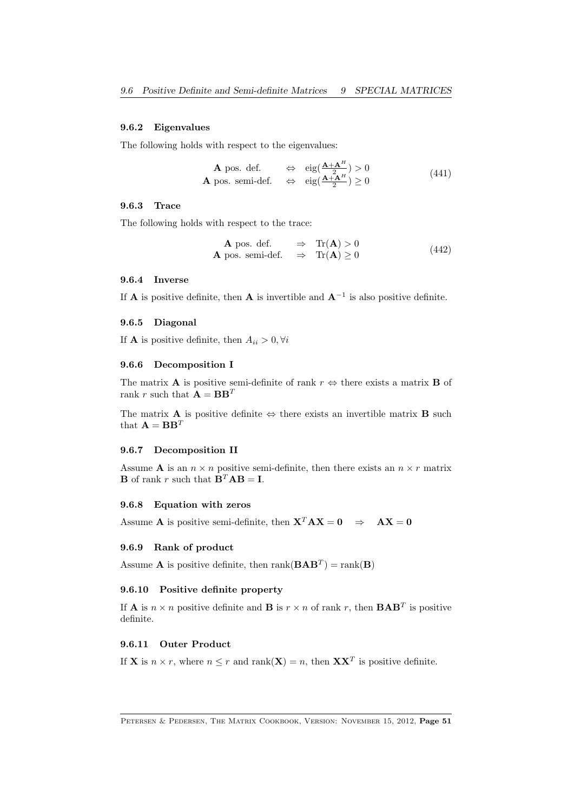### 9.6.2 Eigenvalues

The following holds with respect to the eigenvalues:

**A** pos. def. 
$$
\Leftrightarrow
$$
  $\text{eig}(\frac{\mathbf{A} + \mathbf{A}^H}{2}) > 0$   
\n**A** pos. semi-def.  $\Leftrightarrow$   $\text{eig}(\frac{\mathbf{A} + \mathbf{A}^H}{2}) \ge 0$  (441)

#### 9.6.3 Trace

The following holds with respect to the trace:

**A** pos. def.  $\Rightarrow$  Tr(**A**) > 0 **A** pos. semi-def.  $\Rightarrow$  Tr(**A**)  $\geq 0$ (442)

#### 9.6.4 Inverse

If **A** is positive definite, then **A** is invertible and  $A^{-1}$  is also positive definite.

#### 9.6.5 Diagonal

If **A** is positive definite, then  $A_{ii} > 0, \forall i$ 

#### 9.6.6 Decomposition I

The matrix **A** is positive semi-definite of rank  $r \Leftrightarrow$  there exists a matrix **B** of rank r such that  $\mathbf{A} = \mathbf{B} \mathbf{B}^T$ 

The matrix **A** is positive definite  $\Leftrightarrow$  there exists an invertible matrix **B** such that  $\mathbf{A} = \mathbf{B}\mathbf{B}^T$ 

#### 9.6.7 Decomposition II

Assume **A** is an  $n \times n$  positive semi-definite, then there exists an  $n \times r$  matrix **B** of rank r such that  $\mathbf{B}^T \mathbf{A} \mathbf{B} = \mathbf{I}$ .

#### 9.6.8 Equation with zeros

Assume **A** is positive semi-definite, then  $X^T A X = 0 \Rightarrow AX = 0$ 

#### 9.6.9 Rank of product

Assume **A** is positive definite, then  $rank(BAB^T) = rank(B)$ 

#### 9.6.10 Positive definite property

If **A** is  $n \times n$  positive definite and **B** is  $r \times n$  of rank r, then  $\mathbf{BAB}^T$  is positive definite.

#### 9.6.11 Outer Product

If **X** is  $n \times r$ , where  $n \leq r$  and rank $(X) = n$ , then  $\mathbf{X} \mathbf{X}^T$  is positive definite.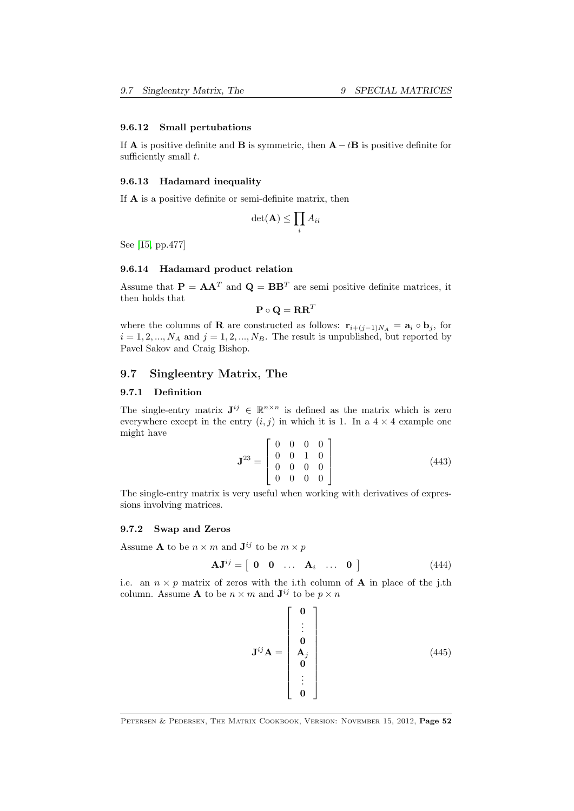#### <span id="page-51-0"></span>9.6.12 Small pertubations

If **A** is positive definite and **B** is symmetric, then  $\mathbf{A} - t\mathbf{B}$  is positive definite for sufficiently small  $t$ .

#### 9.6.13 Hadamard inequality

If A is a positive definite or semi-definite matrix, then

$$
\det(\mathbf{A}) \le \prod_i A_{ii}
$$

See [\[15,](#page-69-4) pp.477]

### 9.6.14 Hadamard product relation

Assume that  $\mathbf{P} = \mathbf{A}\mathbf{A}^T$  and  $\mathbf{Q} = \mathbf{B}\mathbf{B}^T$  are semi-positive definite matrices, it then holds that

$$
\mathbf{P} \circ \mathbf{Q} = \mathbf{R} \mathbf{R}^T
$$

where the columns of **R** are constructed as follows:  $\mathbf{r}_{i+(j-1)N_A} = \mathbf{a}_i \circ \mathbf{b}_j$ , for  $i = 1, 2, ..., N_A$  and  $j = 1, 2, ..., N_B$ . The result is unpublished, but reported by Pavel Sakov and Craig Bishop.

### 9.7 Singleentry Matrix, The

#### 9.7.1 Definition

The single-entry matrix  $J^{ij} \in \mathbb{R}^{n \times n}$  is defined as the matrix which is zero everywhere except in the entry  $(i, j)$  in which it is 1. In a  $4 \times 4$  example one might have

$$
\mathbf{J}^{23} = \left[ \begin{array}{cccc} 0 & 0 & 0 & 0 \\ 0 & 0 & 1 & 0 \\ 0 & 0 & 0 & 0 \\ 0 & 0 & 0 & 0 \end{array} \right] \tag{443}
$$

The single-entry matrix is very useful when working with derivatives of expressions involving matrices.

#### 9.7.2 Swap and Zeros

Assume **A** to be  $n \times m$  and  $\mathbf{J}^{ij}$  to be  $m \times p$ 

$$
\mathbf{A}\mathbf{J}^{ij} = \begin{bmatrix} \mathbf{0} & \mathbf{0} & \dots & \mathbf{A}_i & \dots & \mathbf{0} \end{bmatrix} \tag{444}
$$

i.e. an  $n \times p$  matrix of zeros with the i.th column of **A** in place of the j.th column. Assume **A** to be  $n \times m$  and  $\mathbf{J}^{ij}$  to be  $p \times n$ 

$$
\mathbf{J}^{ij}\mathbf{A} = \begin{bmatrix} \mathbf{0} \\ \vdots \\ \mathbf{0} \\ \mathbf{A}_{j} \\ \vdots \\ \mathbf{0} \end{bmatrix}
$$
(445)

PETERSEN & PEDERSEN, THE MATRIX COOKBOOK, VERSION: NOVEMBER 15, 2012, Page 52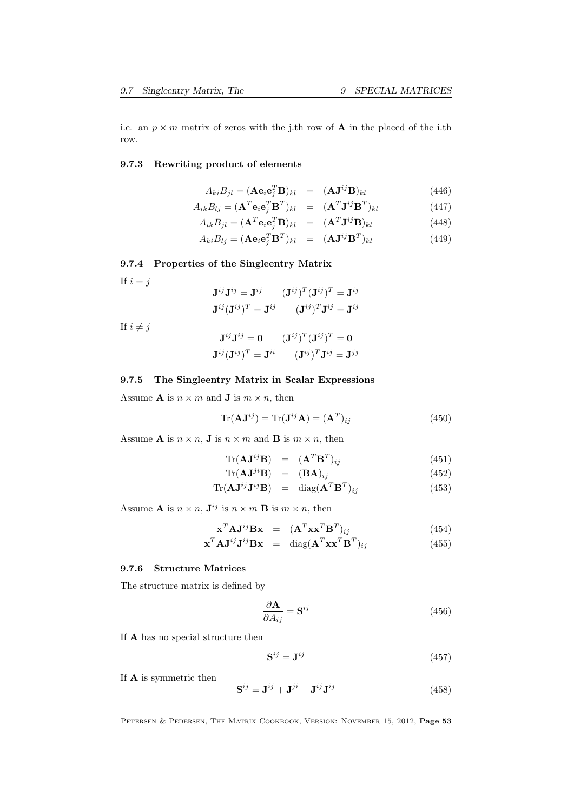i.e. an  $p \times m$  matrix of zeros with the j.th row of **A** in the placed of the i.th row.

### 9.7.3 Rewriting product of elements

$$
A_{ki}B_{jl} = (\mathbf{A}\mathbf{e}_i\mathbf{e}_j^T\mathbf{B})_{kl} = (\mathbf{A}\mathbf{J}^{ij}\mathbf{B})_{kl}
$$
(446)

$$
A_{ik}B_{lj} = (\mathbf{A}^T \mathbf{e}_i \mathbf{e}_j^T \mathbf{B}^T)_{kl} = (\mathbf{A}^T \mathbf{J}^{ij} \mathbf{B}^T)_{kl}
$$
(447)

$$
A_{ik}B_{jl} = (\mathbf{A}^T \mathbf{e}_i \mathbf{e}_j^T \mathbf{B})_{kl} = (\mathbf{A}^T \mathbf{J}^{ij} \mathbf{B})_{kl}
$$
(448)

$$
A_{ki}B_{lj} = (\mathbf{A}\mathbf{e}_i\mathbf{e}_j^T\mathbf{B}^T)_{kl} = (\mathbf{A}\mathbf{J}^{ij}\mathbf{B}^T)_{kl}
$$
(449)

#### <span id="page-52-0"></span>9.7.4 Properties of the Singleentry Matrix

If  $i = j$ 

$$
\begin{aligned} \mathbf{J}^{ij} \mathbf{J}^{ij} &= \mathbf{J}^{ij} \qquad (\mathbf{J}^{ij})^T (\mathbf{J}^{ij})^T = \mathbf{J}^{ij} \\ \mathbf{J}^{ij} (\mathbf{J}^{ij})^T &= \mathbf{J}^{ij} \qquad (\mathbf{J}^{ij})^T \mathbf{J}^{ij} = \mathbf{J}^{ij} \end{aligned}
$$

If  $i \neq j$ 

$$
\mathbf{J}^{ij}\mathbf{J}^{ij} = \mathbf{0} \qquad (\mathbf{J}^{ij})^T (\mathbf{J}^{ij})^T = \mathbf{0}
$$

$$
\mathbf{J}^{ij} (\mathbf{J}^{ij})^T = \mathbf{J}^{ii} \qquad (\mathbf{J}^{ij})^T \mathbf{J}^{ij} = \mathbf{J}^{jj}
$$

#### 9.7.5 The Singleentry Matrix in Scalar Expressions

Assume **A** is  $n \times m$  and **J** is  $m \times n$ , then

$$
\text{Tr}(\mathbf{A}\mathbf{J}^{ij}) = \text{Tr}(\mathbf{J}^{ij}\mathbf{A}) = (\mathbf{A}^T)_{ij}
$$
(450)

Assume **A** is  $n \times n$ , **J** is  $n \times m$  and **B** is  $m \times n$ , then

$$
\text{Tr}(\mathbf{A}\mathbf{J}^{ij}\mathbf{B}) = (\mathbf{A}^T\mathbf{B}^T)_{ij} \tag{451}
$$

$$
\text{Tr}(\mathbf{A}\mathbf{J}^{ji}\mathbf{B}) = (\mathbf{B}\mathbf{A})_{ij} \tag{452}
$$

$$
\text{Tr}(\mathbf{A}\mathbf{J}^{ij}\mathbf{J}^{ij}\mathbf{B}) = \text{diag}(\mathbf{A}^T\mathbf{B}^T)_{ij} \tag{453}
$$

Assume **A** is  $n \times n$ ,  $\mathbf{J}^{ij}$  is  $n \times m$  **B** is  $m \times n$ , then

$$
\mathbf{x}^T \mathbf{A} \mathbf{J}^{ij} \mathbf{B} \mathbf{x} = (\mathbf{A}^T \mathbf{x} \mathbf{x}^T \mathbf{B}^T)_{ij}
$$
(454)

$$
\mathbf{x}^T \mathbf{A} \mathbf{J}^{ij} \mathbf{J}^{ij} \mathbf{B} \mathbf{x} = \text{diag}(\mathbf{A}^T \mathbf{x} \mathbf{x}^T \mathbf{B}^T)_{ij}
$$
(455)

### 9.7.6 Structure Matrices

The structure matrix is defined by

$$
\frac{\partial \mathbf{A}}{\partial A_{ij}} = \mathbf{S}^{ij} \tag{456}
$$

If A has no special structure then

$$
\mathbf{S}^{ij} = \mathbf{J}^{ij} \tag{457}
$$

If A is symmetric then

$$
\mathbf{S}^{ij} = \mathbf{J}^{ij} + \mathbf{J}^{ji} - \mathbf{J}^{ij}\mathbf{J}^{ij}
$$
 (458)

PETERSEN & PEDERSEN, THE MATRIX COOKBOOK, VERSION: NOVEMBER 15, 2012, Page 53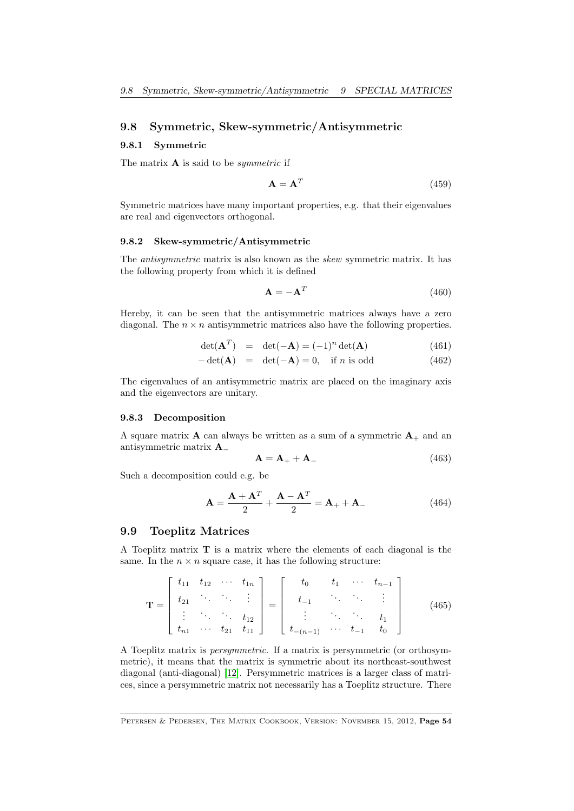### <span id="page-53-0"></span>9.8 Symmetric, Skew-symmetric/Antisymmetric

#### 9.8.1 Symmetric

The matrix  $\bf{A}$  is said to be *symmetric* if

$$
\mathbf{A} = \mathbf{A}^T \tag{459}
$$

Symmetric matrices have many important properties, e.g. that their eigenvalues are real and eigenvectors orthogonal.

#### 9.8.2 Skew-symmetric/Antisymmetric

The antisymmetric matrix is also known as the skew symmetric matrix. It has the following property from which it is defined

$$
\mathbf{A} = -\mathbf{A}^T \tag{460}
$$

Hereby, it can be seen that the antisymmetric matrices always have a zero diagonal. The  $n \times n$  antisymmetric matrices also have the following properties.

$$
\det(\mathbf{A}^T) = \det(-\mathbf{A}) = (-1)^n \det(\mathbf{A}) \tag{461}
$$

$$
-\det(\mathbf{A}) = \det(-\mathbf{A}) = 0, \text{ if } n \text{ is odd}
$$
 (462)

The eigenvalues of an antisymmetric matrix are placed on the imaginary axis and the eigenvectors are unitary.

#### 9.8.3 Decomposition

A square matrix **A** can always be written as a sum of a symmetric  $A_+$  and an antisymmetric matrix A<sup>−</sup>

$$
\mathbf{A} = \mathbf{A}_{+} + \mathbf{A}_{-} \tag{463}
$$

Such a decomposition could e.g. be

$$
\mathbf{A} = \frac{\mathbf{A} + \mathbf{A}^T}{2} + \frac{\mathbf{A} - \mathbf{A}^T}{2} = \mathbf{A}_+ + \mathbf{A}_-\tag{464}
$$

#### 9.9 Toeplitz Matrices

A Toeplitz matrix  $\mathbf T$  is a matrix where the elements of each diagonal is the same. In the  $n \times n$  square case, it has the following structure:

$$
\mathbf{T} = \begin{bmatrix} t_{11} & t_{12} & \cdots & t_{1n} \\ t_{21} & \ddots & \ddots & \vdots \\ \vdots & \ddots & \ddots & t_{12} \\ t_{n1} & \cdots & t_{21} & t_{11} \end{bmatrix} = \begin{bmatrix} t_0 & t_1 & \cdots & t_{n-1} \\ t_{-1} & \ddots & \ddots & \vdots \\ \vdots & \ddots & \ddots & t_1 \\ t_{-(n-1)} & \cdots & t_{-1} & t_0 \end{bmatrix}
$$
(465)

A Toeplitz matrix is persymmetric. If a matrix is persymmetric (or orthosymmetric), it means that the matrix is symmetric about its northeast-southwest diagonal (anti-diagonal) [\[12\]](#page-69-5). Persymmetric matrices is a larger class of matrices, since a persymmetric matrix not necessarily has a Toeplitz structure. There

PETERSEN & PEDERSEN, THE MATRIX COOKBOOK, VERSION: NOVEMBER 15, 2012, Page 54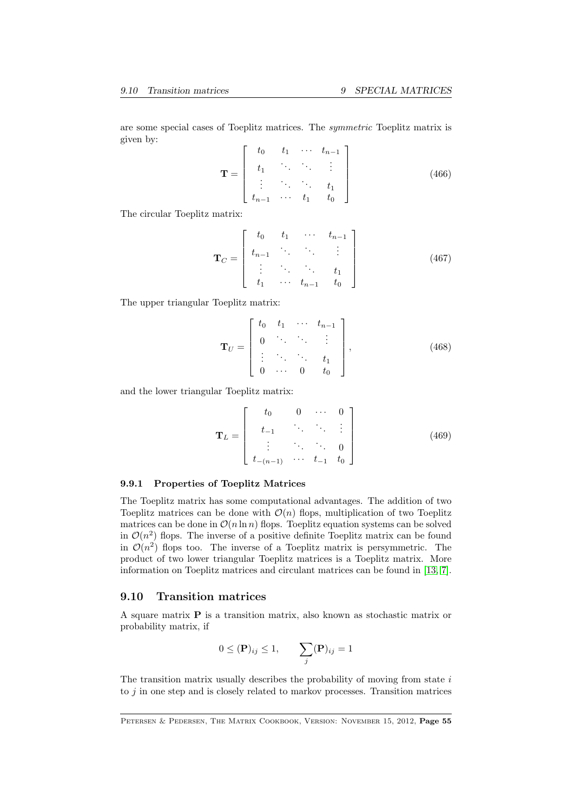<span id="page-54-0"></span>are some special cases of Toeplitz matrices. The symmetric Toeplitz matrix is given by:  $\mathbf{r} = \mathbf{r}$  $\frac{1}{1}$  ·  $\frac{1}{1}$  $\overline{a}$ 

$$
\mathbf{T} = \begin{bmatrix} t_0 & t_1 & \cdots & t_{n-1} \\ t_1 & \ddots & \ddots & \vdots \\ \vdots & \ddots & \ddots & t_1 \\ t_{n-1} & \cdots & t_1 & t_0 \end{bmatrix}
$$
 (466)

The circular Toeplitz matrix:

$$
\mathbf{T}_C = \begin{bmatrix} t_0 & t_1 & \cdots & t_{n-1} \\ t_{n-1} & \ddots & \ddots & \vdots \\ \vdots & \ddots & \ddots & t_1 \\ t_1 & \cdots & t_{n-1} & t_0 \end{bmatrix}
$$
 (467)

The upper triangular Toeplitz matrix:

$$
\mathbf{T}_U = \begin{bmatrix} t_0 & t_1 & \cdots & t_{n-1} \\ 0 & \ddots & \ddots & \vdots \\ \vdots & \ddots & \ddots & t_1 \\ 0 & \cdots & 0 & t_0 \end{bmatrix},
$$
 (468)

and the lower triangular Toeplitz matrix:

$$
\mathbf{T}_L = \begin{bmatrix} t_0 & 0 & \cdots & 0 \\ t_{-1} & \ddots & \ddots & \vdots \\ \vdots & \ddots & \ddots & 0 \\ t_{-(n-1)} & \cdots & t_{-1} & t_0 \end{bmatrix}
$$
(469)

#### 9.9.1 Properties of Toeplitz Matrices

The Toeplitz matrix has some computational advantages. The addition of two Toeplitz matrices can be done with  $\mathcal{O}(n)$  flops, multiplication of two Toeplitz matrices can be done in  $\mathcal{O}(n \ln n)$  flops. Toeplitz equation systems can be solved in  $\mathcal{O}(n^2)$  flops. The inverse of a positive definite Toeplitz matrix can be found in  $\mathcal{O}(n^2)$  flops too. The inverse of a Toeplitz matrix is persymmetric. The product of two lower triangular Toeplitz matrices is a Toeplitz matrix. More information on Toeplitz matrices and circulant matrices can be found in [\[13,](#page-69-6) [7\]](#page-69-3).

#### 9.10 Transition matrices

A square matrix P is a transition matrix, also known as stochastic matrix or probability matrix, if

$$
0 \leq (\mathbf{P})_{ij} \leq 1, \qquad \sum_j (\mathbf{P})_{ij} = 1
$$

The transition matrix usually describes the probability of moving from state  $i$ to  $j$  in one step and is closely related to markov processes. Transition matrices

PETERSEN & PEDERSEN, THE MATRIX COOKBOOK, VERSION: NOVEMBER 15, 2012, Page 55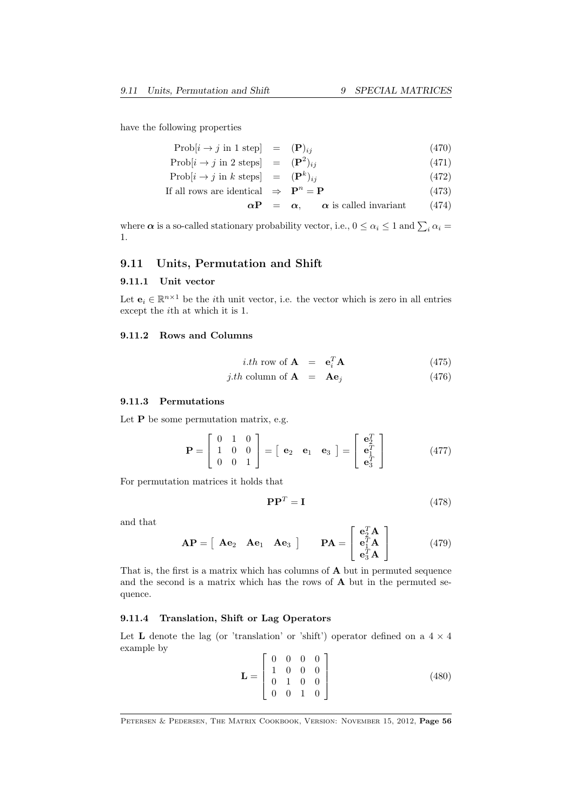have the following properties

$$
Prob[i \to j \text{ in } 1 \text{ step}] = (\mathbf{P})_{ij} \tag{470}
$$

- $\text{Prob}[i \to j \text{ in } 2 \text{ steps}] = (\mathbf{P}^2)$  $(471)$
- $\text{Prob}[i \to j \text{ in } k \text{ steps}] = (\mathbf{P}^k)$  $(472)$
- If all rows are identical  $\Rightarrow$   $\mathbf{P}^n = \mathbf{P}$  (473)

$$
\alpha \mathbf{P} = \alpha, \qquad \alpha \text{ is called invariant} \tag{474}
$$

where  $\alpha$  is a so-called stationary probability vector, i.e.,  $0 \le \alpha_i \le 1$  and  $\sum_i \alpha_i =$ 1.

### 9.11 Units, Permutation and Shift

### 9.11.1 Unit vector

Let  $\mathbf{e}_i \in \mathbb{R}^{n \times 1}$  be the *i*th unit vector, i.e. the vector which is zero in all entries except the *i*<sup>th</sup> at which it is 1.

#### 9.11.2 Rows and Columns

$$
i.th \text{ row of } \mathbf{A} = \mathbf{e}_i^T \mathbf{A} \tag{475}
$$

$$
j.th \text{ column of } \mathbf{A} = \mathbf{A}\mathbf{e}_j \tag{476}
$$

#### 9.11.3 Permutations

Let  $P$  be some permutation matrix, e.g.

$$
\mathbf{P} = \begin{bmatrix} 0 & 1 & 0 \\ 1 & 0 & 0 \\ 0 & 0 & 1 \end{bmatrix} = \begin{bmatrix} \mathbf{e}_2 & \mathbf{e}_1 & \mathbf{e}_3 \end{bmatrix} = \begin{bmatrix} \mathbf{e}_2^T \\ \mathbf{e}_1^T \\ \mathbf{e}_3^T \end{bmatrix}
$$
(477)

For permutation matrices it holds that

$$
\mathbf{P}\mathbf{P}^T = \mathbf{I} \tag{478}
$$

and that

$$
\mathbf{AP} = \begin{bmatrix} \mathbf{A} \mathbf{e}_2 & \mathbf{A} \mathbf{e}_1 & \mathbf{A} \mathbf{e}_3 \end{bmatrix} \qquad \mathbf{PA} = \begin{bmatrix} \mathbf{e}_2^T \mathbf{A} \\ \mathbf{e}_1^T \mathbf{A} \\ \mathbf{e}_3^T \mathbf{A} \end{bmatrix} \tag{479}
$$

That is, the first is a matrix which has columns of A but in permuted sequence and the second is a matrix which has the rows of A but in the permuted sequence.

#### 9.11.4 Translation, Shift or Lag Operators

Let **L** denote the lag (or 'translation' or 'shift') operator defined on a  $4 \times 4$ example by

$$
\mathbf{L} = \begin{bmatrix} 0 & 0 & 0 & 0 \\ 1 & 0 & 0 & 0 \\ 0 & 1 & 0 & 0 \\ 0 & 0 & 1 & 0 \end{bmatrix}
$$
(480)

PETERSEN & PEDERSEN, THE MATRIX COOKBOOK, VERSION: NOVEMBER 15, 2012, Page 56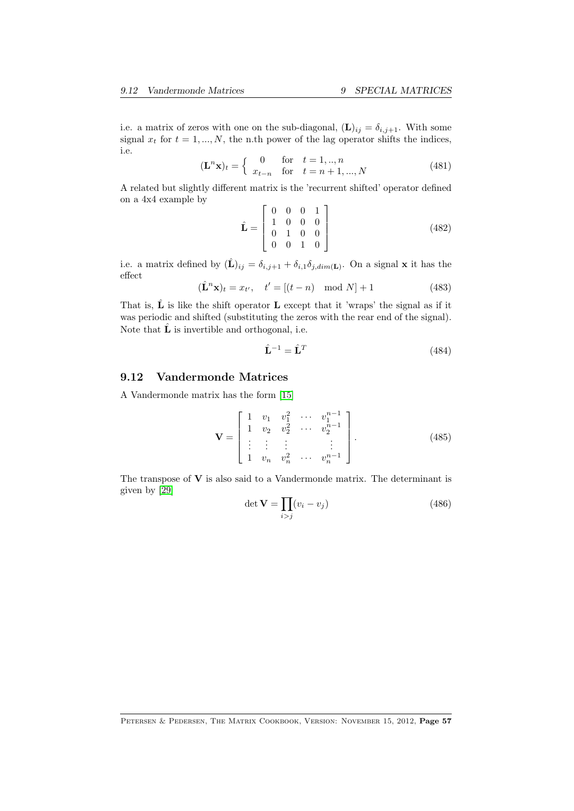<span id="page-56-0"></span>i.e. a matrix of zeros with one on the sub-diagonal,  $(L)_{ij} = \delta_{i,j+1}$ . With some signal  $x_t$  for  $t = 1, ..., N$ , the n.th power of the lag operator shifts the indices, i.e.

$$
(\mathbf{L}^n \mathbf{x})_t = \begin{cases} 0 & \text{for } t = 1, ..., n \\ x_{t-n} & \text{for } t = n+1, ..., N \end{cases}
$$
(481)

A related but slightly different matrix is the 'recurrent shifted' operator defined on a 4x4 example by

$$
\hat{\mathbf{L}} = \begin{bmatrix} 0 & 0 & 0 & 1 \\ 1 & 0 & 0 & 0 \\ 0 & 1 & 0 & 0 \\ 0 & 0 & 1 & 0 \end{bmatrix}
$$
(482)

i.e. a matrix defined by  $(\hat{\mathbf{L}})_{ij} = \delta_{i,j+1} + \delta_{i,1}\delta_{j,dim(\mathbf{L})}$ . On a signal **x** it has the effect

$$
(\hat{\mathbf{L}}^n \mathbf{x})_t = x_{t'}, \quad t' = [(t - n) \mod N] + 1
$$
 (483)

That is,  $\hat{\mathbf{L}}$  is like the shift operator **L** except that it 'wraps' the signal as if it was periodic and shifted (substituting the zeros with the rear end of the signal). Note that  $\hat{\mathbf{L}}$  is invertible and orthogonal, i.e.

$$
\hat{\mathbf{L}}^{-1} = \hat{\mathbf{L}}^{T} \tag{484}
$$

### 9.12 Vandermonde Matrices

A Vandermonde matrix has the form [\[15\]](#page-69-4)

$$
\mathbf{V} = \begin{bmatrix} 1 & v_1 & v_1^2 & \cdots & v_1^{n-1} \\ 1 & v_2 & v_2^2 & \cdots & v_2^{n-1} \\ \vdots & \vdots & \vdots & & \vdots \\ 1 & v_n & v_n^2 & \cdots & v_n^{n-1} \end{bmatrix} .
$$
 (485)

The transpose of  $V$  is also said to a Vandermonde matrix. The determinant is given by [\[29\]](#page-70-2)

$$
\det \mathbf{V} = \prod_{i > j} (v_i - v_j) \tag{486}
$$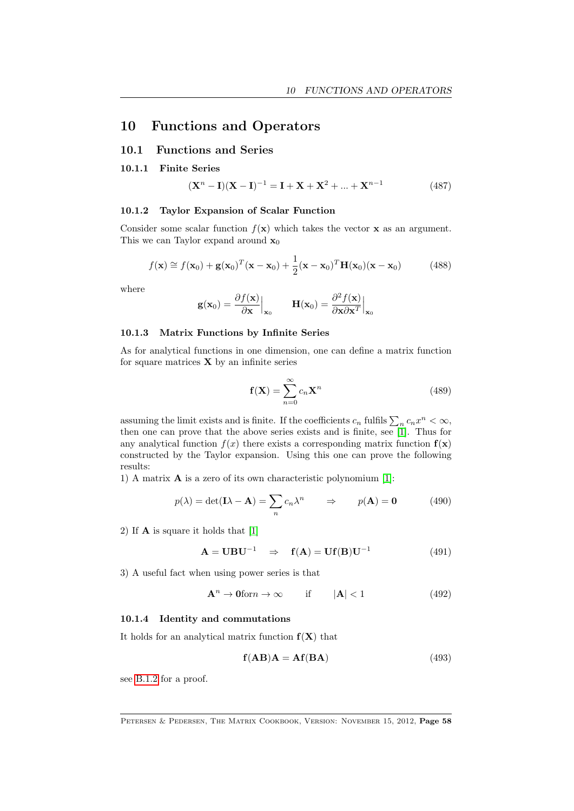# <span id="page-57-1"></span>10 Functions and Operators

### 10.1 Functions and Series

### 10.1.1 Finite Series

$$
(\mathbf{X}^{n} - \mathbf{I})(\mathbf{X} - \mathbf{I})^{-1} = \mathbf{I} + \mathbf{X} + \mathbf{X}^{2} + \dots + \mathbf{X}^{n-1}
$$
(487)

#### 10.1.2 Taylor Expansion of Scalar Function

Consider some scalar function  $f(\mathbf{x})$  which takes the vector **x** as an argument. This we can Taylor expand around  $\mathbf{x}_0$ 

$$
f(\mathbf{x}) \approx f(\mathbf{x}_0) + \mathbf{g}(\mathbf{x}_0)^T(\mathbf{x} - \mathbf{x}_0) + \frac{1}{2}(\mathbf{x} - \mathbf{x}_0)^T \mathbf{H}(\mathbf{x}_0) (\mathbf{x} - \mathbf{x}_0)
$$
(488)

where

$$
\mathbf{g}(\mathbf{x}_0) = \frac{\partial f(\mathbf{x})}{\partial \mathbf{x}} \Big|_{\mathbf{x}_0} \qquad \mathbf{H}(\mathbf{x}_0) = \frac{\partial^2 f(\mathbf{x})}{\partial \mathbf{x} \partial \mathbf{x}^T} \Big|_{\mathbf{x}_0}
$$

#### 10.1.3 Matrix Functions by Infinite Series

As for analytical functions in one dimension, one can define a matrix function for square matrices  $\bf{X}$  by an infinite series

$$
\mathbf{f}(\mathbf{X}) = \sum_{n=0}^{\infty} c_n \mathbf{X}^n
$$
 (489)

assuming the limit exists and is finite. If the coefficients  $c_n$  fulfils  $\sum_n c_n x^n < \infty$ , then one can prove that the above series exists and is finite, see [\[1\]](#page-69-7). Thus for any analytical function  $f(x)$  there exists a corresponding matrix function  $f(x)$ constructed by the Taylor expansion. Using this one can prove the following results:

1) A matrix A is a zero of its own characteristic polynomium [\[1\]](#page-69-7):

$$
p(\lambda) = \det(\mathbf{I}\lambda - \mathbf{A}) = \sum_{n} c_n \lambda^n \qquad \Rightarrow \qquad p(\mathbf{A}) = \mathbf{0} \tag{490}
$$

2) If A is square it holds that [\[1\]](#page-69-7)

$$
\mathbf{A} = \mathbf{U} \mathbf{B} \mathbf{U}^{-1} \Rightarrow \mathbf{f}(\mathbf{A}) = \mathbf{U} \mathbf{f}(\mathbf{B}) \mathbf{U}^{-1} \tag{491}
$$

3) A useful fact when using power series is that

$$
\mathbf{A}^n \to \mathbf{0} \text{for} n \to \infty \quad \text{if} \quad |\mathbf{A}| < 1 \tag{492}
$$

#### 10.1.4 Identity and commutations

It holds for an analytical matrix function  $f(X)$  that

<span id="page-57-0"></span>
$$
f(AB)A = Af(BA)
$$
 (493)

see [B.1.2](#page-66-0) for a proof.

PETERSEN & PEDERSEN, THE MATRIX COOKBOOK, VERSION: NOVEMBER 15, 2012, Page 58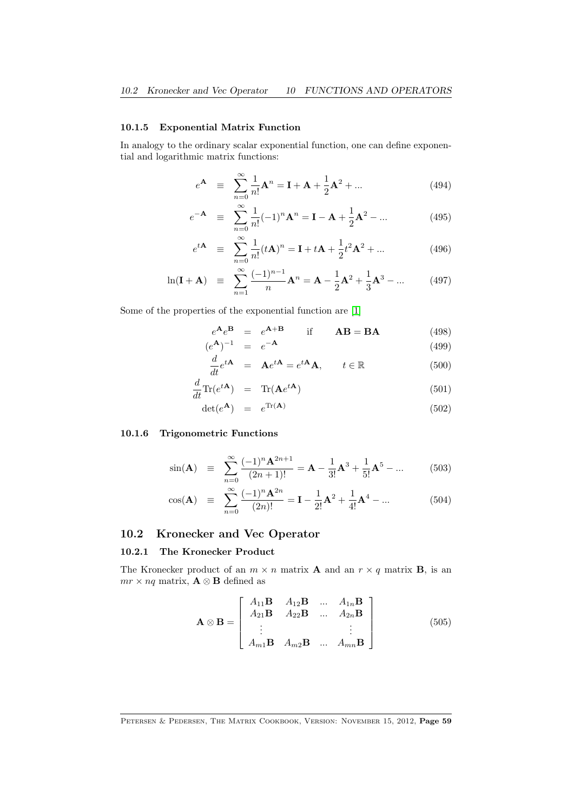#### <span id="page-58-0"></span>10.1.5 Exponential Matrix Function

In analogy to the ordinary scalar exponential function, one can define exponential and logarithmic matrix functions:

$$
e^{\mathbf{A}} \equiv \sum_{n=0}^{\infty} \frac{1}{n!} \mathbf{A}^n = \mathbf{I} + \mathbf{A} + \frac{1}{2} \mathbf{A}^2 + \dots
$$
 (494)

$$
e^{-\mathbf{A}} \equiv \sum_{n=0}^{\infty} \frac{1}{n!} (-1)^n \mathbf{A}^n = \mathbf{I} - \mathbf{A} + \frac{1}{2} \mathbf{A}^2 - \dots
$$
 (495)

$$
e^{t\mathbf{A}} \equiv \sum_{n=0}^{\infty} \frac{1}{n!} (t\mathbf{A})^n = \mathbf{I} + t\mathbf{A} + \frac{1}{2} t^2 \mathbf{A}^2 + \dots
$$
 (496)

$$
\ln(\mathbf{I} + \mathbf{A}) \equiv \sum_{n=1}^{\infty} \frac{(-1)^{n-1}}{n} \mathbf{A}^n = \mathbf{A} - \frac{1}{2} \mathbf{A}^2 + \frac{1}{3} \mathbf{A}^3 - \dots \tag{497}
$$

Some of the properties of the exponential function are [\[1\]](#page-69-7)

$$
e^{\mathbf{A}}e^{\mathbf{B}} = e^{\mathbf{A} + \mathbf{B}} \qquad \text{if} \qquad \mathbf{A}\mathbf{B} = \mathbf{B}\mathbf{A} \tag{498}
$$

$$
(e^{\mathbf{A}})^{-1} = e^{-\mathbf{A}} \tag{499}
$$

$$
\frac{d}{dt}e^{t\mathbf{A}} = \mathbf{A}e^{t\mathbf{A}} = e^{t\mathbf{A}}\mathbf{A}, \qquad t \in \mathbb{R}
$$
\n(500)

$$
\frac{d}{dt}\text{Tr}(e^{t\mathbf{A}}) = \text{Tr}(\mathbf{A}e^{t\mathbf{A}})
$$
\n(501)

$$
\det(e^{\mathbf{A}}) = e^{\text{Tr}(\mathbf{A})} \tag{502}
$$

### 10.1.6 Trigonometric Functions

$$
\sin(\mathbf{A}) \quad \equiv \quad \sum_{n=0}^{\infty} \frac{(-1)^n \mathbf{A}^{2n+1}}{(2n+1)!} = \mathbf{A} - \frac{1}{3!} \mathbf{A}^3 + \frac{1}{5!} \mathbf{A}^5 - \dots \tag{503}
$$

$$
\cos(\mathbf{A}) \quad \equiv \quad \sum_{n=0}^{\infty} \frac{(-1)^n \mathbf{A}^{2n}}{(2n)!} = \mathbf{I} - \frac{1}{2!} \mathbf{A}^2 + \frac{1}{4!} \mathbf{A}^4 - \dots \tag{504}
$$

### 10.2 Kronecker and Vec Operator

#### 10.2.1 The Kronecker Product

The Kronecker product of an  $m \times n$  matrix **A** and an  $r \times q$  matrix **B**, is an  $mr \times nq$  matrix,  $\mathbf{A} \otimes \mathbf{B}$  defined as

$$
\mathbf{A} \otimes \mathbf{B} = \begin{bmatrix} A_{11} \mathbf{B} & A_{12} \mathbf{B} & \dots & A_{1n} \mathbf{B} \\ A_{21} \mathbf{B} & A_{22} \mathbf{B} & \dots & A_{2n} \mathbf{B} \\ \vdots & & \vdots \\ A_{m1} \mathbf{B} & A_{m2} \mathbf{B} & \dots & A_{mn} \mathbf{B} \end{bmatrix} \tag{505}
$$

PETERSEN & PEDERSEN, THE MATRIX COOKBOOK, VERSION: NOVEMBER 15, 2012, Page 59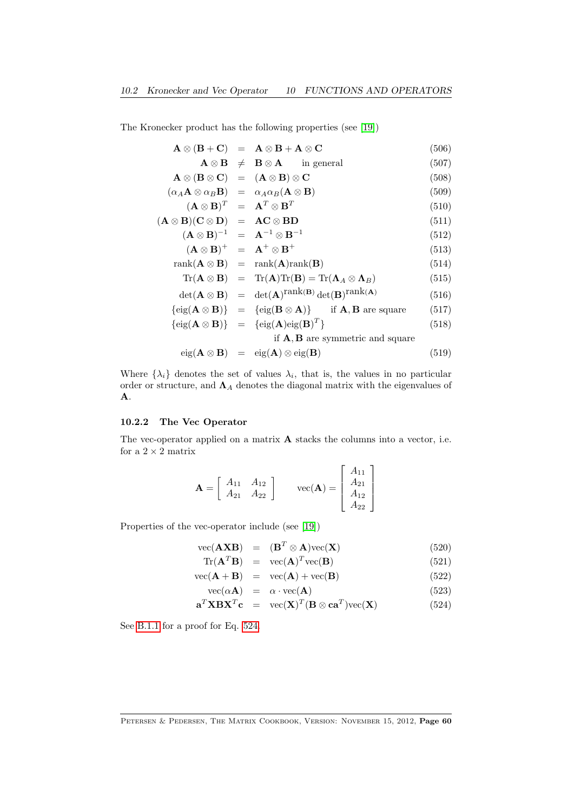<span id="page-59-1"></span>The Kronecker product has the following properties (see [\[19\]](#page-70-3))

|                                                                                                         | $A \otimes (B + C) = A \otimes B + A \otimes C$                                                                                                     | (506) |
|---------------------------------------------------------------------------------------------------------|-----------------------------------------------------------------------------------------------------------------------------------------------------|-------|
|                                                                                                         | $\mathbf{A} \otimes \mathbf{B} \neq \mathbf{B} \otimes \mathbf{A}$ in general                                                                       | (507) |
| $A \otimes (B \otimes C) = (A \otimes B) \otimes C$                                                     |                                                                                                                                                     | (508) |
| $(\alpha_A \mathbf{A} \otimes \alpha_B \mathbf{B}) = \alpha_A \alpha_B (\mathbf{A} \otimes \mathbf{B})$ |                                                                                                                                                     | (509) |
| $(\mathbf{A} \otimes \mathbf{B})^T = \mathbf{A}^T \otimes \mathbf{B}^T$                                 |                                                                                                                                                     | (510) |
| $(\mathbf{A} \otimes \mathbf{B})(\mathbf{C} \otimes \mathbf{D}) = \mathbf{AC} \otimes \mathbf{BD}$      |                                                                                                                                                     | (511) |
|                                                                                                         | $({\bf A} \otimes {\bf B})^{-1} = {\bf A}^{-1} \otimes {\bf B}^{-1}$                                                                                | (512) |
| $(\mathbf{A} \otimes \mathbf{B})^+ = \mathbf{A}^+ \otimes \mathbf{B}^+$                                 |                                                                                                                                                     | (513) |
|                                                                                                         | $rank(\mathbf{A} \otimes \mathbf{B}) = rank(\mathbf{A})rank(\mathbf{B})$                                                                            | (514) |
|                                                                                                         | $\text{Tr}(\mathbf{A} \otimes \mathbf{B}) = \text{Tr}(\mathbf{A}) \text{Tr}(\mathbf{B}) = \text{Tr}(\mathbf{\Lambda}_A \otimes \mathbf{\Lambda}_B)$ | (515) |
|                                                                                                         | $\det(\mathbf{A} \otimes \mathbf{B}) = \det(\mathbf{A})^{\text{rank}(\mathbf{B})} \det(\mathbf{B})^{\text{rank}(\mathbf{A})}$                       | (516) |
|                                                                                                         | $\{\text{eig}(\mathbf{A}\otimes\mathbf{B})\}$ = $\{\text{eig}(\mathbf{B}\otimes\mathbf{A})\}$ if <b>A</b> , <b>B</b> are square                     | (517) |
|                                                                                                         | $\{\text{eig}(\mathbf{A}\otimes\mathbf{B})\}$ = $\{\text{eig}(\mathbf{A})\text{eig}(\mathbf{B})^T\}$                                                | (518) |
|                                                                                                         | if $A, B$ are symmetric and square                                                                                                                  |       |

$$
eig(\mathbf{A}\otimes\mathbf{B}) = eig(\mathbf{A})\otimes eig(\mathbf{B})
$$
\n(519)

Where  $\{\lambda_i\}$  denotes the set of values  $\lambda_i$ , that is, the values in no particular order or structure, and  $\Lambda_A$  denotes the diagonal matrix with the eigenvalues of A.

### 10.2.2 The Vec Operator

The vec-operator applied on a matrix A stacks the columns into a vector, i.e. for a  $2 \times 2$  matrix

$$
\mathbf{A} = \left[ \begin{array}{cc} A_{11} & A_{12} \\ A_{21} & A_{22} \end{array} \right] \qquad \text{vec}(\mathbf{A}) = \left[ \begin{array}{c} A_{11} \\ A_{21} \\ A_{12} \\ A_{22} \end{array} \right]
$$

Properties of the vec-operator include (see [\[19\]](#page-70-3))

$$
\text{vec}(\mathbf{AXB}) = (\mathbf{B}^T \otimes \mathbf{A})\text{vec}(\mathbf{X}) \tag{520}
$$

<span id="page-59-0"></span>
$$
\text{Tr}(\mathbf{A}^T \mathbf{B}) = \text{vec}(\mathbf{A})^T \text{vec}(\mathbf{B}) \tag{521}
$$

$$
\text{vec}(\mathbf{A} + \mathbf{B}) = \text{vec}(\mathbf{A}) + \text{vec}(\mathbf{B}) \tag{522}
$$

$$
\text{vec}(\alpha \mathbf{A}) = \alpha \cdot \text{vec}(\mathbf{A}) \tag{523}
$$

$$
\mathbf{a}^T \mathbf{X} \mathbf{B} \mathbf{X}^T \mathbf{c} = \text{vec}(\mathbf{X})^T (\mathbf{B} \otimes \mathbf{c} \mathbf{a}^T) \text{vec}(\mathbf{X}) \tag{524}
$$

See [B.1.1](#page-65-0) for a proof for Eq. [524.](#page-59-0)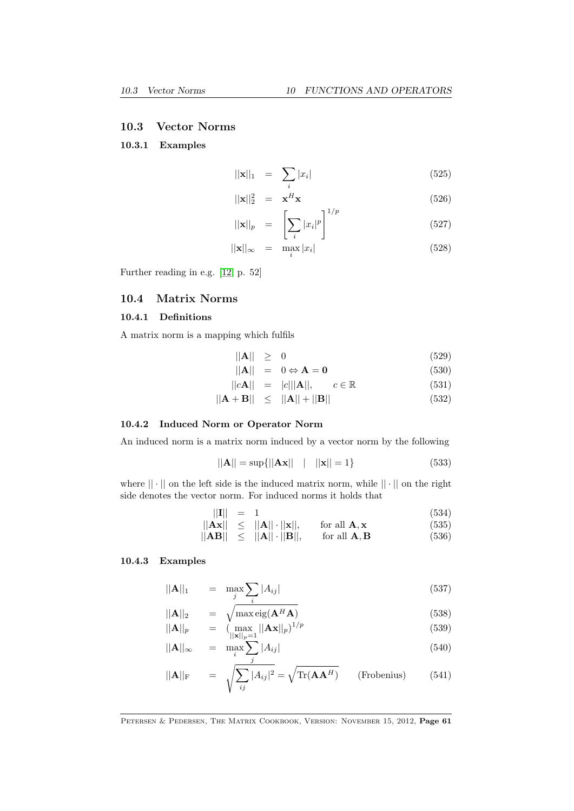#### <span id="page-60-0"></span>10.3 Vector Norms

### 10.3.1 Examples

$$
\|\mathbf{x}\|_1 = \sum_i |x_i| \tag{525}
$$

$$
||\mathbf{x}||_2^2 = \mathbf{x}^H \mathbf{x}
$$
\n
$$
\begin{bmatrix} \mathbf{0} & \mathbf{0} \end{bmatrix}^{1/p}
$$
\n
$$
(526)
$$

$$
||\mathbf{x}||_p = \left[\sum_i |x_i|^p\right]^{1/p} \tag{527}
$$

$$
||\mathbf{x}||_{\infty} = \max_{i} |x_i| \tag{528}
$$

Further reading in e.g. [\[12,](#page-69-5) p. 52]

### 10.4 Matrix Norms

### 10.4.1 Definitions

A matrix norm is a mapping which fulfils

$$
\|\mathbf{A}\| \geq 0 \tag{529}
$$

 $||\mathbf{A}|| = 0 \Leftrightarrow \mathbf{A} = \mathbf{0}$  (530)

$$
||c\mathbf{A}|| = |c|||\mathbf{A}||, \qquad c \in \mathbb{R} \tag{531}
$$

 $||\mathbf{A} + \mathbf{B}|| \le ||\mathbf{A}|| + ||\mathbf{B}||$  (532)

#### 10.4.2 Induced Norm or Operator Norm

An induced norm is a matrix norm induced by a vector norm by the following

$$
||A|| = \sup{||Ax|| \t ||x|| = 1}
$$
\n(533)

where  $|| \cdot ||$  on the left side is the induced matrix norm, while  $|| \cdot ||$  on the right side denotes the vector norm. For induced norms it holds that

$$
||\mathbf{I}|| = 1 \tag{534}
$$

$$
\|\mathbf{Ax}\| \leq \|\mathbf{A}\| \cdot \|\mathbf{x}\|, \quad \text{for all } \mathbf{A}, \mathbf{x} \tag{535}
$$

$$
\|\mathbf{A}\mathbf{B}\| \leq \|\mathbf{A}\| \cdot \|\mathbf{B}\|, \quad \text{for all } \mathbf{A}, \mathbf{B} \tag{536}
$$

#### 10.4.3 Examples

$$
\|\mathbf{A}\|_1 = \max_j \sum_i |A_{ij}| \tag{537}
$$

$$
||\mathbf{A}||_2 = \sqrt{\max_{\mathbf{e}} \text{eig}(\mathbf{A}^H \mathbf{A})}
$$
\n
$$
||\mathbf{A}||_p = (\max_{\|\mathbf{x}\|_p=1} ||\mathbf{A}\mathbf{x}||_p)^{1/p}
$$
\n(538)

$$
||\mathbf{A}||_{\infty} = \max_{i} \sum_{i} |A_{ij}| \tag{540}
$$

$$
||\mathbf{A}||_{\mathrm{F}} = \sqrt{\sum_{ij} |A_{ij}|^2} = \sqrt{\mathrm{Tr}(\mathbf{A}\mathbf{A}^H)}
$$
 (Frobenius) (541)

#### PETERSEN & PEDERSEN, THE MATRIX COOKBOOK, VERSION: NOVEMBER 15, 2012, Page 61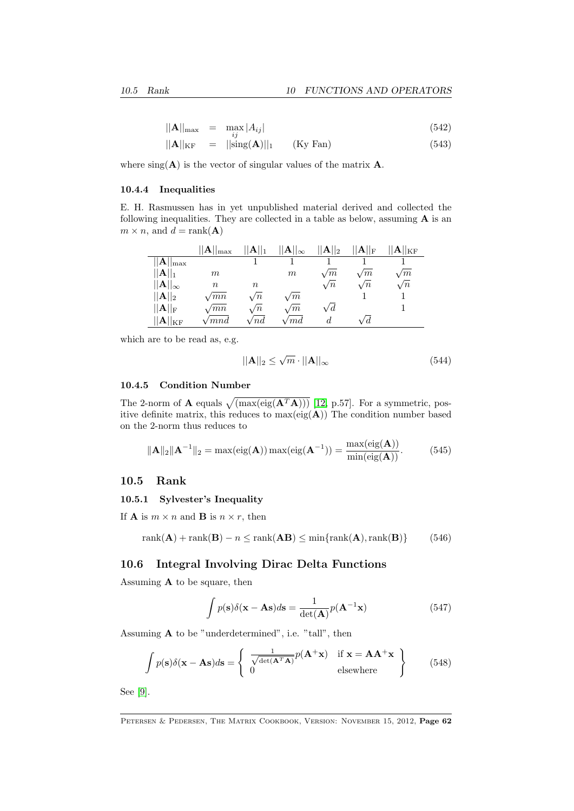<span id="page-61-0"></span>
$$
||\mathbf{A}||_{\text{max}} = \max_{i} |A_{ij}| \tag{542}
$$

$$
||\mathbf{A}||_{\text{KF}} = ||\text{sing}(\mathbf{A})||_1 \qquad \text{(Ky Fan)} \tag{543}
$$

where  $sing(\mathbf{A})$  is the vector of singular values of the matrix  $\mathbf{A}$ .

#### 10.4.4 Inequalities

E. H. Rasmussen has in yet unpublished material derived and collected the following inequalities. They are collected in a table as below, assuming A is an  $m \times n$ , and  $d = \text{rank}(\mathbf{A})$ 

|                           | $  \mathbf{A}  _{\mathrm{max}}$ | $  \mathbf{A}  _1$ | $\mathbf{A}  _{\infty}$ | $  \mathbf{A}  _2$ | $  \mathbf{A}  _{\text{F}}$ | $\mathbf{ A  _{KF}}$ |
|---------------------------|---------------------------------|--------------------|-------------------------|--------------------|-----------------------------|----------------------|
| $  {\bf A}  _{\max}$      |                                 |                    |                         |                    |                             |                      |
| $  A  _1$                 | $\,m$                           |                    | $\,m$                   | $\sqrt{m}$         | $\sqrt{m}$                  | $\sqrt{m}$           |
| $  \mathbf{A}  _{\infty}$ | $\, n$                          | $\boldsymbol{n}$   |                         | $\sqrt{n}$         | $\sqrt{n}$                  | $\sqrt{n}$           |
| $  \mathbf{A}  _2$        | $\sqrt{mn}$                     | $\sqrt{n}$         | $\sqrt{m}$              |                    |                             |                      |
| $  A  _{\rm F}$           | $\sqrt{mn}$                     | $\sqrt{n}$         | $\sqrt{m}$              | $\sqrt{d}$         |                             |                      |
| $  {\bf A}  _{\rm KF}$    | $\sqrt{mnd}$                    | 'nd                | $\sqrt{m}d$             | d.                 | d                           |                      |

which are to be read as, e.g.

$$
||\mathbf{A}||_2 \le \sqrt{m} \cdot ||\mathbf{A}||_{\infty} \tag{544}
$$

### 10.4.5 Condition Number

The 2-norm of **A** equals  $\sqrt{\text{(max(eig(A<sup>T</sup>A)))}}$  [\[12,](#page-69-5) p.57]. For a symmetric, positive definite matrix, this reduces to  $max(eig(A))$  The condition number based on the 2-norm thus reduces to

$$
\|\mathbf{A}\|_2 \|\mathbf{A}^{-1}\|_2 = \max(\text{eig}(\mathbf{A})) \max(\text{eig}(\mathbf{A}^{-1})) = \frac{\max(\text{eig}(\mathbf{A}))}{\min(\text{eig}(\mathbf{A}))}. \tag{545}
$$

### 10.5 Rank

#### 10.5.1 Sylvester's Inequality

If **A** is  $m \times n$  and **B** is  $n \times r$ , then

$$
rank(\mathbf{A}) + rank(\mathbf{B}) - n \le rank(\mathbf{A}\mathbf{B}) \le min\{rank(\mathbf{A}), rank(\mathbf{B})\}
$$
 (546)

### 10.6 Integral Involving Dirac Delta Functions

Assuming  $A$  to be square, then

$$
\int p(\mathbf{s})\delta(\mathbf{x} - \mathbf{A}\mathbf{s})d\mathbf{s} = \frac{1}{\det(\mathbf{A})}p(\mathbf{A}^{-1}\mathbf{x})
$$
\n(547)

Assuming A to be "underdetermined", i.e. "tall", then

$$
\int p(\mathbf{s}) \delta(\mathbf{x} - \mathbf{A}\mathbf{s}) d\mathbf{s} = \begin{cases} \frac{1}{\sqrt{\det(\mathbf{A}^T \mathbf{A})}} p(\mathbf{A}^+ \mathbf{x}) & \text{if } \mathbf{x} = \mathbf{A} \mathbf{A}^+ \mathbf{x} \\ 0 & \text{elsewhere} \end{cases}
$$
(548)

See [\[9\]](#page-69-8).

PETERSEN & PEDERSEN, THE MATRIX COOKBOOK, VERSION: NOVEMBER 15, 2012, Page 62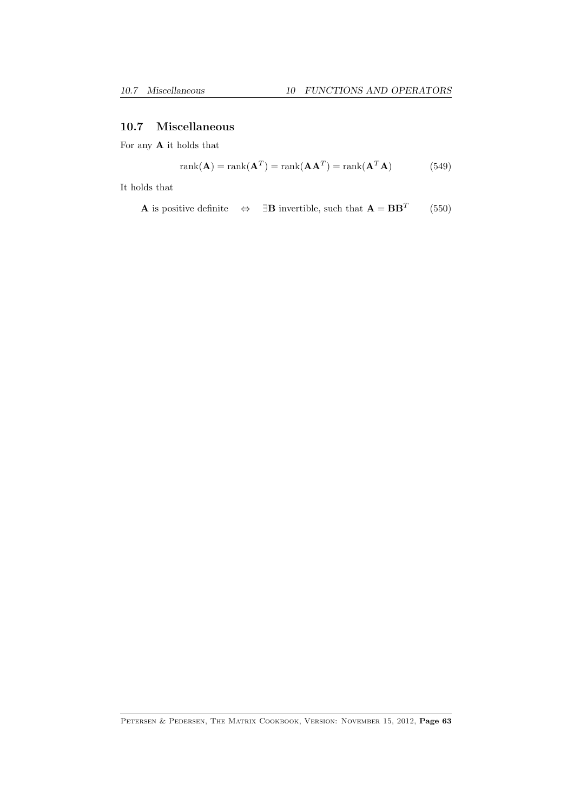### 10.7 Miscellaneous

For any  ${\bf A}$  it holds that

$$
rank(\mathbf{A}) = rank(\mathbf{A}^T) = rank(\mathbf{A}\mathbf{A}^T) = rank(\mathbf{A}^T\mathbf{A})
$$
\n(549)

It holds that

**A** is positive definite  $\Leftrightarrow$  ∃**B** invertible, such that **A** = **BB**<sup>T</sup> (550)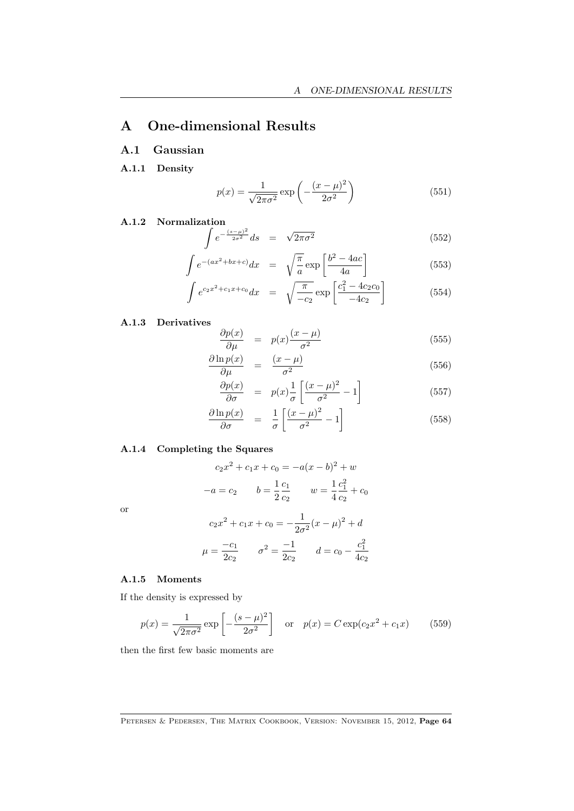# A One-dimensional Results

### A.1 Gaussian

A.1.1 Density

$$
p(x) = \frac{1}{\sqrt{2\pi\sigma^2}} \exp\left(-\frac{(x-\mu)^2}{2\sigma^2}\right)
$$
 (551)

A.1.2 Normalization

$$
\int e^{-\frac{(s-\mu)^2}{2\sigma^2}} ds = \sqrt{2\pi\sigma^2}
$$
 (552)

$$
\int e^{-(ax^2+bx+c)}dx = \sqrt{\frac{\pi}{a}} \exp\left[\frac{b^2-4ac}{4a}\right]
$$
\n(553)

$$
\int e^{c_2 x^2 + c_1 x + c_0} dx = \sqrt{\frac{\pi}{-c_2}} \exp\left[\frac{c_1^2 - 4c_2 c_0}{-4c_2}\right]
$$
(554)

A.1.3 Derivatives

$$
\frac{\partial p(x)}{\partial \mu} = p(x) \frac{(x - \mu)}{\sigma^2} \tag{555}
$$

$$
\frac{\partial \ln p(x)}{\partial \mu} = \frac{(x - \mu)}{\sigma^2} \tag{556}
$$

$$
\frac{\partial p(x)}{\partial \sigma} = p(x) \frac{1}{\sigma} \left[ \frac{(x - \mu)^2}{\sigma^2} - 1 \right]
$$
(557)

$$
\frac{\partial \ln p(x)}{\partial \sigma} = \frac{1}{\sigma} \left[ \frac{(x - \mu)^2}{\sigma^2} - 1 \right]
$$
\n(558)

### A.1.4 Completing the Squares

$$
c_2x^2 + c_1x + c_0 = -a(x - b)^2 + w
$$

$$
-a = c_2 \qquad b = \frac{1}{2}\frac{c_1}{c_2} \qquad w = \frac{1}{4}\frac{c_1^2}{c_2} + c_0
$$

or

$$
c_2x^2 + c_1x + c_0 = -\frac{1}{2\sigma^2}(x - \mu)^2 + d
$$

$$
\mu = \frac{-c_1}{2c_2} \qquad \sigma^2 = \frac{-1}{2c_2} \qquad d = c_0 - \frac{c_1^2}{4c_2}
$$

### A.1.5 Moments

If the density is expressed by

$$
p(x) = \frac{1}{\sqrt{2\pi\sigma^2}} \exp\left[-\frac{(s-\mu)^2}{2\sigma^2}\right] \quad \text{or} \quad p(x) = C \exp(c_2 x^2 + c_1 x) \tag{559}
$$

then the first few basic moments are

PETERSEN & PEDERSEN, THE MATRIX COOKBOOK, VERSION: NOVEMBER 15, 2012, Page 64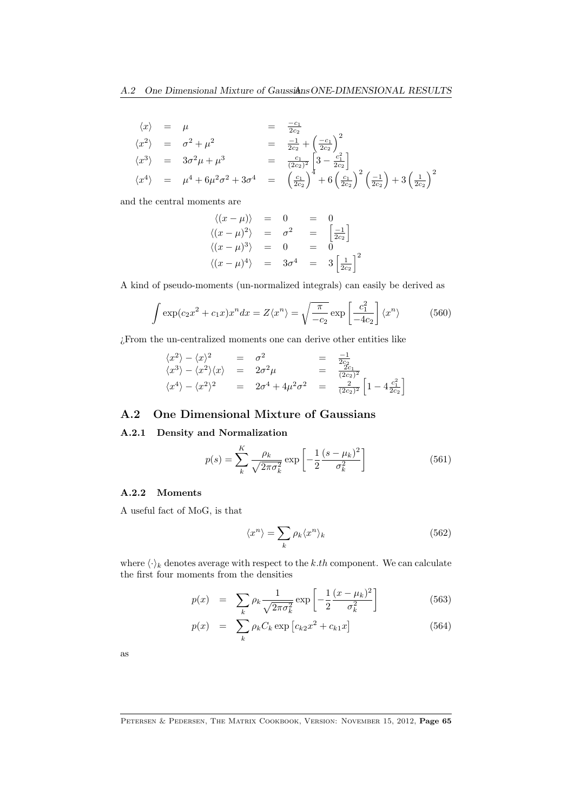$$
\langle x \rangle = \mu = \frac{-c_1}{2c_2}
$$
  
\n
$$
\langle x^2 \rangle = \sigma^2 + \mu^2 = \frac{-1}{2c_2} + \left(\frac{-c_1}{2c_2}\right)^2
$$
  
\n
$$
\langle x^3 \rangle = 3\sigma^2 \mu + \mu^3 = \frac{c_1}{(2c_2)^2} \left[3 - \frac{c_1^2}{2c_2}\right]
$$
  
\n
$$
\langle x^4 \rangle = \mu^4 + 6\mu^2 \sigma^2 + 3\sigma^4 = \left(\frac{c_1}{2c_2}\right)^4 + 6\left(\frac{c_1}{2c_2}\right)^2 \left(\frac{-1}{2c_2}\right) + 3\left(\frac{1}{2c_2}\right)^2
$$

and the central moments are

$$
\langle (x - \mu) \rangle = 0 = 0
$$
  

$$
\langle (x - \mu)^2 \rangle = \sigma^2 = \begin{bmatrix} -1 \\ 2c_2 \end{bmatrix}
$$
  

$$
\langle (x - \mu)^3 \rangle = 0 = 0
$$
  

$$
\langle (x - \mu)^4 \rangle = 3\sigma^4 = 3\left[\frac{1}{2c_2}\right]^2
$$

A kind of pseudo-moments (un-normalized integrals) can easily be derived as

$$
\int \exp(c_2 x^2 + c_1 x) x^n dx = Z \langle x^n \rangle = \sqrt{\frac{\pi}{-c_2}} \exp\left[\frac{c_1^2}{-4c_2}\right] \langle x^n \rangle \tag{560}
$$

¿From the un-centralized moments one can derive other entities like

$$
\langle x^2 \rangle - \langle x \rangle^2 = \sigma^2 = \frac{-1}{2c_2}
$$
  
\n
$$
\langle x^3 \rangle - \langle x^2 \rangle \langle x \rangle = 2\sigma^2 \mu = \frac{2c_1}{(2c_2)^2}
$$
  
\n
$$
\langle x^4 \rangle - \langle x^2 \rangle^2 = 2\sigma^4 + 4\mu^2 \sigma^2 = \frac{2}{(2c_2)^2} \left[ 1 - 4 \frac{c_1^2}{2c_2} \right]
$$

### A.2 One Dimensional Mixture of Gaussians

#### A.2.1 Density and Normalization

$$
p(s) = \sum_{k}^{K} \frac{\rho_k}{\sqrt{2\pi\sigma_k^2}} \exp\left[-\frac{1}{2}\frac{(s-\mu_k)^2}{\sigma_k^2}\right]
$$
(561)

### A.2.2 Moments

A useful fact of MoG, is that

$$
\langle x^n \rangle = \sum_k \rho_k \langle x^n \rangle_k \tag{562}
$$

where  $\langle \cdot \rangle_k$  denotes average with respect to the k.th component. We can calculate the first four moments from the densities

$$
p(x) = \sum_{k} \rho_k \frac{1}{\sqrt{2\pi\sigma_k^2}} \exp\left[-\frac{1}{2}\frac{(x-\mu_k)^2}{\sigma_k^2}\right]
$$
(563)

$$
p(x) = \sum_{k} \rho_k C_k \exp [c_{k2}x^2 + c_{k1}x]
$$
 (564)

as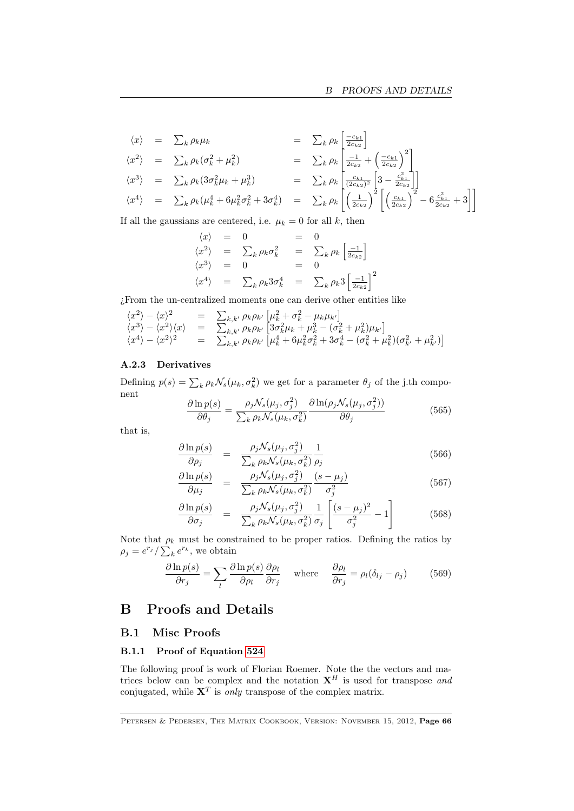$$
\langle x \rangle = \sum_{k} \rho_{k} \mu_{k} = \sum_{k} \rho_{k} \left[ \frac{-c_{k1}}{2c_{k2}} \right]
$$
  
\n
$$
\langle x^{2} \rangle = \sum_{k} \rho_{k} (\sigma_{k}^{2} + \mu_{k}^{2}) = \sum_{k} \rho_{k} \left[ \frac{-1}{2c_{k2}} + \left( \frac{-c_{k1}}{2c_{k2}} \right)^{2} \right]
$$
  
\n
$$
\langle x^{3} \rangle = \sum_{k} \rho_{k} (3\sigma_{k}^{2} \mu_{k} + \mu_{k}^{3}) = \sum_{k} \rho_{k} \left[ \frac{c_{k1}}{(2c_{k2})^{2}} \left[ 3 - \frac{c_{k1}^{2}}{2c_{k2}} \right] \right]
$$
  
\n
$$
\langle x^{4} \rangle = \sum_{k} \rho_{k} (\mu_{k}^{4} + 6\mu_{k}^{2} \sigma_{k}^{2} + 3\sigma_{k}^{4}) = \sum_{k} \rho_{k} \left[ \left( \frac{1}{2c_{k2}} \right)^{2} \left[ \left( \frac{c_{k1}}{2c_{k2}} \right)^{2} - 6 \frac{c_{k1}^{2}}{2c_{k2}} + 3 \right] \right]
$$

If all the gaussians are centered, i.e.  $\mu_k = 0$  for all k, then

$$
\langle x \rangle = 0 = 0
$$
  
\n
$$
\langle x^2 \rangle = \sum_k \rho_k \sigma_k^2 = \sum_k \rho_k \left[ \frac{-1}{2c_{k2}} \right]
$$
  
\n
$$
\langle x^3 \rangle = 0 = 0
$$
  
\n
$$
\langle x^4 \rangle = \sum_k \rho_k 3 \sigma_k^4 = \sum_k \rho_k 3 \left[ \frac{-1}{2c_{k2}} \right]^2
$$

¿From the un-centralized moments one can derive other entities like

$$
\begin{array}{rcl}\n\langle x^2 \rangle - \langle x \rangle^2 & = & \sum_{k,k'} \rho_k \rho_{k'} \left[ \mu_k^2 + \sigma_k^2 - \mu_k \mu_{k'} \right] \\
\langle x^3 \rangle - \langle x^2 \rangle \langle x \rangle & = & \sum_{k,k'} \rho_k \rho_{k'} \left[ 3\sigma_k^2 \mu_k + \mu_k^3 - (\sigma_k^2 + \mu_k^2) \mu_{k'} \right] \\
\langle x^4 \rangle - \langle x^2 \rangle^2 & = & \sum_{k,k'} \rho_k \rho_{k'} \left[ \mu_k^4 + 6\mu_k^2 \sigma_k^2 + 3\sigma_k^4 - (\sigma_k^2 + \mu_k^2)(\sigma_{k'}^2 + \mu_{k'}^2) \right]\n\end{array}
$$

#### A.2.3 Derivatives

Defining  $p(s) = \sum_{k} \rho_k \mathcal{N}_s(\mu_k, \sigma_k^2)$  we get for a parameter  $\theta_j$  of the j.th component

$$
\frac{\partial \ln p(s)}{\partial \theta_j} = \frac{\rho_j \mathcal{N}_s(\mu_j, \sigma_j^2)}{\sum_k \rho_k \mathcal{N}_s(\mu_k, \sigma_k^2)} \frac{\partial \ln(\rho_j \mathcal{N}_s(\mu_j, \sigma_j^2))}{\partial \theta_j} \tag{565}
$$

that is,

$$
\frac{\partial \ln p(s)}{\partial \rho_j} = \frac{\rho_j \mathcal{N}_s(\mu_j, \sigma_j^2)}{\sum_k \rho_k \mathcal{N}_s(\mu_k, \sigma_k^2)} \frac{1}{\rho_j} \tag{566}
$$

$$
\frac{\partial \ln p(s)}{\partial \mu_j} = \frac{\rho_j \mathcal{N}_s(\mu_j, \sigma_j^2)}{\sum_k \rho_k \mathcal{N}_s(\mu_k, \sigma_k^2)} \frac{(s - \mu_j)}{\sigma_j^2}
$$
(567)

$$
\frac{\partial \ln p(s)}{\partial \sigma_j} = \frac{\rho_j \mathcal{N}_s(\mu_j, \sigma_j^2)}{\sum_k \rho_k \mathcal{N}_s(\mu_k, \sigma_k^2)} \frac{1}{\sigma_j} \left[ \frac{(s - \mu_j)^2}{\sigma_j^2} - 1 \right]
$$
(568)

Note that  $\rho_k$  must be constrained to be proper ratios. Defining the ratios by  $\rho_j = e^{r_j} / \sum_k e^{r_k}$ , we obtain

$$
\frac{\partial \ln p(s)}{\partial r_j} = \sum_l \frac{\partial \ln p(s)}{\partial \rho_l} \frac{\partial \rho_l}{\partial r_j} \quad \text{where} \quad \frac{\partial \rho_l}{\partial r_j} = \rho_l (\delta_{lj} - \rho_j) \tag{569}
$$

# B Proofs and Details

### B.1 Misc Proofs

#### <span id="page-65-0"></span>B.1.1 Proof of Equation [524](#page-59-0)

The following proof is work of Florian Roemer. Note the the vectors and matrices below can be complex and the notation  $X^H$  is used for transpose and conjugated, while  $X^T$  is only transpose of the complex matrix.

PETERSEN & PEDERSEN, THE MATRIX COOKBOOK, VERSION: NOVEMBER 15, 2012, Page 66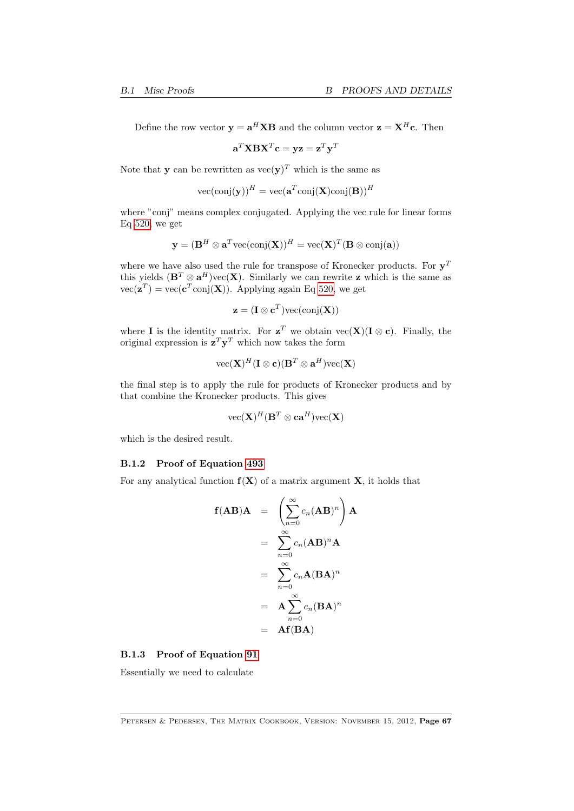Define the row vector  $y = a^H X B$  and the column vector  $z = X^H c$ . Then

$$
\mathbf{a}^T\mathbf{X}\mathbf{B}\mathbf{X}^T\mathbf{c} = \mathbf{y}\mathbf{z} = \mathbf{z}^T\mathbf{y}^T
$$

Note that **y** can be rewritten as  $\text{vec}(\mathbf{y})^T$  which is the same as

$$
\text{vec}(\text{conj}(\mathbf{y}))^H = \text{vec}(\mathbf{a}^T \text{conj}(\mathbf{X}) \text{conj}(\mathbf{B}))^H
$$

where "conj" means complex conjugated. Applying the vec rule for linear forms Eq [520,](#page-59-0) we get

$$
\mathbf{y} = (\mathbf{B}^H \otimes \mathbf{a}^T \text{vec}(\text{conj}(\mathbf{X}))^H = \text{vec}(\mathbf{X})^T (\mathbf{B} \otimes \text{conj}(\mathbf{a}))
$$

where we have also used the rule for transpose of Kronecker products. For  $y<sup>T</sup>$ this yields  $(\mathbf{B}^T \otimes \mathbf{a}^H)$ vec $(\mathbf{X})$ . Similarly we can rewrite **z** which is the same as  $vec(\mathbf{z}^T) = vec(\mathbf{c}^T conj(\mathbf{X}))$ . Applying again Eq [520,](#page-59-0) we get

$$
\mathbf{z} = (\mathbf{I} \otimes \mathbf{c}^T) \text{vec}(\text{conj}(\mathbf{X}))
$$

where **I** is the identity matrix. For  $z^T$  we obtain  $\text{vec}(\mathbf{X})(\mathbf{I} \otimes \mathbf{c})$ . Finally, the original expression is  $\mathbf{z}^T \mathbf{y}^T$  which now takes the form

$$
\text{vec}(\mathbf{X})^{H}(\mathbf{I}\otimes\mathbf{c})(\mathbf{B}^T\otimes\mathbf{a}^H)\text{vec}(\mathbf{X})
$$

the final step is to apply the rule for products of Kronecker products and by that combine the Kronecker products. This gives

$$
\text{vec}(\mathbf{X})^H(\mathbf{B}^T\otimes\mathbf{c}\mathbf{a}^H)\text{vec}(\mathbf{X})
$$

which is the desired result.

#### <span id="page-66-0"></span>B.1.2 Proof of Equation [493](#page-57-0)

For any analytical function  $f(X)$  of a matrix argument  $X$ , it holds that

$$
f(AB)A = \left(\sum_{n=0}^{\infty} c_n (AB)^n\right) A
$$
  
=  $\sum_{n=0}^{\infty} c_n (AB)^n A$   
=  $\sum_{n=0}^{\infty} c_n A (BA)^n$   
=  $A \sum_{n=0}^{\infty} c_n (BA)^n$   
=  $Af(BA)$ 

#### B.1.3 Proof of Equation [91](#page-10-0)

Essentially we need to calculate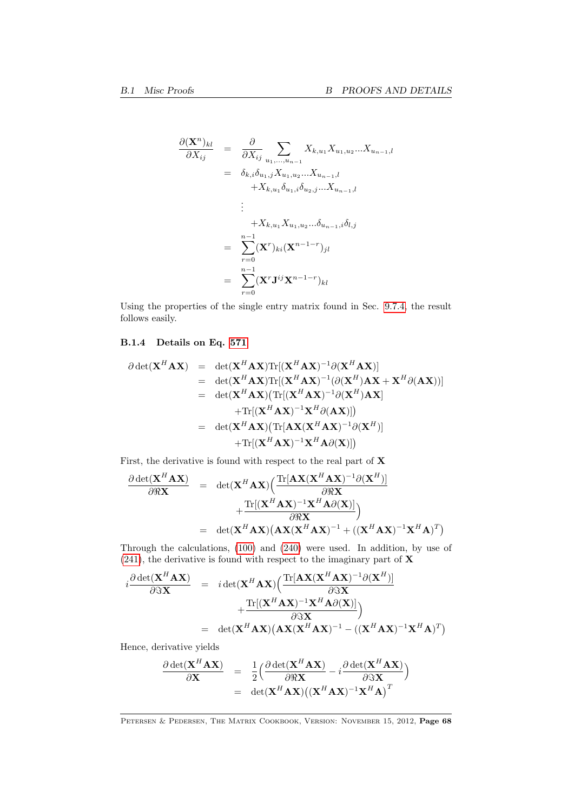$$
\frac{\partial (\mathbf{X}^{n})_{kl}}{\partial X_{ij}} = \frac{\partial}{\partial X_{ij}} \sum_{u_1, ..., u_{n-1}} X_{k, u_1} X_{u_1, u_2} ... X_{u_{n-1}, l}
$$
  
\n
$$
= \delta_{k,i} \delta_{u_1,j} X_{u_1, u_2} ... X_{u_{n-1}, l}
$$
  
\n
$$
+ X_{k, u_1} \delta_{u_1,i} \delta_{u_2,j} ... X_{u_{n-1}, l}
$$
  
\n:  
\n
$$
+ X_{k, u_1} X_{u_1, u_2} ... \delta_{u_{n-1}, i} \delta_{l,j}
$$
  
\n
$$
= \sum_{r=0}^{n-1} (\mathbf{X}^r)_{ki} (\mathbf{X}^{n-1-r})_{jl}
$$
  
\n
$$
= \sum_{r=0}^{n-1} (\mathbf{X}^r \mathbf{J}^{ij} \mathbf{X}^{n-1-r})_{kl}
$$

Using the properties of the single entry matrix found in Sec. [9.7.4,](#page-52-0) the result follows easily.

### B.1.4 Details on Eq. [571](#page-68-0)

$$
\partial \det(\mathbf{X}^{H} \mathbf{A} \mathbf{X}) = \det(\mathbf{X}^{H} \mathbf{A} \mathbf{X}) \text{Tr}[(\mathbf{X}^{H} \mathbf{A} \mathbf{X})^{-1} \partial (\mathbf{X}^{H} \mathbf{A} \mathbf{X})]
$$
\n
$$
= \det(\mathbf{X}^{H} \mathbf{A} \mathbf{X}) \text{Tr}[(\mathbf{X}^{H} \mathbf{A} \mathbf{X})^{-1} (\partial (\mathbf{X}^{H}) \mathbf{A} \mathbf{X} + \mathbf{X}^{H} \partial (\mathbf{A} \mathbf{X}))]
$$
\n
$$
= \det(\mathbf{X}^{H} \mathbf{A} \mathbf{X}) (\text{Tr}[(\mathbf{X}^{H} \mathbf{A} \mathbf{X})^{-1} \partial (\mathbf{X}^{H}) \mathbf{A} \mathbf{X}]
$$
\n
$$
+ \text{Tr}[(\mathbf{X}^{H} \mathbf{A} \mathbf{X})^{-1} \mathbf{X}^{H} \partial (\mathbf{A} \mathbf{X})])
$$
\n
$$
= \det(\mathbf{X}^{H} \mathbf{A} \mathbf{X}) (\text{Tr}[\mathbf{A} \mathbf{X} (\mathbf{X}^{H} \mathbf{A} \mathbf{X})^{-1} \partial (\mathbf{X}^{H})]
$$
\n
$$
+ \text{Tr}[(\mathbf{X}^{H} \mathbf{A} \mathbf{X})^{-1} \mathbf{X}^{H} \mathbf{A} \partial (\mathbf{X})])
$$

First, the derivative is found with respect to the real part of  $X$ 

$$
\frac{\partial \det(\mathbf{X}^H \mathbf{A} \mathbf{X})}{\partial \Re \mathbf{X}} = \det(\mathbf{X}^H \mathbf{A} \mathbf{X}) \Big( \frac{\text{Tr}[\mathbf{A} \mathbf{X} (\mathbf{X}^H \mathbf{A} \mathbf{X})^{-1} \partial (\mathbf{X}^H)]}{\partial \Re \mathbf{X}} + \frac{\text{Tr}[(\mathbf{X}^H \mathbf{A} \mathbf{X})^{-1} \mathbf{X}^H \mathbf{A} \partial (\mathbf{X})]}{\partial \Re \mathbf{X}} \Big)
$$
  
= det( $\mathbf{X}^H \mathbf{A} \mathbf{X}$ )( $\mathbf{A} \mathbf{X} (\mathbf{X}^H \mathbf{A} \mathbf{X})^{-1} + ((\mathbf{X}^H \mathbf{A} \mathbf{X})^{-1} \mathbf{X}^H \mathbf{A})^T$ )

Through the calculations, [\(100\)](#page-11-0) and [\(240\)](#page-24-0) were used. In addition, by use of  $(241)$ , the derivative is found with respect to the imaginary part of **X** 

$$
i\frac{\partial \det(\mathbf{X}^{H}\mathbf{A}\mathbf{X})}{\partial \Im \mathbf{X}} = i\det(\mathbf{X}^{H}\mathbf{A}\mathbf{X}) \left( \frac{\text{Tr}[\mathbf{A}\mathbf{X}(\mathbf{X}^{H}\mathbf{A}\mathbf{X})^{-1}\partial(\mathbf{X}^{H})]}{\partial \Im \mathbf{X}} + \frac{\text{Tr}[(\mathbf{X}^{H}\mathbf{A}\mathbf{X})^{-1}\mathbf{X}^{H}\mathbf{A}\partial(\mathbf{X})]}{\partial \Im \mathbf{X}} \right)
$$
  
= det( $\mathbf{X}^{H}\mathbf{A}\mathbf{X}$ )( $\mathbf{A}\mathbf{X}(\mathbf{X}^{H}\mathbf{A}\mathbf{X})^{-1} - ((\mathbf{X}^{H}\mathbf{A}\mathbf{X})^{-1}\mathbf{X}^{H}\mathbf{A})^{T}$ )

Hence, derivative yields

$$
\frac{\partial \det(\mathbf{X}^H \mathbf{A} \mathbf{X})}{\partial \mathbf{X}} = \frac{1}{2} \Big( \frac{\partial \det(\mathbf{X}^H \mathbf{A} \mathbf{X})}{\partial \Re \mathbf{X}} - i \frac{\partial \det(\mathbf{X}^H \mathbf{A} \mathbf{X})}{\partial \Im \mathbf{X}} \Big) \n= \det(\mathbf{X}^H \mathbf{A} \mathbf{X}) ((\mathbf{X}^H \mathbf{A} \mathbf{X})^{-1} \mathbf{X}^H \mathbf{A})^T
$$

PETERSEN & PEDERSEN, THE MATRIX COOKBOOK, VERSION: NOVEMBER 15, 2012, Page 68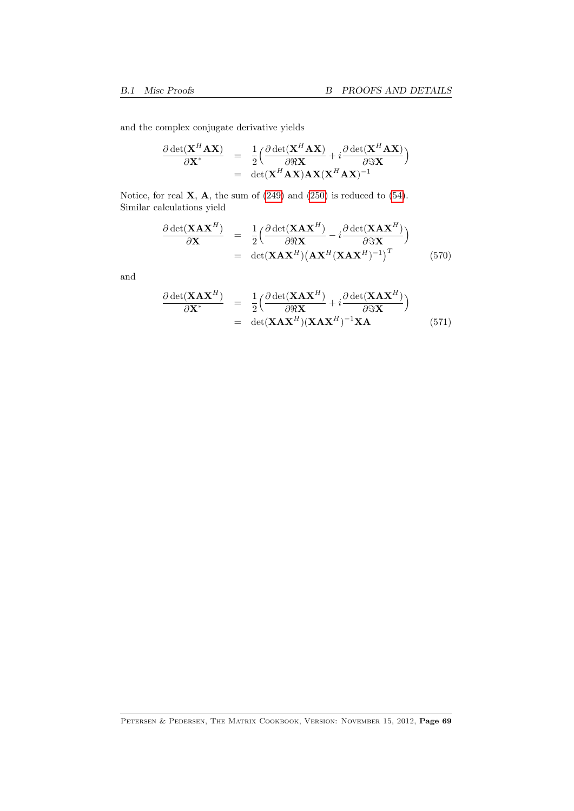and the complex conjugate derivative yields

$$
\frac{\partial \det(\mathbf{X}^H \mathbf{A} \mathbf{X})}{\partial \mathbf{X}^*} = \frac{1}{2} \Big( \frac{\partial \det(\mathbf{X}^H \mathbf{A} \mathbf{X})}{\partial \Re \mathbf{X}} + i \frac{\partial \det(\mathbf{X}^H \mathbf{A} \mathbf{X})}{\partial \Im \mathbf{X}} \Big)
$$
  
= det( $\mathbf{X}^H \mathbf{A} \mathbf{X}$ )  $\mathbf{A} \mathbf{X} (\mathbf{X}^H \mathbf{A} \mathbf{X})^{-1}$ 

Notice, for real  $\mathbf{X}$ ,  $\mathbf{A}$ , the sum of [\(249\)](#page-25-0) and [\(250\)](#page-25-1) is reduced to [\(54\)](#page-8-0). Similar calculations yield

$$
\frac{\partial \det(\mathbf{X} \mathbf{A} \mathbf{X}^H)}{\partial \mathbf{X}} = \frac{1}{2} \Big( \frac{\partial \det(\mathbf{X} \mathbf{A} \mathbf{X}^H)}{\partial \Re \mathbf{X}} - i \frac{\partial \det(\mathbf{X} \mathbf{A} \mathbf{X}^H)}{\partial \Im \mathbf{X}} \Big) \n= \det(\mathbf{X} \mathbf{A} \mathbf{X}^H) \big( \mathbf{A} \mathbf{X}^H (\mathbf{X} \mathbf{A} \mathbf{X}^H)^{-1} \big)^T
$$
\n(570)

and

<span id="page-68-0"></span>
$$
\frac{\partial \det(\mathbf{X} \mathbf{A} \mathbf{X}^H)}{\partial \mathbf{X}^*} = \frac{1}{2} \Big( \frac{\partial \det(\mathbf{X} \mathbf{A} \mathbf{X}^H)}{\partial \Re \mathbf{X}} + i \frac{\partial \det(\mathbf{X} \mathbf{A} \mathbf{X}^H)}{\partial \Im \mathbf{X}} \Big) \n= \det(\mathbf{X} \mathbf{A} \mathbf{X}^H) (\mathbf{X} \mathbf{A} \mathbf{X}^H)^{-1} \mathbf{X} \mathbf{A}
$$
\n(571)

PETERSEN & PEDERSEN, THE MATRIX COOKBOOK, VERSION: NOVEMBER 15, 2012, Page 69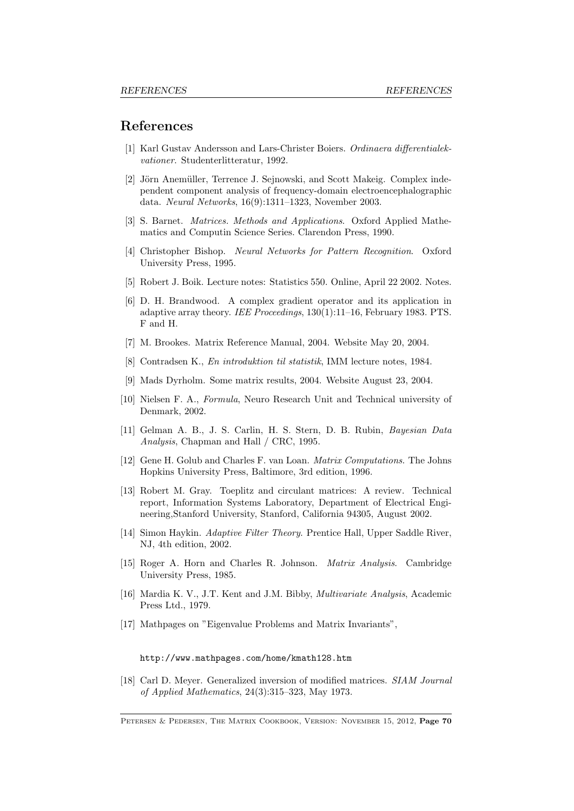### References

- <span id="page-69-7"></span>[1] Karl Gustav Andersson and Lars-Christer Boiers. Ordinaera differentialekvationer. Studenterlitteratur, 1992.
- [2] Jörn Anemüller, Terrence J. Sejnowski, and Scott Makeig. Complex independent component analysis of frequency-domain electroencephalographic data. Neural Networks, 16(9):1311–1323, November 2003.
- [3] S. Barnet. Matrices. Methods and Applications. Oxford Applied Mathematics and Computin Science Series. Clarendon Press, 1990.
- [4] Christopher Bishop. Neural Networks for Pattern Recognition. Oxford University Press, 1995.
- [5] Robert J. Boik. Lecture notes: Statistics 550. Online, April 22 2002. Notes.
- [6] D. H. Brandwood. A complex gradient operator and its application in adaptive array theory. IEE Proceedings, 130(1):11–16, February 1983. PTS. F and H.
- <span id="page-69-3"></span>[7] M. Brookes. Matrix Reference Manual, 2004. Website May 20, 2004.
- <span id="page-69-1"></span>[8] Contradsen K., En introduktion til statistik, IMM lecture notes, 1984.
- <span id="page-69-8"></span>[9] Mads Dyrholm. Some matrix results, 2004. Website August 23, 2004.
- [10] Nielsen F. A., Formula, Neuro Research Unit and Technical university of Denmark, 2002.
- <span id="page-69-2"></span>[11] Gelman A. B., J. S. Carlin, H. S. Stern, D. B. Rubin, Bayesian Data Analysis, Chapman and Hall / CRC, 1995.
- <span id="page-69-5"></span>[12] Gene H. Golub and Charles F. van Loan. Matrix Computations. The Johns Hopkins University Press, Baltimore, 3rd edition, 1996.
- <span id="page-69-6"></span>[13] Robert M. Gray. Toeplitz and circulant matrices: A review. Technical report, Information Systems Laboratory, Department of Electrical Engineering,Stanford University, Stanford, California 94305, August 2002.
- <span id="page-69-9"></span>[14] Simon Haykin. Adaptive Filter Theory. Prentice Hall, Upper Saddle River, NJ, 4th edition, 2002.
- <span id="page-69-4"></span>[15] Roger A. Horn and Charles R. Johnson. Matrix Analysis. Cambridge University Press, 1985.
- <span id="page-69-0"></span>[16] Mardia K. V., J.T. Kent and J.M. Bibby, Multivariate Analysis, Academic Press Ltd., 1979.
- [17] Mathpages on "Eigenvalue Problems and Matrix Invariants",

#### http://www.mathpages.com/home/kmath128.htm

[18] Carl D. Meyer. Generalized inversion of modified matrices. SIAM Journal of Applied Mathematics, 24(3):315–323, May 1973.

PETERSEN & PEDERSEN, THE MATRIX COOKBOOK, VERSION: NOVEMBER 15, 2012, Page 70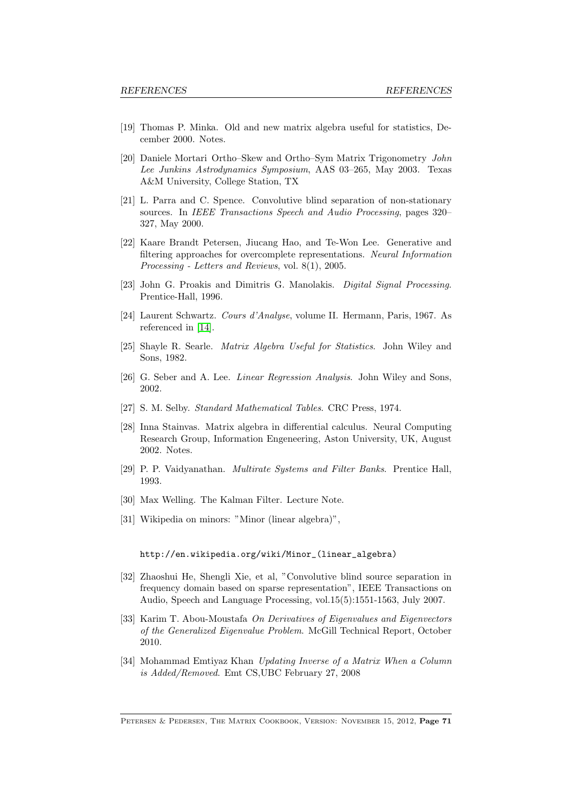- <span id="page-70-3"></span>[19] Thomas P. Minka. Old and new matrix algebra useful for statistics, December 2000. Notes.
- <span id="page-70-1"></span>[20] Daniele Mortari Ortho–Skew and Ortho–Sym Matrix Trigonometry John Lee Junkins Astrodynamics Symposium, AAS 03–265, May 2003. Texas A&M University, College Station, TX
- [21] L. Parra and C. Spence. Convolutive blind separation of non-stationary sources. In IEEE Transactions Speech and Audio Processing, pages 320– 327, May 2000.
- [22] Kaare Brandt Petersen, Jiucang Hao, and Te-Won Lee. Generative and filtering approaches for overcomplete representations. Neural Information Processing - Letters and Reviews, vol. 8(1), 2005.
- <span id="page-70-0"></span>[23] John G. Proakis and Dimitris G. Manolakis. Digital Signal Processing. Prentice-Hall, 1996.
- [24] Laurent Schwartz. Cours d'Analyse, volume II. Hermann, Paris, 1967. As referenced in [\[14\]](#page-69-9).
- [25] Shayle R. Searle. Matrix Algebra Useful for Statistics. John Wiley and Sons, 1982.
- [26] G. Seber and A. Lee. Linear Regression Analysis. John Wiley and Sons, 2002.
- [27] S. M. Selby. Standard Mathematical Tables. CRC Press, 1974.
- [28] Inna Stainvas. Matrix algebra in differential calculus. Neural Computing Research Group, Information Engeneering, Aston University, UK, August 2002. Notes.
- <span id="page-70-2"></span>[29] P. P. Vaidyanathan. Multirate Systems and Filter Banks. Prentice Hall, 1993.
- [30] Max Welling. The Kalman Filter. Lecture Note.
- [31] Wikipedia on minors: "Minor (linear algebra)",

#### http://en.wikipedia.org/wiki/Minor\_(linear\_algebra)

- [32] Zhaoshui He, Shengli Xie, et al, "Convolutive blind source separation in frequency domain based on sparse representation", IEEE Transactions on Audio, Speech and Language Processing, vol.15(5):1551-1563, July 2007.
- [33] Karim T. Abou-Moustafa On Derivatives of Eigenvalues and Eigenvectors of the Generalized Eigenvalue Problem. McGill Technical Report, October 2010.
- [34] Mohammad Emtiyaz Khan Updating Inverse of a Matrix When a Column is Added/Removed. Emt CS,UBC February 27, 2008

PETERSEN & PEDERSEN, THE MATRIX COOKBOOK, VERSION: NOVEMBER 15, 2012, Page 71